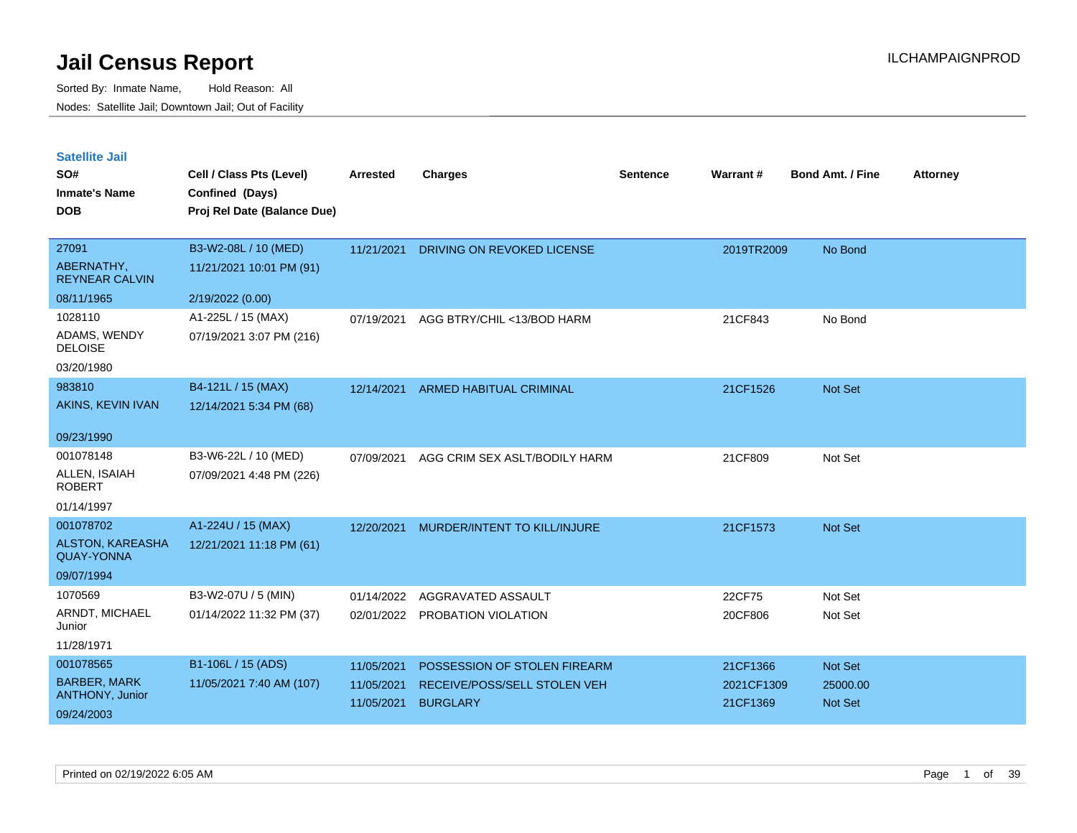| <b>Satellite Jail</b> |  |
|-----------------------|--|
|                       |  |

| SO#<br><b>Inmate's Name</b><br><b>DOB</b>                   | Cell / Class Pts (Level)<br>Confined (Days)<br>Proj Rel Date (Balance Due) | Arrested                 | <b>Charges</b>                                  | <b>Sentence</b> | Warrant#               | <b>Bond Amt. / Fine</b>    | <b>Attorney</b> |
|-------------------------------------------------------------|----------------------------------------------------------------------------|--------------------------|-------------------------------------------------|-----------------|------------------------|----------------------------|-----------------|
| 27091<br>ABERNATHY,<br><b>REYNEAR CALVIN</b>                | B3-W2-08L / 10 (MED)<br>11/21/2021 10:01 PM (91)                           | 11/21/2021               | DRIVING ON REVOKED LICENSE                      |                 | 2019TR2009             | No Bond                    |                 |
| 08/11/1965                                                  | 2/19/2022 (0.00)                                                           |                          |                                                 |                 |                        |                            |                 |
| 1028110<br>ADAMS, WENDY<br><b>DELOISE</b><br>03/20/1980     | A1-225L / 15 (MAX)<br>07/19/2021 3:07 PM (216)                             | 07/19/2021               | AGG BTRY/CHIL <13/BOD HARM                      |                 | 21CF843                | No Bond                    |                 |
| 983810<br>AKINS, KEVIN IVAN                                 | B4-121L / 15 (MAX)<br>12/14/2021 5:34 PM (68)                              | 12/14/2021               | <b>ARMED HABITUAL CRIMINAL</b>                  |                 | 21CF1526               | Not Set                    |                 |
| 09/23/1990                                                  |                                                                            |                          |                                                 |                 |                        |                            |                 |
| 001078148<br>ALLEN, ISAIAH<br><b>ROBERT</b><br>01/14/1997   | B3-W6-22L / 10 (MED)<br>07/09/2021 4:48 PM (226)                           | 07/09/2021               | AGG CRIM SEX ASLT/BODILY HARM                   |                 | 21CF809                | Not Set                    |                 |
| 001078702                                                   | A1-224U / 15 (MAX)                                                         | 12/20/2021               | MURDER/INTENT TO KILL/INJURE                    |                 | 21CF1573               | Not Set                    |                 |
| ALSTON, KAREASHA<br><b>QUAY-YONNA</b>                       | 12/21/2021 11:18 PM (61)                                                   |                          |                                                 |                 |                        |                            |                 |
| 09/07/1994                                                  |                                                                            |                          |                                                 |                 |                        |                            |                 |
| 1070569                                                     | B3-W2-07U / 5 (MIN)                                                        | 01/14/2022               | AGGRAVATED ASSAULT                              |                 | 22CF75                 | Not Set                    |                 |
| ARNDT, MICHAEL<br>Junior                                    | 01/14/2022 11:32 PM (37)                                                   | 02/01/2022               | PROBATION VIOLATION                             |                 | 20CF806                | Not Set                    |                 |
| 11/28/1971                                                  |                                                                            |                          |                                                 |                 |                        |                            |                 |
| 001078565                                                   | B1-106L / 15 (ADS)                                                         | 11/05/2021               | POSSESSION OF STOLEN FIREARM                    |                 | 21CF1366               | Not Set                    |                 |
| <b>BARBER, MARK</b><br><b>ANTHONY, Junior</b><br>09/24/2003 | 11/05/2021 7:40 AM (107)                                                   | 11/05/2021<br>11/05/2021 | RECEIVE/POSS/SELL STOLEN VEH<br><b>BURGLARY</b> |                 | 2021CF1309<br>21CF1369 | 25000.00<br><b>Not Set</b> |                 |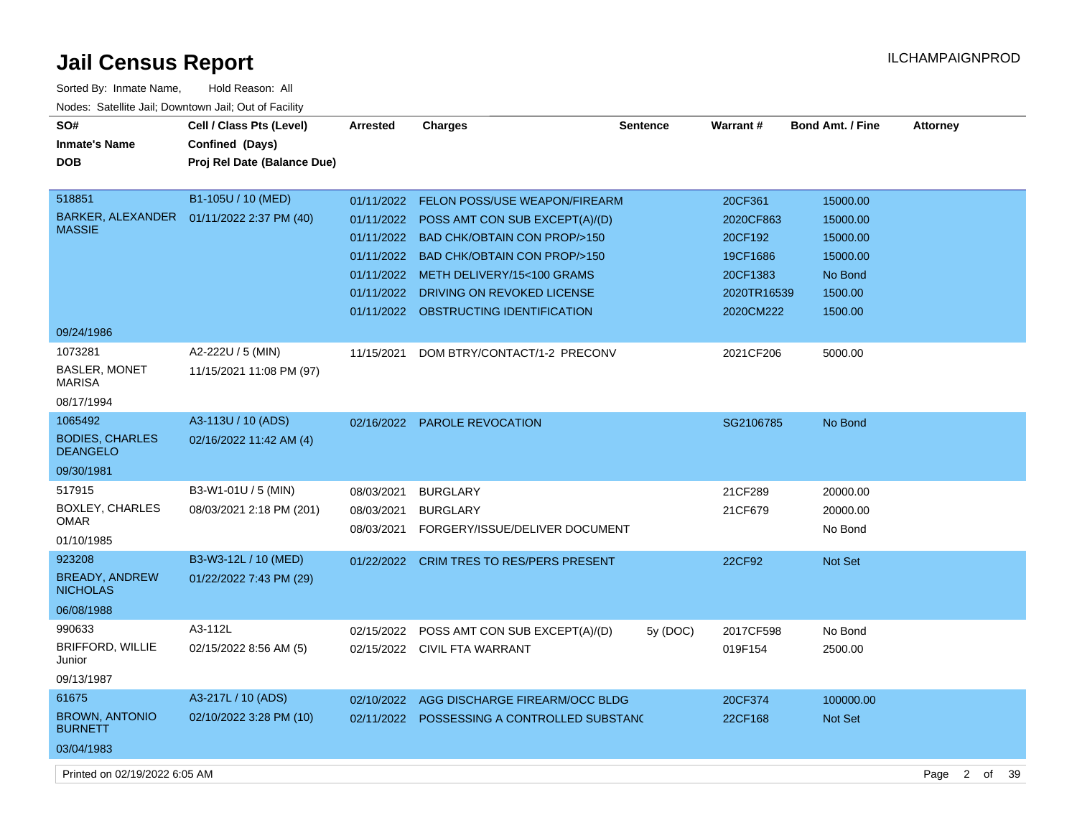| Sorted By: Inmate Name,                               | Hold Reason: All                           |                 |                                             |                 |             |                  |                 |
|-------------------------------------------------------|--------------------------------------------|-----------------|---------------------------------------------|-----------------|-------------|------------------|-----------------|
| Nodes: Satellite Jail: Downtown Jail: Out of Facility |                                            |                 |                                             |                 |             |                  |                 |
| SO#                                                   | Cell / Class Pts (Level)                   | <b>Arrested</b> | <b>Charges</b>                              | <b>Sentence</b> | Warrant#    | Bond Amt. / Fine | <b>Attorney</b> |
| <b>Inmate's Name</b>                                  | Confined (Days)                            |                 |                                             |                 |             |                  |                 |
| <b>DOB</b>                                            | Proj Rel Date (Balance Due)                |                 |                                             |                 |             |                  |                 |
|                                                       |                                            |                 |                                             |                 |             |                  |                 |
| 518851                                                | B1-105U / 10 (MED)                         | 01/11/2022      | <b>FELON POSS/USE WEAPON/FIREARM</b>        |                 | 20CF361     | 15000.00         |                 |
|                                                       | BARKER, ALEXANDER  01/11/2022 2:37 PM (40) | 01/11/2022      | POSS AMT CON SUB EXCEPT(A)/(D)              |                 | 2020CF863   | 15000.00         |                 |
| <b>MASSIE</b>                                         |                                            | 01/11/2022      | <b>BAD CHK/OBTAIN CON PROP/&gt;150</b>      |                 | 20CF192     | 15000.00         |                 |
|                                                       |                                            | 01/11/2022      | <b>BAD CHK/OBTAIN CON PROP/&gt;150</b>      |                 | 19CF1686    | 15000.00         |                 |
|                                                       |                                            | 01/11/2022      | METH DELIVERY/15<100 GRAMS                  |                 | 20CF1383    | No Bond          |                 |
|                                                       |                                            | 01/11/2022      | DRIVING ON REVOKED LICENSE                  |                 | 2020TR16539 | 1500.00          |                 |
|                                                       |                                            | 01/11/2022      | OBSTRUCTING IDENTIFICATION                  |                 | 2020CM222   | 1500.00          |                 |
| 09/24/1986                                            |                                            |                 |                                             |                 |             |                  |                 |
| 1073281                                               | A2-222U / 5 (MIN)                          | 11/15/2021      | DOM BTRY/CONTACT/1-2 PRECONV                |                 | 2021CF206   | 5000.00          |                 |
| <b>BASLER, MONET</b><br><b>MARISA</b>                 | 11/15/2021 11:08 PM (97)                   |                 |                                             |                 |             |                  |                 |
| 08/17/1994                                            |                                            |                 |                                             |                 |             |                  |                 |
| 1065492                                               | A3-113U / 10 (ADS)                         |                 | 02/16/2022 PAROLE REVOCATION                |                 | SG2106785   | No Bond          |                 |
| <b>BODIES, CHARLES</b><br><b>DEANGELO</b>             | 02/16/2022 11:42 AM (4)                    |                 |                                             |                 |             |                  |                 |
| 09/30/1981                                            |                                            |                 |                                             |                 |             |                  |                 |
| 517915                                                | B3-W1-01U / 5 (MIN)                        | 08/03/2021      | <b>BURGLARY</b>                             |                 | 21CF289     | 20000.00         |                 |
| <b>BOXLEY, CHARLES</b>                                | 08/03/2021 2:18 PM (201)                   | 08/03/2021      | <b>BURGLARY</b>                             |                 | 21CF679     | 20000.00         |                 |
| <b>OMAR</b>                                           |                                            | 08/03/2021      | FORGERY/ISSUE/DELIVER DOCUMENT              |                 |             | No Bond          |                 |
| 01/10/1985                                            |                                            |                 |                                             |                 |             |                  |                 |
| 923208                                                | B3-W3-12L / 10 (MED)                       | 01/22/2022      | <b>CRIM TRES TO RES/PERS PRESENT</b>        |                 | 22CF92      | <b>Not Set</b>   |                 |
| <b>BREADY, ANDREW</b><br><b>NICHOLAS</b>              | 01/22/2022 7:43 PM (29)                    |                 |                                             |                 |             |                  |                 |
| 06/08/1988                                            |                                            |                 |                                             |                 |             |                  |                 |
| 990633                                                | A3-112L                                    | 02/15/2022      | POSS AMT CON SUB EXCEPT(A)/(D)              | 5y (DOC)        | 2017CF598   | No Bond          |                 |
| <b>BRIFFORD, WILLIE</b>                               | 02/15/2022 8:56 AM (5)                     |                 | 02/15/2022 CIVIL FTA WARRANT                |                 | 019F154     | 2500.00          |                 |
| Junior                                                |                                            |                 |                                             |                 |             |                  |                 |
| 09/13/1987                                            |                                            |                 |                                             |                 |             |                  |                 |
| 61675                                                 | A3-217L / 10 (ADS)                         | 02/10/2022      | AGG DISCHARGE FIREARM/OCC BLDG              |                 | 20CF374     | 100000.00        |                 |
| <b>BROWN, ANTONIO</b><br><b>BURNETT</b>               | 02/10/2022 3:28 PM (10)                    |                 | 02/11/2022 POSSESSING A CONTROLLED SUBSTANG |                 | 22CF168     | Not Set          |                 |
| 03/04/1983                                            |                                            |                 |                                             |                 |             |                  |                 |

Printed on 02/19/2022 6:05 AM Page 2 of 39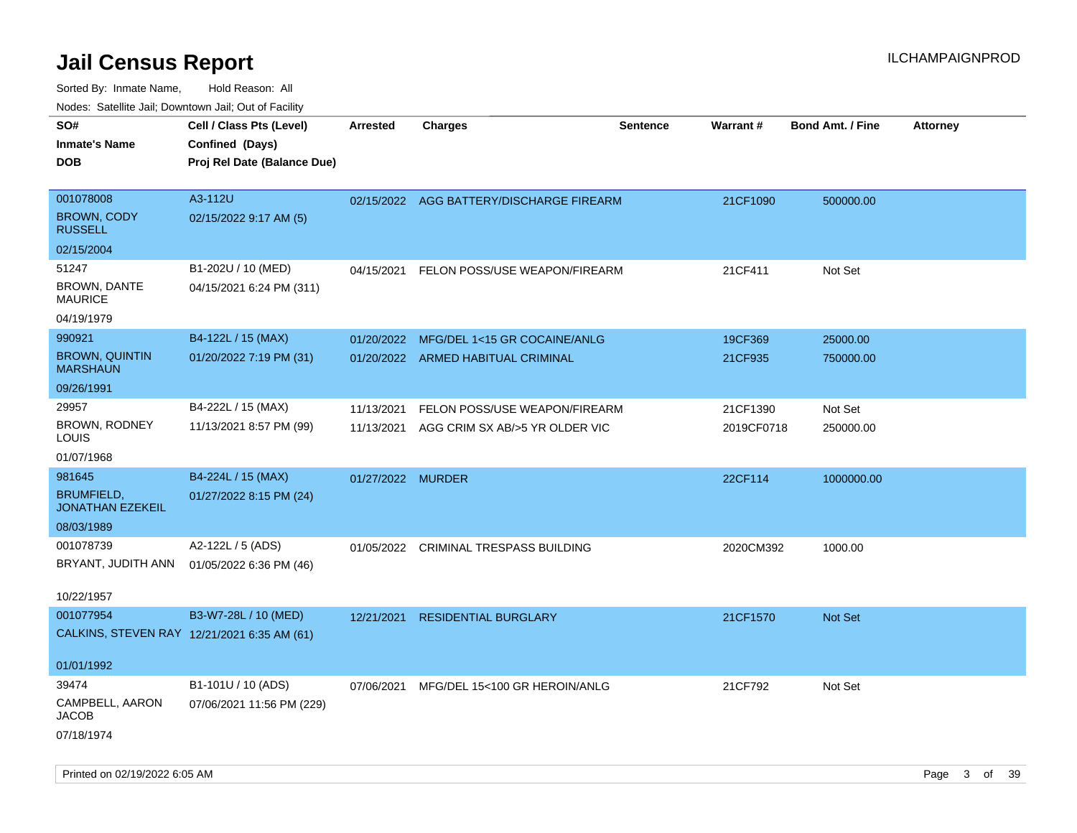| ivouss. Saleline Jali, Downtown Jali, Out of Facility |                                             |                   |                                          |                 |                 |                         |                 |
|-------------------------------------------------------|---------------------------------------------|-------------------|------------------------------------------|-----------------|-----------------|-------------------------|-----------------|
| SO#                                                   | Cell / Class Pts (Level)                    | <b>Arrested</b>   | <b>Charges</b>                           | <b>Sentence</b> | <b>Warrant#</b> | <b>Bond Amt. / Fine</b> | <b>Attorney</b> |
| Inmate's Name                                         | Confined (Days)                             |                   |                                          |                 |                 |                         |                 |
| DOB                                                   | Proj Rel Date (Balance Due)                 |                   |                                          |                 |                 |                         |                 |
|                                                       |                                             |                   |                                          |                 |                 |                         |                 |
| 001078008                                             | A3-112U                                     |                   | 02/15/2022 AGG BATTERY/DISCHARGE FIREARM |                 | 21CF1090        | 500000.00               |                 |
| <b>BROWN, CODY</b><br><b>RUSSELL</b>                  | 02/15/2022 9:17 AM (5)                      |                   |                                          |                 |                 |                         |                 |
| 02/15/2004                                            |                                             |                   |                                          |                 |                 |                         |                 |
| 51247                                                 | B1-202U / 10 (MED)                          | 04/15/2021        | FELON POSS/USE WEAPON/FIREARM            |                 | 21CF411         | Not Set                 |                 |
| <b>BROWN, DANTE</b><br>MAURICE                        | 04/15/2021 6:24 PM (311)                    |                   |                                          |                 |                 |                         |                 |
| 04/19/1979                                            |                                             |                   |                                          |                 |                 |                         |                 |
| 990921                                                | B4-122L / 15 (MAX)                          | 01/20/2022        | MFG/DEL 1<15 GR COCAINE/ANLG             |                 | 19CF369         | 25000.00                |                 |
| <b>BROWN, QUINTIN</b><br><b>MARSHAUN</b>              | 01/20/2022 7:19 PM (31)                     |                   | 01/20/2022 ARMED HABITUAL CRIMINAL       |                 | 21CF935         | 750000.00               |                 |
| 09/26/1991                                            |                                             |                   |                                          |                 |                 |                         |                 |
| 29957                                                 | B4-222L / 15 (MAX)                          | 11/13/2021        | FELON POSS/USE WEAPON/FIREARM            |                 | 21CF1390        | Not Set                 |                 |
| <b>BROWN, RODNEY</b><br>LOUIS                         | 11/13/2021 8:57 PM (99)                     | 11/13/2021        | AGG CRIM SX AB/>5 YR OLDER VIC           |                 | 2019CF0718      | 250000.00               |                 |
| 01/07/1968                                            |                                             |                   |                                          |                 |                 |                         |                 |
| 981645                                                | B4-224L / 15 (MAX)                          | 01/27/2022 MURDER |                                          |                 | 22CF114         | 1000000.00              |                 |
| <b>BRUMFIELD,</b><br><b>JONATHAN EZEKEIL</b>          | 01/27/2022 8:15 PM (24)                     |                   |                                          |                 |                 |                         |                 |
| 08/03/1989                                            |                                             |                   |                                          |                 |                 |                         |                 |
| 001078739                                             | A2-122L / 5 (ADS)                           |                   | 01/05/2022 CRIMINAL TRESPASS BUILDING    |                 | 2020CM392       | 1000.00                 |                 |
| BRYANT, JUDITH ANN                                    | 01/05/2022 6:36 PM (46)                     |                   |                                          |                 |                 |                         |                 |
|                                                       |                                             |                   |                                          |                 |                 |                         |                 |
| 10/22/1957                                            |                                             |                   |                                          |                 |                 |                         |                 |
| 001077954                                             | B3-W7-28L / 10 (MED)                        | 12/21/2021        | <b>RESIDENTIAL BURGLARY</b>              |                 | 21CF1570        | <b>Not Set</b>          |                 |
|                                                       | CALKINS, STEVEN RAY 12/21/2021 6:35 AM (61) |                   |                                          |                 |                 |                         |                 |
| 01/01/1992                                            |                                             |                   |                                          |                 |                 |                         |                 |
| 39474                                                 |                                             |                   |                                          |                 |                 |                         |                 |
| CAMPBELL, AARON                                       | B1-101U / 10 (ADS)                          | 07/06/2021        | MFG/DEL 15<100 GR HEROIN/ANLG            |                 | 21CF792         | Not Set                 |                 |
| JACOB                                                 | 07/06/2021 11:56 PM (229)                   |                   |                                          |                 |                 |                         |                 |
| 07/18/1974                                            |                                             |                   |                                          |                 |                 |                         |                 |
|                                                       |                                             |                   |                                          |                 |                 |                         |                 |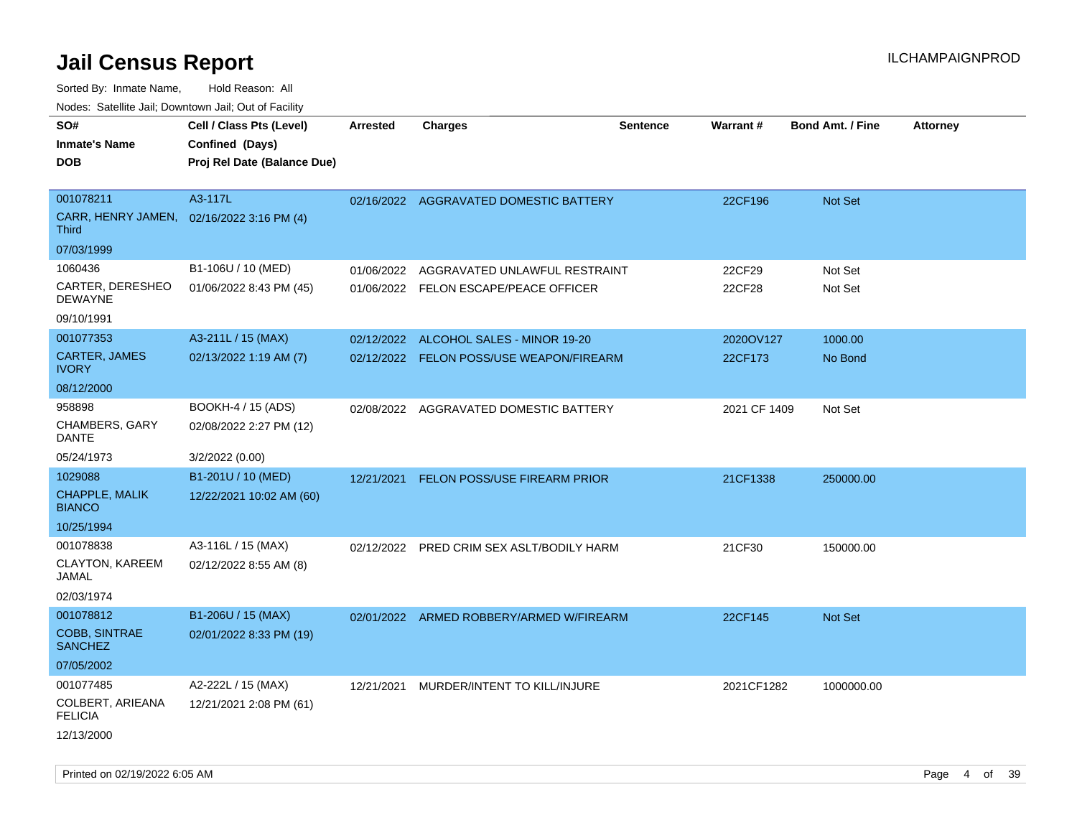| rouco. Calcillo Jali, Downtown Jali, Out of Facility              |                                                                            |                 |                                                                                    |                 |                      |                         |                 |
|-------------------------------------------------------------------|----------------------------------------------------------------------------|-----------------|------------------------------------------------------------------------------------|-----------------|----------------------|-------------------------|-----------------|
| SO#<br><b>Inmate's Name</b><br>DOB                                | Cell / Class Pts (Level)<br>Confined (Days)<br>Proj Rel Date (Balance Due) | <b>Arrested</b> | <b>Charges</b>                                                                     | <b>Sentence</b> | <b>Warrant#</b>      | <b>Bond Amt. / Fine</b> | <b>Attorney</b> |
| 001078211<br>CARR, HENRY JAMEN, 02/16/2022 3:16 PM (4)<br>Third   | A3-117L                                                                    |                 | 02/16/2022 AGGRAVATED DOMESTIC BATTERY                                             |                 | 22CF196              | Not Set                 |                 |
| 07/03/1999<br>1060436<br>CARTER, DERESHEO<br>DEWAYNE              | B1-106U / 10 (MED)<br>01/06/2022 8:43 PM (45)                              | 01/06/2022      | AGGRAVATED UNLAWFUL RESTRAINT<br>01/06/2022 FELON ESCAPE/PEACE OFFICER             |                 | 22CF29<br>22CF28     | Not Set<br>Not Set      |                 |
| 09/10/1991<br>001077353<br><b>CARTER, JAMES</b><br><b>IVORY</b>   | A3-211L / 15 (MAX)<br>02/13/2022 1:19 AM (7)                               |                 | 02/12/2022 ALCOHOL SALES - MINOR 19-20<br>02/12/2022 FELON POSS/USE WEAPON/FIREARM |                 | 2020OV127<br>22CF173 | 1000.00<br>No Bond      |                 |
| 08/12/2000<br>958898<br>CHAMBERS, GARY<br>DANTE<br>05/24/1973     | BOOKH-4 / 15 (ADS)<br>02/08/2022 2:27 PM (12)<br>3/2/2022 (0.00)           |                 | 02/08/2022 AGGRAVATED DOMESTIC BATTERY                                             |                 | 2021 CF 1409         | Not Set                 |                 |
| 1029088<br><b>CHAPPLE, MALIK</b><br><b>BIANCO</b>                 | B1-201U / 10 (MED)<br>12/22/2021 10:02 AM (60)                             | 12/21/2021      | <b>FELON POSS/USE FIREARM PRIOR</b>                                                |                 | 21CF1338             | 250000.00               |                 |
| 10/25/1994<br>001078838<br>CLAYTON, KAREEM<br>JAMAL<br>02/03/1974 | A3-116L / 15 (MAX)<br>02/12/2022 8:55 AM (8)                               |                 | 02/12/2022 PRED CRIM SEX ASLT/BODILY HARM                                          |                 | 21CF30               | 150000.00               |                 |
| 001078812<br><b>COBB, SINTRAE</b><br><b>SANCHEZ</b><br>07/05/2002 | B1-206U / 15 (MAX)<br>02/01/2022 8:33 PM (19)                              |                 | 02/01/2022 ARMED ROBBERY/ARMED W/FIREARM                                           |                 | 22CF145              | Not Set                 |                 |
| 001077485<br>COLBERT, ARIEANA<br><b>FELICIA</b><br>12/13/2000     | A2-222L / 15 (MAX)<br>12/21/2021 2:08 PM (61)                              |                 | 12/21/2021 MURDER/INTENT TO KILL/INJURE                                            |                 | 2021CF1282           | 1000000.00              |                 |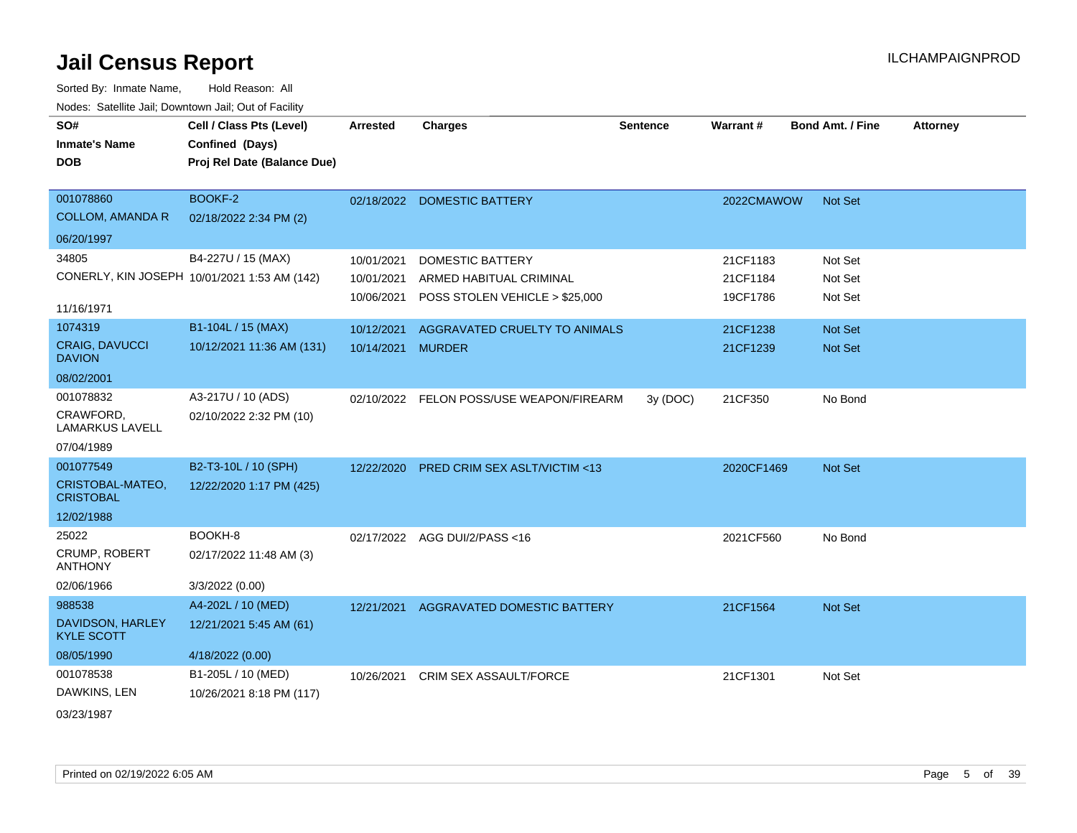| roaco. Calcinio dan, Downtown dan, Out or Fability |                                              |                   |                                          |                 |                 |                         |                 |
|----------------------------------------------------|----------------------------------------------|-------------------|------------------------------------------|-----------------|-----------------|-------------------------|-----------------|
| SO#                                                | Cell / Class Pts (Level)                     | <b>Arrested</b>   | <b>Charges</b>                           | <b>Sentence</b> | <b>Warrant#</b> | <b>Bond Amt. / Fine</b> | <b>Attorney</b> |
| <b>Inmate's Name</b>                               | Confined (Days)                              |                   |                                          |                 |                 |                         |                 |
| <b>DOB</b>                                         | Proj Rel Date (Balance Due)                  |                   |                                          |                 |                 |                         |                 |
|                                                    |                                              |                   |                                          |                 |                 |                         |                 |
| 001078860                                          | BOOKF-2                                      |                   | 02/18/2022 DOMESTIC BATTERY              |                 | 2022CMAWOW      | Not Set                 |                 |
| <b>COLLOM, AMANDA R</b>                            | 02/18/2022 2:34 PM (2)                       |                   |                                          |                 |                 |                         |                 |
| 06/20/1997                                         |                                              |                   |                                          |                 |                 |                         |                 |
| 34805                                              | B4-227U / 15 (MAX)                           | 10/01/2021        | <b>DOMESTIC BATTERY</b>                  |                 | 21CF1183        | Not Set                 |                 |
|                                                    | CONERLY, KIN JOSEPH 10/01/2021 1:53 AM (142) | 10/01/2021        | ARMED HABITUAL CRIMINAL                  |                 | 21CF1184        | Not Set                 |                 |
|                                                    |                                              | 10/06/2021        | POSS STOLEN VEHICLE > \$25,000           |                 | 19CF1786        | Not Set                 |                 |
| 11/16/1971                                         |                                              |                   |                                          |                 |                 |                         |                 |
| 1074319                                            | B1-104L / 15 (MAX)                           | 10/12/2021        | AGGRAVATED CRUELTY TO ANIMALS            |                 | 21CF1238        | Not Set                 |                 |
| <b>CRAIG, DAVUCCI</b><br><b>DAVION</b>             | 10/12/2021 11:36 AM (131)                    | 10/14/2021 MURDER |                                          |                 | 21CF1239        | Not Set                 |                 |
| 08/02/2001                                         |                                              |                   |                                          |                 |                 |                         |                 |
| 001078832                                          | A3-217U / 10 (ADS)                           |                   | 02/10/2022 FELON POSS/USE WEAPON/FIREARM | 3y(DOC)         | 21CF350         | No Bond                 |                 |
| CRAWFORD,<br><b>LAMARKUS LAVELL</b>                | 02/10/2022 2:32 PM (10)                      |                   |                                          |                 |                 |                         |                 |
| 07/04/1989                                         |                                              |                   |                                          |                 |                 |                         |                 |
| 001077549                                          | B2-T3-10L / 10 (SPH)                         | 12/22/2020        | <b>PRED CRIM SEX ASLT/VICTIM &lt;13</b>  |                 | 2020CF1469      | <b>Not Set</b>          |                 |
| CRISTOBAL-MATEO,<br><b>CRISTOBAL</b>               | 12/22/2020 1:17 PM (425)                     |                   |                                          |                 |                 |                         |                 |
| 12/02/1988                                         |                                              |                   |                                          |                 |                 |                         |                 |
| 25022                                              | BOOKH-8                                      |                   | 02/17/2022 AGG DUI/2/PASS<16             |                 | 2021CF560       | No Bond                 |                 |
| <b>CRUMP, ROBERT</b><br><b>ANTHONY</b>             | 02/17/2022 11:48 AM (3)                      |                   |                                          |                 |                 |                         |                 |
| 02/06/1966                                         | 3/3/2022 (0.00)                              |                   |                                          |                 |                 |                         |                 |
| 988538                                             | A4-202L / 10 (MED)                           |                   | 12/21/2021 AGGRAVATED DOMESTIC BATTERY   |                 | 21CF1564        | <b>Not Set</b>          |                 |
| DAVIDSON, HARLEY<br><b>KYLE SCOTT</b>              | 12/21/2021 5:45 AM (61)                      |                   |                                          |                 |                 |                         |                 |
| 08/05/1990                                         | 4/18/2022 (0.00)                             |                   |                                          |                 |                 |                         |                 |
| 001078538                                          | B1-205L / 10 (MED)                           | 10/26/2021        | <b>CRIM SEX ASSAULT/FORCE</b>            |                 | 21CF1301        | Not Set                 |                 |
| DAWKINS, LEN                                       | 10/26/2021 8:18 PM (117)                     |                   |                                          |                 |                 |                         |                 |
| 03/23/1987                                         |                                              |                   |                                          |                 |                 |                         |                 |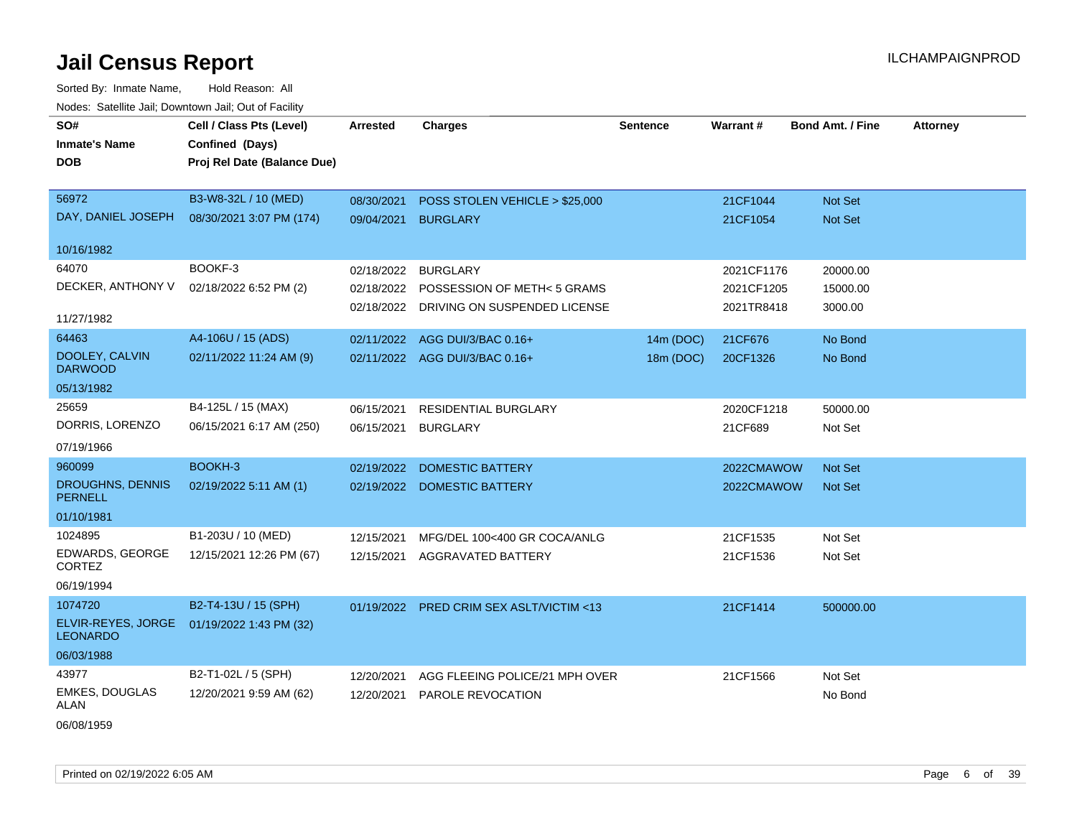Sorted By: Inmate Name, Hold Reason: All Nodes: Satellite Jail; Downtown Jail; Out of Facility

| SO#                                   | Cell / Class Pts (Level)    | <b>Arrested</b> | <b>Charges</b>                          | <b>Sentence</b> | Warrant#   | <b>Bond Amt. / Fine</b> | <b>Attorney</b> |
|---------------------------------------|-----------------------------|-----------------|-----------------------------------------|-----------------|------------|-------------------------|-----------------|
| <b>Inmate's Name</b>                  | Confined (Days)             |                 |                                         |                 |            |                         |                 |
| <b>DOB</b>                            | Proj Rel Date (Balance Due) |                 |                                         |                 |            |                         |                 |
|                                       |                             |                 |                                         |                 |            |                         |                 |
| 56972                                 | B3-W8-32L / 10 (MED)        | 08/30/2021      | POSS STOLEN VEHICLE > \$25,000          |                 | 21CF1044   | Not Set                 |                 |
| DAY, DANIEL JOSEPH                    | 08/30/2021 3:07 PM (174)    | 09/04/2021      | <b>BURGLARY</b>                         |                 | 21CF1054   | Not Set                 |                 |
| 10/16/1982                            |                             |                 |                                         |                 |            |                         |                 |
| 64070                                 | BOOKF-3                     | 02/18/2022      | <b>BURGLARY</b>                         |                 | 2021CF1176 | 20000.00                |                 |
| DECKER, ANTHONY V                     | 02/18/2022 6:52 PM (2)      | 02/18/2022      | POSSESSION OF METH< 5 GRAMS             |                 | 2021CF1205 | 15000.00                |                 |
|                                       |                             |                 | 02/18/2022 DRIVING ON SUSPENDED LICENSE |                 | 2021TR8418 | 3000.00                 |                 |
| 11/27/1982                            |                             |                 |                                         |                 |            |                         |                 |
| 64463                                 | A4-106U / 15 (ADS)          |                 | 02/11/2022 AGG DUI/3/BAC 0.16+          | 14m (DOC)       | 21CF676    | No Bond                 |                 |
| DOOLEY, CALVIN<br><b>DARWOOD</b>      | 02/11/2022 11:24 AM (9)     |                 | 02/11/2022 AGG DUI/3/BAC 0.16+          | 18m (DOC)       | 20CF1326   | No Bond                 |                 |
| 05/13/1982                            |                             |                 |                                         |                 |            |                         |                 |
| 25659                                 | B4-125L / 15 (MAX)          | 06/15/2021      | RESIDENTIAL BURGLARY                    |                 | 2020CF1218 | 50000.00                |                 |
| DORRIS, LORENZO                       | 06/15/2021 6:17 AM (250)    | 06/15/2021      | <b>BURGLARY</b>                         |                 | 21CF689    | Not Set                 |                 |
| 07/19/1966                            |                             |                 |                                         |                 |            |                         |                 |
| 960099                                | BOOKH-3                     | 02/19/2022      | <b>DOMESTIC BATTERY</b>                 |                 | 2022CMAWOW | Not Set                 |                 |
| DROUGHNS, DENNIS                      | 02/19/2022 5:11 AM (1)      |                 | 02/19/2022 DOMESTIC BATTERY             |                 | 2022CMAWOW | <b>Not Set</b>          |                 |
| <b>PERNELL</b>                        |                             |                 |                                         |                 |            |                         |                 |
| 01/10/1981                            |                             |                 |                                         |                 |            |                         |                 |
| 1024895                               | B1-203U / 10 (MED)          | 12/15/2021      | MFG/DEL 100<400 GR COCA/ANLG            |                 | 21CF1535   | Not Set                 |                 |
| EDWARDS, GEORGE<br><b>CORTEZ</b>      | 12/15/2021 12:26 PM (67)    | 12/15/2021      | <b>AGGRAVATED BATTERY</b>               |                 | 21CF1536   | Not Set                 |                 |
| 06/19/1994                            |                             |                 |                                         |                 |            |                         |                 |
| 1074720                               | B2-T4-13U / 15 (SPH)        | 01/19/2022      | PRED CRIM SEX ASLT/VICTIM <13           |                 | 21CF1414   | 500000.00               |                 |
| ELVIR-REYES, JORGE<br><b>LEONARDO</b> | 01/19/2022 1:43 PM (32)     |                 |                                         |                 |            |                         |                 |
| 06/03/1988                            |                             |                 |                                         |                 |            |                         |                 |
| 43977                                 | B2-T1-02L / 5 (SPH)         | 12/20/2021      | AGG FLEEING POLICE/21 MPH OVER          |                 | 21CF1566   | Not Set                 |                 |
| <b>EMKES, DOUGLAS</b><br>ALAN         | 12/20/2021 9:59 AM (62)     | 12/20/2021      | PAROLE REVOCATION                       |                 |            | No Bond                 |                 |
| 0.010011000                           |                             |                 |                                         |                 |            |                         |                 |

06/08/1959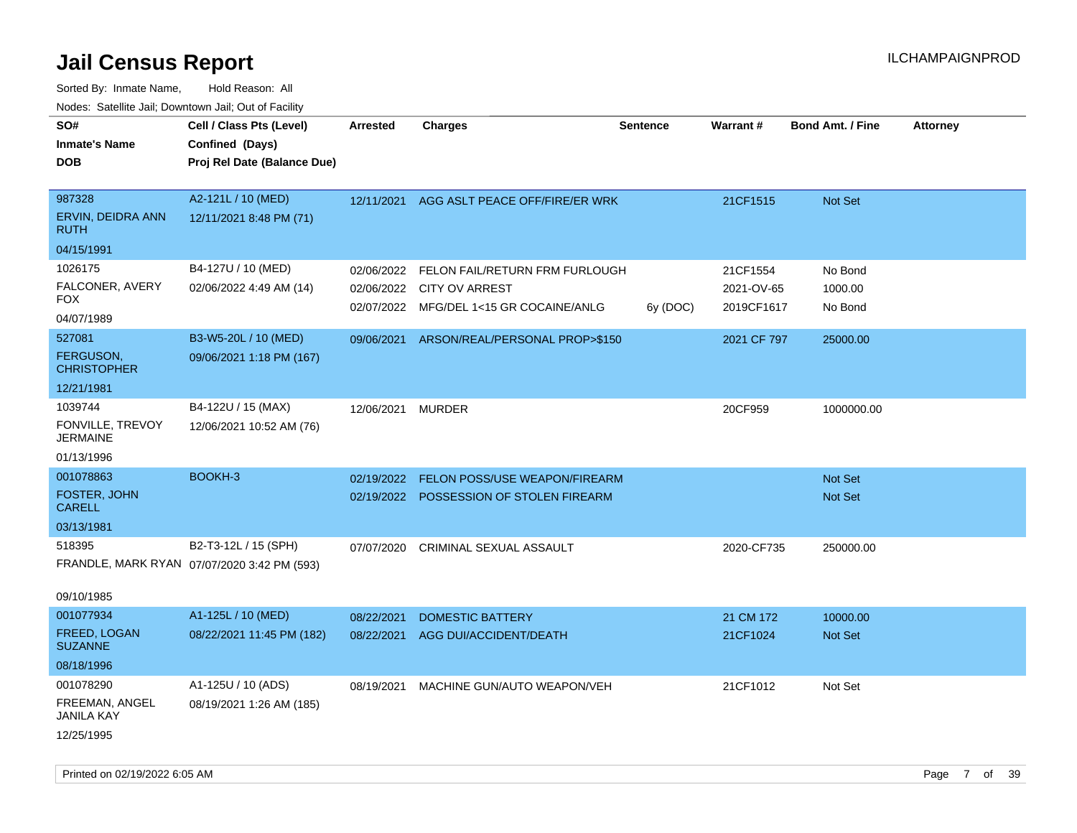| Todoo. Catolino can, Bowritown can, Oat or I domt<br>SO#<br><b>Inmate's Name</b><br><b>DOB</b> | Cell / Class Pts (Level)<br>Confined (Days)<br>Proj Rel Date (Balance Due) | Arrested                 | <b>Charges</b>                                                                                     | <b>Sentence</b> | <b>Warrant#</b>                      | <b>Bond Amt. / Fine</b>       | <b>Attorney</b> |
|------------------------------------------------------------------------------------------------|----------------------------------------------------------------------------|--------------------------|----------------------------------------------------------------------------------------------------|-----------------|--------------------------------------|-------------------------------|-----------------|
| 987328<br>ERVIN, DEIDRA ANN<br><b>RUTH</b>                                                     | A2-121L / 10 (MED)<br>12/11/2021 8:48 PM (71)                              | 12/11/2021               | AGG ASLT PEACE OFF/FIRE/ER WRK                                                                     |                 | 21CF1515                             | Not Set                       |                 |
| 04/15/1991                                                                                     |                                                                            |                          |                                                                                                    |                 |                                      |                               |                 |
| 1026175<br>FALCONER, AVERY<br><b>FOX</b><br>04/07/1989                                         | B4-127U / 10 (MED)<br>02/06/2022 4:49 AM (14)                              | 02/06/2022<br>02/06/2022 | FELON FAIL/RETURN FRM FURLOUGH<br><b>CITY OV ARREST</b><br>02/07/2022 MFG/DEL 1<15 GR COCAINE/ANLG | 6y (DOC)        | 21CF1554<br>2021-OV-65<br>2019CF1617 | No Bond<br>1000.00<br>No Bond |                 |
| 527081<br>FERGUSON,<br><b>CHRISTOPHER</b>                                                      | B3-W5-20L / 10 (MED)<br>09/06/2021 1:18 PM (167)                           | 09/06/2021               | ARSON/REAL/PERSONAL PROP>\$150                                                                     |                 | 2021 CF 797                          | 25000.00                      |                 |
| 12/21/1981<br>1039744<br>FONVILLE, TREVOY<br><b>JERMAINE</b><br>01/13/1996                     | B4-122U / 15 (MAX)<br>12/06/2021 10:52 AM (76)                             | 12/06/2021               | <b>MURDER</b>                                                                                      |                 | 20CF959                              | 1000000.00                    |                 |
| 001078863<br>FOSTER, JOHN<br><b>CARELL</b><br>03/13/1981                                       | BOOKH-3                                                                    | 02/19/2022               | FELON POSS/USE WEAPON/FIREARM<br>02/19/2022 POSSESSION OF STOLEN FIREARM                           |                 |                                      | <b>Not Set</b><br>Not Set     |                 |
| 518395<br>09/10/1985                                                                           | B2-T3-12L / 15 (SPH)<br>FRANDLE, MARK RYAN 07/07/2020 3:42 PM (593)        |                          | 07/07/2020 CRIMINAL SEXUAL ASSAULT                                                                 |                 | 2020-CF735                           | 250000.00                     |                 |
| 001077934<br>FREED, LOGAN<br><b>SUZANNE</b><br>08/18/1996                                      | A1-125L / 10 (MED)<br>08/22/2021 11:45 PM (182)                            | 08/22/2021<br>08/22/2021 | <b>DOMESTIC BATTERY</b><br>AGG DUI/ACCIDENT/DEATH                                                  |                 | 21 CM 172<br>21CF1024                | 10000.00<br><b>Not Set</b>    |                 |
| 001078290<br>FREEMAN, ANGEL<br><b>JANILA KAY</b><br>12/25/1995                                 | A1-125U / 10 (ADS)<br>08/19/2021 1:26 AM (185)                             | 08/19/2021               | MACHINE GUN/AUTO WEAPON/VEH                                                                        |                 | 21CF1012                             | Not Set                       |                 |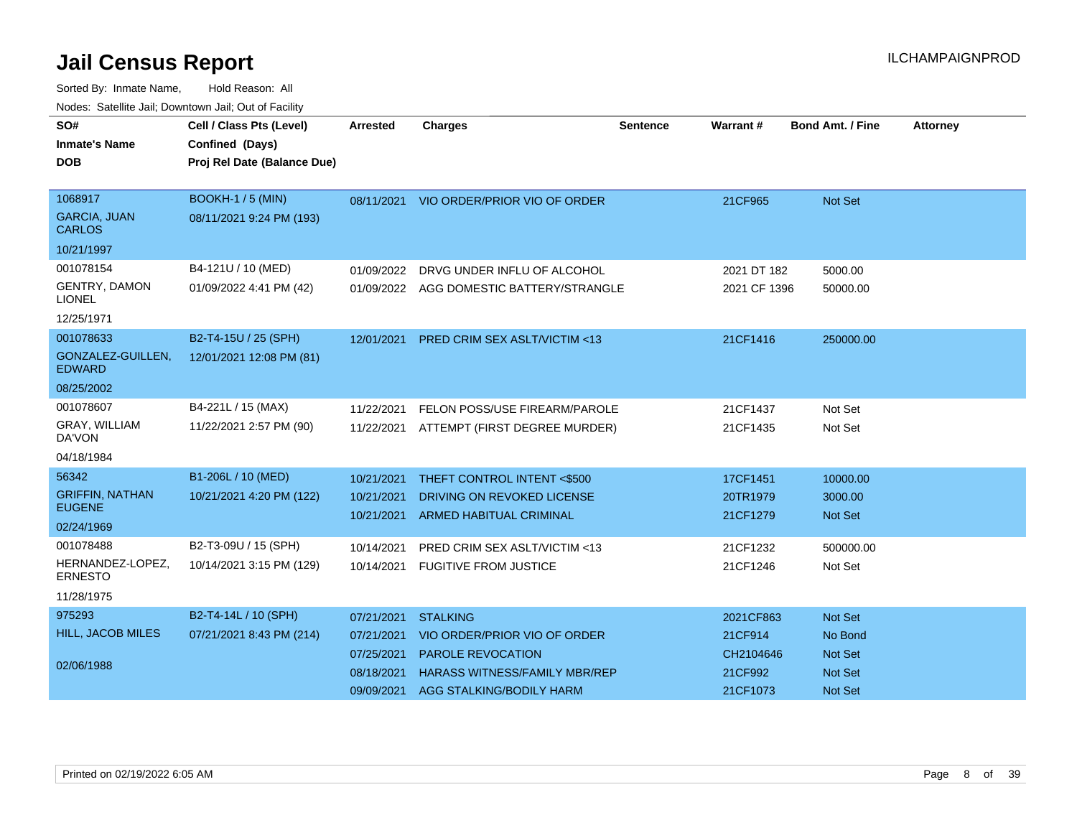| SO#<br><b>Inmate's Name</b><br><b>DOB</b>                        | Cell / Class Pts (Level)<br>Confined (Days)<br>Proj Rel Date (Balance Due) | <b>Arrested</b>                                                    | <b>Charges</b>                                                                                                                                  | <b>Sentence</b> | Warrant #                                                | <b>Bond Amt. / Fine</b>                                    | <b>Attorney</b> |
|------------------------------------------------------------------|----------------------------------------------------------------------------|--------------------------------------------------------------------|-------------------------------------------------------------------------------------------------------------------------------------------------|-----------------|----------------------------------------------------------|------------------------------------------------------------|-----------------|
| 1068917<br><b>GARCIA, JUAN</b><br><b>CARLOS</b><br>10/21/1997    | <b>BOOKH-1 / 5 (MIN)</b><br>08/11/2021 9:24 PM (193)                       | 08/11/2021                                                         | VIO ORDER/PRIOR VIO OF ORDER                                                                                                                    |                 | 21CF965                                                  | Not Set                                                    |                 |
| 001078154<br><b>GENTRY, DAMON</b><br><b>LIONEL</b><br>12/25/1971 | B4-121U / 10 (MED)<br>01/09/2022 4:41 PM (42)                              | 01/09/2022<br>01/09/2022                                           | DRVG UNDER INFLU OF ALCOHOL<br>AGG DOMESTIC BATTERY/STRANGLE                                                                                    |                 | 2021 DT 182<br>2021 CF 1396                              | 5000.00<br>50000.00                                        |                 |
| 001078633<br>GONZALEZ-GUILLEN,<br><b>EDWARD</b><br>08/25/2002    | B2-T4-15U / 25 (SPH)<br>12/01/2021 12:08 PM (81)                           | 12/01/2021                                                         | <b>PRED CRIM SEX ASLT/VICTIM &lt;13</b>                                                                                                         |                 | 21CF1416                                                 | 250000.00                                                  |                 |
| 001078607<br>GRAY, WILLIAM<br>DA'VON<br>04/18/1984               | B4-221L / 15 (MAX)<br>11/22/2021 2:57 PM (90)                              | 11/22/2021<br>11/22/2021                                           | FELON POSS/USE FIREARM/PAROLE<br>ATTEMPT (FIRST DEGREE MURDER)                                                                                  |                 | 21CF1437<br>21CF1435                                     | Not Set<br>Not Set                                         |                 |
| 56342<br><b>GRIFFIN, NATHAN</b><br><b>EUGENE</b><br>02/24/1969   | B1-206L / 10 (MED)<br>10/21/2021 4:20 PM (122)                             | 10/21/2021<br>10/21/2021<br>10/21/2021                             | THEFT CONTROL INTENT <\$500<br>DRIVING ON REVOKED LICENSE<br><b>ARMED HABITUAL CRIMINAL</b>                                                     |                 | 17CF1451<br>20TR1979<br>21CF1279                         | 10000.00<br>3000.00<br><b>Not Set</b>                      |                 |
| 001078488<br>HERNANDEZ-LOPEZ,<br><b>ERNESTO</b><br>11/28/1975    | B2-T3-09U / 15 (SPH)<br>10/14/2021 3:15 PM (129)                           | 10/14/2021                                                         | <b>PRED CRIM SEX ASLT/VICTIM &lt;13</b><br>10/14/2021 FUGITIVE FROM JUSTICE                                                                     |                 | 21CF1232<br>21CF1246                                     | 500000.00<br>Not Set                                       |                 |
| 975293<br>HILL, JACOB MILES<br>02/06/1988                        | B2-T4-14L / 10 (SPH)<br>07/21/2021 8:43 PM (214)                           | 07/21/2021<br>07/21/2021<br>07/25/2021<br>08/18/2021<br>09/09/2021 | <b>STALKING</b><br>VIO ORDER/PRIOR VIO OF ORDER<br><b>PAROLE REVOCATION</b><br><b>HARASS WITNESS/FAMILY MBR/REP</b><br>AGG STALKING/BODILY HARM |                 | 2021CF863<br>21CF914<br>CH2104646<br>21CF992<br>21CF1073 | Not Set<br>No Bond<br><b>Not Set</b><br>Not Set<br>Not Set |                 |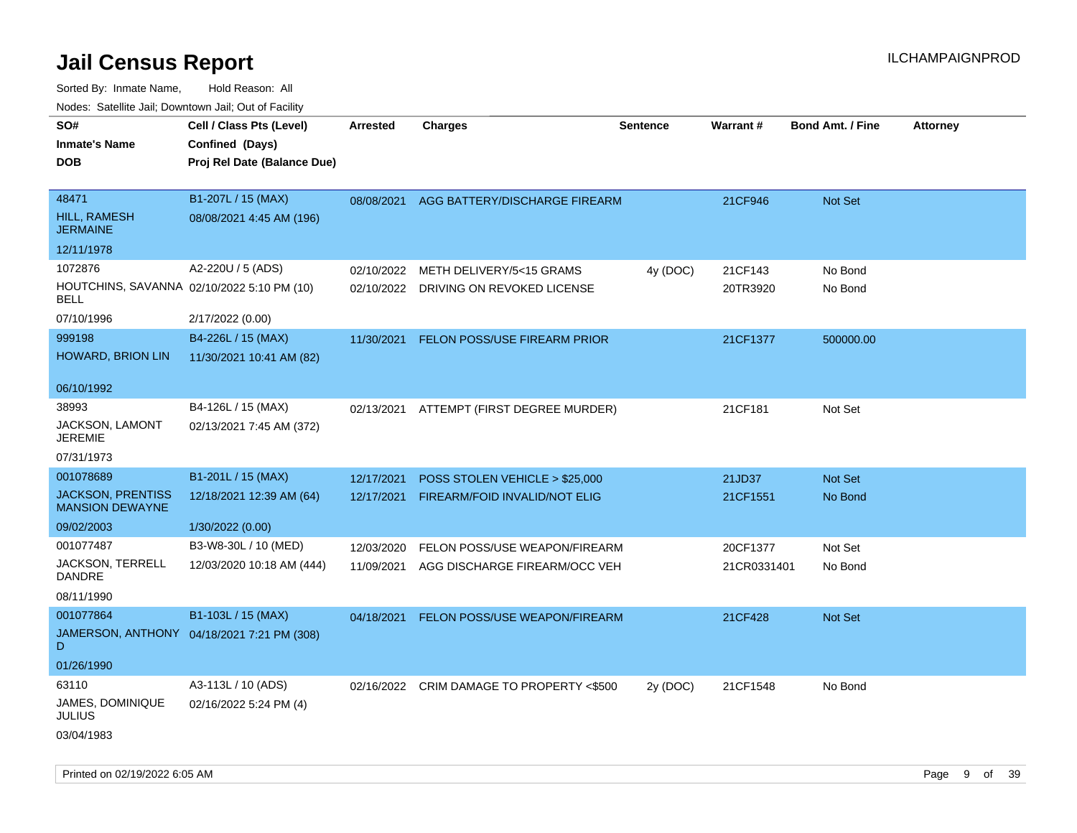| roaco. Catolino cali, Downtown cali, Out of Facility |                                            |                 |                                           |                 |             |                         |                 |
|------------------------------------------------------|--------------------------------------------|-----------------|-------------------------------------------|-----------------|-------------|-------------------------|-----------------|
| SO#                                                  | Cell / Class Pts (Level)                   | <b>Arrested</b> | <b>Charges</b>                            | <b>Sentence</b> | Warrant#    | <b>Bond Amt. / Fine</b> | <b>Attorney</b> |
| <b>Inmate's Name</b>                                 | Confined (Days)                            |                 |                                           |                 |             |                         |                 |
| <b>DOB</b>                                           | Proj Rel Date (Balance Due)                |                 |                                           |                 |             |                         |                 |
|                                                      |                                            |                 |                                           |                 |             |                         |                 |
| 48471                                                | B1-207L / 15 (MAX)                         | 08/08/2021      | AGG BATTERY/DISCHARGE FIREARM             |                 | 21CF946     | Not Set                 |                 |
| <b>HILL, RAMESH</b><br><b>JERMAINE</b>               | 08/08/2021 4:45 AM (196)                   |                 |                                           |                 |             |                         |                 |
| 12/11/1978                                           |                                            |                 |                                           |                 |             |                         |                 |
| 1072876                                              | A2-220U / 5 (ADS)                          | 02/10/2022      | METH DELIVERY/5<15 GRAMS                  | 4y (DOC)        | 21CF143     | No Bond                 |                 |
| HOUTCHINS, SAVANNA 02/10/2022 5:10 PM (10)<br>BELL   |                                            |                 | 02/10/2022 DRIVING ON REVOKED LICENSE     |                 | 20TR3920    | No Bond                 |                 |
| 07/10/1996                                           | 2/17/2022 (0.00)                           |                 |                                           |                 |             |                         |                 |
| 999198                                               | B4-226L / 15 (MAX)                         | 11/30/2021      | FELON POSS/USE FIREARM PRIOR              |                 | 21CF1377    | 500000.00               |                 |
| <b>HOWARD, BRION LIN</b>                             | 11/30/2021 10:41 AM (82)                   |                 |                                           |                 |             |                         |                 |
|                                                      |                                            |                 |                                           |                 |             |                         |                 |
| 06/10/1992                                           |                                            |                 |                                           |                 |             |                         |                 |
| 38993                                                | B4-126L / 15 (MAX)                         | 02/13/2021      | ATTEMPT (FIRST DEGREE MURDER)             |                 | 21CF181     | Not Set                 |                 |
| JACKSON, LAMONT<br><b>JEREMIE</b>                    | 02/13/2021 7:45 AM (372)                   |                 |                                           |                 |             |                         |                 |
| 07/31/1973                                           |                                            |                 |                                           |                 |             |                         |                 |
| 001078689                                            | B1-201L / 15 (MAX)                         | 12/17/2021      | POSS STOLEN VEHICLE > \$25,000            |                 | 21JD37      | <b>Not Set</b>          |                 |
| <b>JACKSON, PRENTISS</b><br><b>MANSION DEWAYNE</b>   | 12/18/2021 12:39 AM (64)                   | 12/17/2021      | FIREARM/FOID INVALID/NOT ELIG             |                 | 21CF1551    | No Bond                 |                 |
| 09/02/2003                                           | 1/30/2022 (0.00)                           |                 |                                           |                 |             |                         |                 |
| 001077487                                            | B3-W8-30L / 10 (MED)                       | 12/03/2020      | FELON POSS/USE WEAPON/FIREARM             |                 | 20CF1377    | Not Set                 |                 |
| JACKSON, TERRELL<br>DANDRE                           | 12/03/2020 10:18 AM (444)                  | 11/09/2021      | AGG DISCHARGE FIREARM/OCC VEH             |                 | 21CR0331401 | No Bond                 |                 |
| 08/11/1990                                           |                                            |                 |                                           |                 |             |                         |                 |
| 001077864                                            | B1-103L / 15 (MAX)                         | 04/18/2021      | FELON POSS/USE WEAPON/FIREARM             |                 | 21CF428     | Not Set                 |                 |
| D                                                    | JAMERSON, ANTHONY 04/18/2021 7:21 PM (308) |                 |                                           |                 |             |                         |                 |
| 01/26/1990                                           |                                            |                 |                                           |                 |             |                         |                 |
| 63110                                                | A3-113L / 10 (ADS)                         |                 | 02/16/2022 CRIM DAMAGE TO PROPERTY <\$500 | 2y (DOC)        | 21CF1548    | No Bond                 |                 |
| JAMES, DOMINIQUE<br>JULIUS                           | 02/16/2022 5:24 PM (4)                     |                 |                                           |                 |             |                         |                 |
| 03/04/1983                                           |                                            |                 |                                           |                 |             |                         |                 |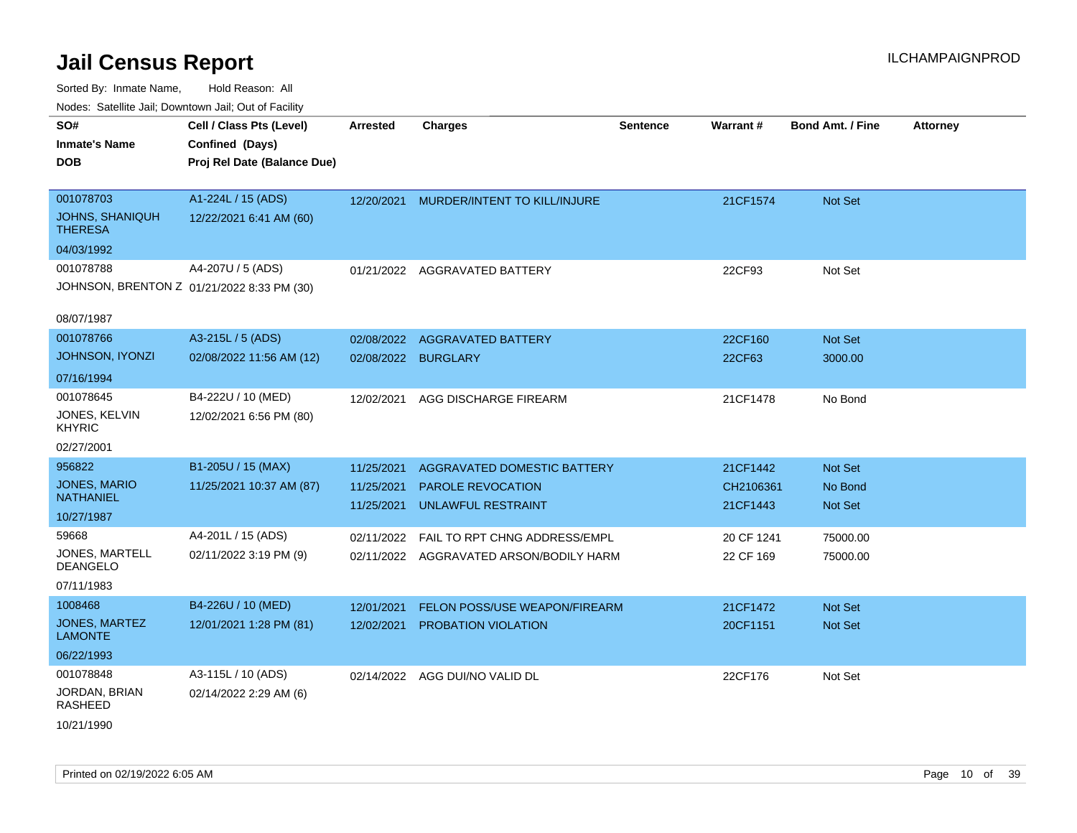| <b>NOULD:</b> Catoline can, Downtown can, Out of Fability                                                     |                                                                                                |                                                      |                                                                                                                                                                         |                 |                                                              |                                                       |                 |
|---------------------------------------------------------------------------------------------------------------|------------------------------------------------------------------------------------------------|------------------------------------------------------|-------------------------------------------------------------------------------------------------------------------------------------------------------------------------|-----------------|--------------------------------------------------------------|-------------------------------------------------------|-----------------|
| SO#<br><b>Inmate's Name</b><br><b>DOB</b>                                                                     | Cell / Class Pts (Level)<br>Confined (Days)<br>Proj Rel Date (Balance Due)                     | <b>Arrested</b>                                      | <b>Charges</b>                                                                                                                                                          | <b>Sentence</b> | Warrant#                                                     | <b>Bond Amt. / Fine</b>                               | <b>Attorney</b> |
| 001078703<br><b>JOHNS, SHANIQUH</b><br><b>THERESA</b><br>04/03/1992                                           | A1-224L / 15 (ADS)<br>12/22/2021 6:41 AM (60)                                                  | 12/20/2021                                           | MURDER/INTENT TO KILL/INJURE                                                                                                                                            |                 | 21CF1574                                                     | Not Set                                               |                 |
| 001078788<br>JOHNSON, BRENTON Z 01/21/2022 8:33 PM (30)<br>08/07/1987                                         | A4-207U / 5 (ADS)                                                                              |                                                      | 01/21/2022 AGGRAVATED BATTERY                                                                                                                                           |                 | 22CF93                                                       | Not Set                                               |                 |
| 001078766<br><b>JOHNSON, IYONZI</b><br>07/16/1994                                                             | A3-215L / 5 (ADS)<br>02/08/2022 11:56 AM (12)                                                  | 02/08/2022<br>02/08/2022 BURGLARY                    | <b>AGGRAVATED BATTERY</b>                                                                                                                                               |                 | 22CF160<br>22CF63                                            | Not Set<br>3000.00                                    |                 |
| 001078645<br>JONES, KELVIN<br><b>KHYRIC</b><br>02/27/2001                                                     | B4-222U / 10 (MED)<br>12/02/2021 6:56 PM (80)                                                  | 12/02/2021                                           | AGG DISCHARGE FIREARM                                                                                                                                                   |                 | 21CF1478                                                     | No Bond                                               |                 |
| 956822<br><b>JONES, MARIO</b><br><b>NATHANIEL</b><br>10/27/1987<br>59668<br>JONES, MARTELL<br><b>DEANGELO</b> | B1-205U / 15 (MAX)<br>11/25/2021 10:37 AM (87)<br>A4-201L / 15 (ADS)<br>02/11/2022 3:19 PM (9) | 11/25/2021<br>11/25/2021<br>11/25/2021<br>02/11/2022 | AGGRAVATED DOMESTIC BATTERY<br><b>PAROLE REVOCATION</b><br><b>UNLAWFUL RESTRAINT</b><br><b>FAIL TO RPT CHNG ADDRESS/EMPL</b><br>02/11/2022 AGGRAVATED ARSON/BODILY HARM |                 | 21CF1442<br>CH2106361<br>21CF1443<br>20 CF 1241<br>22 CF 169 | Not Set<br>No Bond<br>Not Set<br>75000.00<br>75000.00 |                 |
| 07/11/1983<br>1008468<br><b>JONES, MARTEZ</b><br><b>LAMONTE</b><br>06/22/1993                                 | B4-226U / 10 (MED)<br>12/01/2021 1:28 PM (81)                                                  | 12/01/2021<br>12/02/2021                             | FELON POSS/USE WEAPON/FIREARM<br><b>PROBATION VIOLATION</b>                                                                                                             |                 | 21CF1472<br>20CF1151                                         | <b>Not Set</b><br><b>Not Set</b>                      |                 |
| 001078848<br>JORDAN, BRIAN<br><b>RASHEED</b><br>10/21/1990                                                    | A3-115L / 10 (ADS)<br>02/14/2022 2:29 AM (6)                                                   |                                                      | 02/14/2022 AGG DUI/NO VALID DL                                                                                                                                          |                 | 22CF176                                                      | Not Set                                               |                 |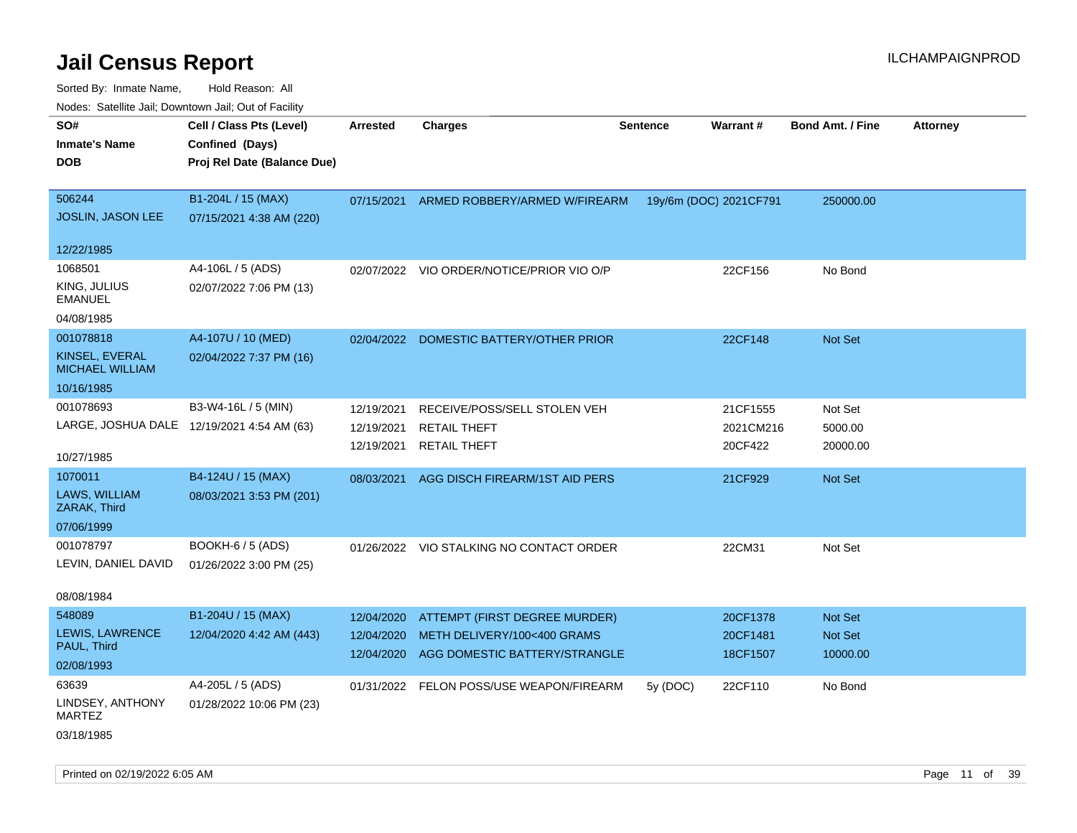| roaco. Odichile Jan, Downtown Jan, Out of Facility      |                                                                            |                                        |                                                                                               |                 |                                  |                                       |                 |
|---------------------------------------------------------|----------------------------------------------------------------------------|----------------------------------------|-----------------------------------------------------------------------------------------------|-----------------|----------------------------------|---------------------------------------|-----------------|
| SO#<br><b>Inmate's Name</b><br><b>DOB</b>               | Cell / Class Pts (Level)<br>Confined (Days)<br>Proj Rel Date (Balance Due) | <b>Arrested</b>                        | <b>Charges</b>                                                                                | <b>Sentence</b> | Warrant#                         | <b>Bond Amt. / Fine</b>               | <b>Attorney</b> |
|                                                         |                                                                            |                                        |                                                                                               |                 |                                  |                                       |                 |
| 506244<br>JOSLIN, JASON LEE                             | B1-204L / 15 (MAX)<br>07/15/2021 4:38 AM (220)                             | 07/15/2021                             | ARMED ROBBERY/ARMED W/FIREARM                                                                 |                 | 19y/6m (DOC) 2021CF791           | 250000.00                             |                 |
| 12/22/1985                                              |                                                                            |                                        |                                                                                               |                 |                                  |                                       |                 |
| 1068501<br>KING, JULIUS<br><b>EMANUEL</b><br>04/08/1985 | A4-106L / 5 (ADS)<br>02/07/2022 7:06 PM (13)                               | 02/07/2022                             | VIO ORDER/NOTICE/PRIOR VIO O/P                                                                |                 | 22CF156                          | No Bond                               |                 |
| 001078818                                               | A4-107U / 10 (MED)                                                         | 02/04/2022                             | DOMESTIC BATTERY/OTHER PRIOR                                                                  |                 | 22CF148                          | Not Set                               |                 |
| KINSEL, EVERAL<br><b>MICHAEL WILLIAM</b>                | 02/04/2022 7:37 PM (16)                                                    |                                        |                                                                                               |                 |                                  |                                       |                 |
| 10/16/1985                                              |                                                                            |                                        |                                                                                               |                 |                                  |                                       |                 |
| 001078693<br>10/27/1985                                 | B3-W4-16L / 5 (MIN)<br>LARGE, JOSHUA DALE 12/19/2021 4:54 AM (63)          | 12/19/2021<br>12/19/2021<br>12/19/2021 | RECEIVE/POSS/SELL STOLEN VEH<br><b>RETAIL THEFT</b><br><b>RETAIL THEFT</b>                    |                 | 21CF1555<br>2021CM216<br>20CF422 | Not Set<br>5000.00<br>20000.00        |                 |
| 1070011                                                 | B4-124U / 15 (MAX)                                                         | 08/03/2021                             | AGG DISCH FIREARM/1ST AID PERS                                                                |                 | 21CF929                          | <b>Not Set</b>                        |                 |
| LAWS, WILLIAM<br>ZARAK, Third                           | 08/03/2021 3:53 PM (201)                                                   |                                        |                                                                                               |                 |                                  |                                       |                 |
| 07/06/1999                                              |                                                                            |                                        |                                                                                               |                 |                                  |                                       |                 |
| 001078797<br>LEVIN, DANIEL DAVID                        | BOOKH-6 / 5 (ADS)<br>01/26/2022 3:00 PM (25)                               |                                        | 01/26/2022 VIO STALKING NO CONTACT ORDER                                                      |                 | 22CM31                           | Not Set                               |                 |
| 08/08/1984                                              |                                                                            |                                        |                                                                                               |                 |                                  |                                       |                 |
| 548089<br>LEWIS, LAWRENCE<br>PAUL, Third                | B1-204U / 15 (MAX)<br>12/04/2020 4:42 AM (443)                             | 12/04/2020<br>12/04/2020<br>12/04/2020 | ATTEMPT (FIRST DEGREE MURDER)<br>METH DELIVERY/100<400 GRAMS<br>AGG DOMESTIC BATTERY/STRANGLE |                 | 20CF1378<br>20CF1481<br>18CF1507 | <b>Not Set</b><br>Not Set<br>10000.00 |                 |
| 02/08/1993                                              |                                                                            |                                        |                                                                                               |                 |                                  |                                       |                 |
| 63639                                                   | A4-205L / 5 (ADS)                                                          |                                        | 01/31/2022 FELON POSS/USE WEAPON/FIREARM                                                      | 5y (DOC)        | 22CF110                          | No Bond                               |                 |
| LINDSEY, ANTHONY<br><b>MARTEZ</b>                       | 01/28/2022 10:06 PM (23)                                                   |                                        |                                                                                               |                 |                                  |                                       |                 |
| 03/18/1985                                              |                                                                            |                                        |                                                                                               |                 |                                  |                                       |                 |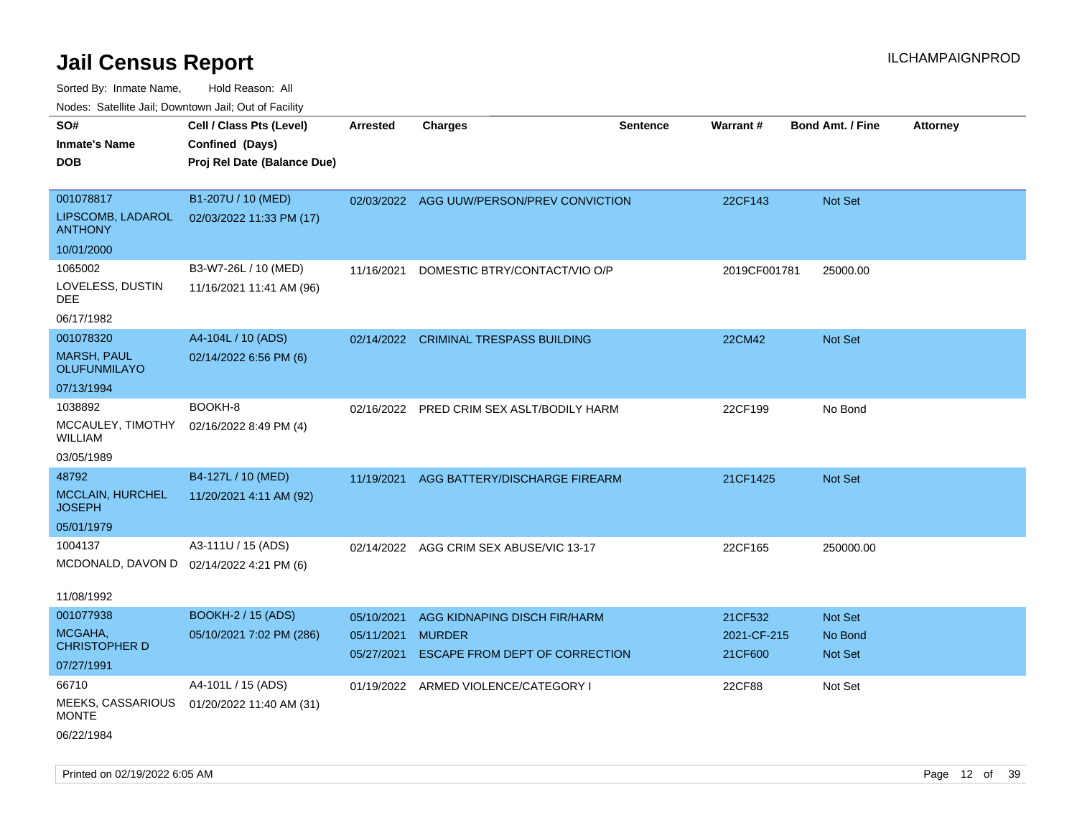|                                           | Nodes: Satellite Jail; Downtown Jail; Out of Facility |                 |                                           |                 |                 |                         |                 |
|-------------------------------------------|-------------------------------------------------------|-----------------|-------------------------------------------|-----------------|-----------------|-------------------------|-----------------|
| SO#                                       | Cell / Class Pts (Level)                              | <b>Arrested</b> | <b>Charges</b>                            | <b>Sentence</b> | <b>Warrant#</b> | <b>Bond Amt. / Fine</b> | <b>Attorney</b> |
| <b>Inmate's Name</b>                      | Confined (Days)                                       |                 |                                           |                 |                 |                         |                 |
| <b>DOB</b>                                | Proj Rel Date (Balance Due)                           |                 |                                           |                 |                 |                         |                 |
|                                           |                                                       |                 |                                           |                 |                 |                         |                 |
| 001078817                                 | B1-207U / 10 (MED)                                    |                 | 02/03/2022 AGG UUW/PERSON/PREV CONVICTION |                 | 22CF143         | Not Set                 |                 |
| LIPSCOMB, LADAROL<br><b>ANTHONY</b>       | 02/03/2022 11:33 PM (17)                              |                 |                                           |                 |                 |                         |                 |
| 10/01/2000                                |                                                       |                 |                                           |                 |                 |                         |                 |
| 1065002                                   | B3-W7-26L / 10 (MED)                                  | 11/16/2021      | DOMESTIC BTRY/CONTACT/VIO O/P             |                 | 2019CF001781    | 25000.00                |                 |
| LOVELESS, DUSTIN<br>DEE                   | 11/16/2021 11:41 AM (96)                              |                 |                                           |                 |                 |                         |                 |
| 06/17/1982                                |                                                       |                 |                                           |                 |                 |                         |                 |
| 001078320                                 | A4-104L / 10 (ADS)                                    | 02/14/2022      | <b>CRIMINAL TRESPASS BUILDING</b>         |                 | 22CM42          | Not Set                 |                 |
| <b>MARSH, PAUL</b><br><b>OLUFUNMILAYO</b> | 02/14/2022 6:56 PM (6)                                |                 |                                           |                 |                 |                         |                 |
| 07/13/1994                                |                                                       |                 |                                           |                 |                 |                         |                 |
| 1038892                                   | BOOKH-8                                               | 02/16/2022      | PRED CRIM SEX ASLT/BODILY HARM            |                 | 22CF199         | No Bond                 |                 |
| MCCAULEY, TIMOTHY<br><b>WILLIAM</b>       | 02/16/2022 8:49 PM (4)                                |                 |                                           |                 |                 |                         |                 |
| 03/05/1989                                |                                                       |                 |                                           |                 |                 |                         |                 |
| 48792                                     | B4-127L / 10 (MED)                                    | 11/19/2021      | AGG BATTERY/DISCHARGE FIREARM             |                 | 21CF1425        | Not Set                 |                 |
| MCCLAIN, HURCHEL<br><b>JOSEPH</b>         | 11/20/2021 4:11 AM (92)                               |                 |                                           |                 |                 |                         |                 |
| 05/01/1979                                |                                                       |                 |                                           |                 |                 |                         |                 |
| 1004137                                   | A3-111U / 15 (ADS)                                    |                 | 02/14/2022 AGG CRIM SEX ABUSE/VIC 13-17   |                 | 22CF165         | 250000.00               |                 |
| MCDONALD, DAVON D                         | 02/14/2022 4:21 PM (6)                                |                 |                                           |                 |                 |                         |                 |
|                                           |                                                       |                 |                                           |                 |                 |                         |                 |
| 11/08/1992                                |                                                       |                 |                                           |                 |                 |                         |                 |
| 001077938                                 | <b>BOOKH-2 / 15 (ADS)</b>                             | 05/10/2021      | AGG KIDNAPING DISCH FIR/HARM              |                 | 21CF532         | Not Set                 |                 |
| MCGAHA,<br><b>CHRISTOPHER D</b>           | 05/10/2021 7:02 PM (286)                              | 05/11/2021      | <b>MURDER</b>                             |                 | 2021-CF-215     | No Bond                 |                 |
| 07/27/1991                                |                                                       | 05/27/2021      | ESCAPE FROM DEPT OF CORRECTION            |                 | 21CF600         | Not Set                 |                 |
| 66710                                     | A4-101L / 15 (ADS)                                    |                 |                                           |                 |                 |                         |                 |
| MEEKS, CASSARIOUS                         |                                                       | 01/19/2022      | ARMED VIOLENCE/CATEGORY I                 |                 | 22CF88          | Not Set                 |                 |
| <b>MONTE</b>                              | 01/20/2022 11:40 AM (31)                              |                 |                                           |                 |                 |                         |                 |
| 06/22/1984                                |                                                       |                 |                                           |                 |                 |                         |                 |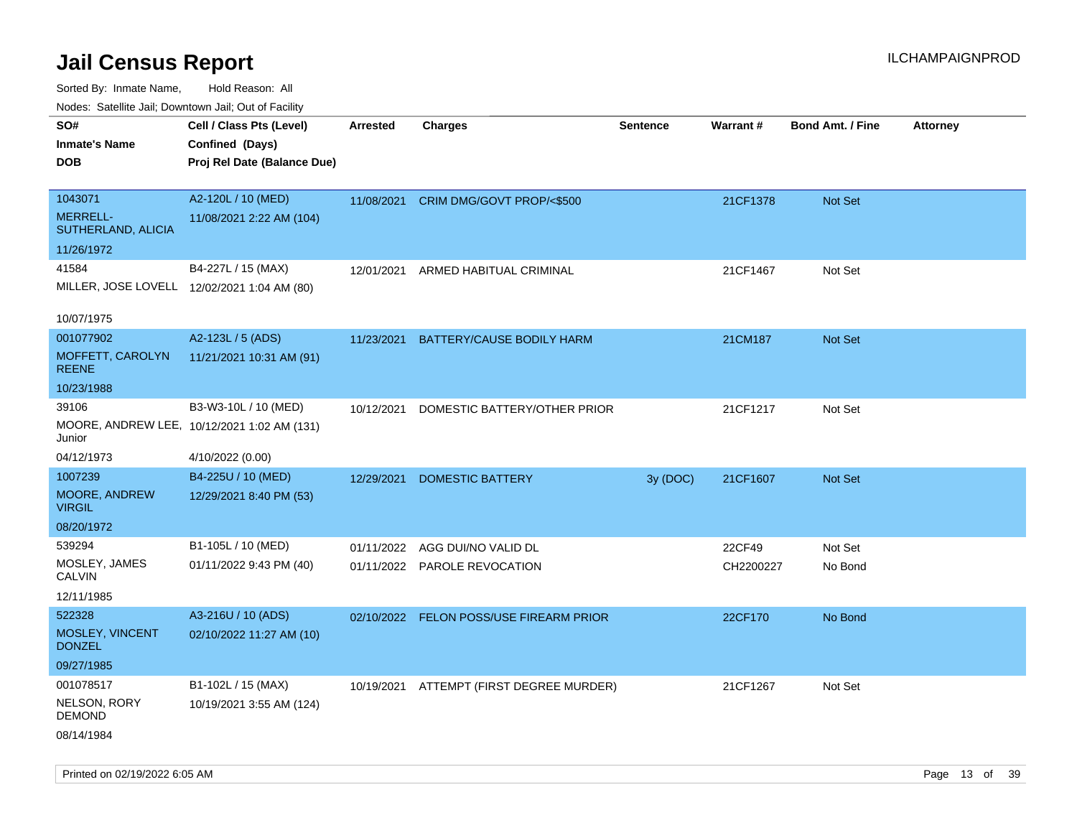Sorted By: Inmate Name, Hold Reason: All

|                                       | Nodes: Satellite Jail: Downtown Jail: Out of Facility |                 |                               |                 |                 |                         |                 |  |  |  |
|---------------------------------------|-------------------------------------------------------|-----------------|-------------------------------|-----------------|-----------------|-------------------------|-----------------|--|--|--|
| SO#                                   | Cell / Class Pts (Level)                              | <b>Arrested</b> | <b>Charges</b>                | <b>Sentence</b> | <b>Warrant#</b> | <b>Bond Amt. / Fine</b> | <b>Attorney</b> |  |  |  |
| <b>Inmate's Name</b>                  | Confined (Days)                                       |                 |                               |                 |                 |                         |                 |  |  |  |
| <b>DOB</b>                            | Proj Rel Date (Balance Due)                           |                 |                               |                 |                 |                         |                 |  |  |  |
|                                       |                                                       |                 |                               |                 |                 |                         |                 |  |  |  |
| 1043071                               | A2-120L / 10 (MED)                                    | 11/08/2021      | CRIM DMG/GOVT PROP/<\$500     |                 | 21CF1378        | Not Set                 |                 |  |  |  |
| <b>MERRELL-</b><br>SUTHERLAND, ALICIA | 11/08/2021 2:22 AM (104)                              |                 |                               |                 |                 |                         |                 |  |  |  |
| 11/26/1972                            |                                                       |                 |                               |                 |                 |                         |                 |  |  |  |
| 41584                                 | B4-227L / 15 (MAX)                                    | 12/01/2021      | ARMED HABITUAL CRIMINAL       |                 | 21CF1467        | Not Set                 |                 |  |  |  |
|                                       | MILLER, JOSE LOVELL 12/02/2021 1:04 AM (80)           |                 |                               |                 |                 |                         |                 |  |  |  |
|                                       |                                                       |                 |                               |                 |                 |                         |                 |  |  |  |
| 10/07/1975                            |                                                       |                 |                               |                 |                 |                         |                 |  |  |  |
| 001077902                             | A2-123L / 5 (ADS)                                     | 11/23/2021      | BATTERY/CAUSE BODILY HARM     |                 | 21CM187         | Not Set                 |                 |  |  |  |
| MOFFETT, CAROLYN<br><b>REENE</b>      | 11/21/2021 10:31 AM (91)                              |                 |                               |                 |                 |                         |                 |  |  |  |
| 10/23/1988                            |                                                       |                 |                               |                 |                 |                         |                 |  |  |  |
| 39106                                 | B3-W3-10L / 10 (MED)                                  | 10/12/2021      | DOMESTIC BATTERY/OTHER PRIOR  |                 | 21CF1217        | Not Set                 |                 |  |  |  |
| Junior                                | MOORE, ANDREW LEE, 10/12/2021 1:02 AM (131)           |                 |                               |                 |                 |                         |                 |  |  |  |
| 04/12/1973                            | 4/10/2022 (0.00)                                      |                 |                               |                 |                 |                         |                 |  |  |  |
| 1007239                               | B4-225U / 10 (MED)                                    | 12/29/2021      | <b>DOMESTIC BATTERY</b>       | 3y (DOC)        | 21CF1607        | Not Set                 |                 |  |  |  |
| MOORE, ANDREW<br><b>VIRGIL</b>        | 12/29/2021 8:40 PM (53)                               |                 |                               |                 |                 |                         |                 |  |  |  |
| 08/20/1972                            |                                                       |                 |                               |                 |                 |                         |                 |  |  |  |
| 539294                                | B1-105L / 10 (MED)                                    | 01/11/2022      | AGG DUI/NO VALID DL           |                 | 22CF49          | Not Set                 |                 |  |  |  |
| MOSLEY, JAMES<br><b>CALVIN</b>        | 01/11/2022 9:43 PM (40)                               |                 | 01/11/2022 PAROLE REVOCATION  |                 | CH2200227       | No Bond                 |                 |  |  |  |
| 12/11/1985                            |                                                       |                 |                               |                 |                 |                         |                 |  |  |  |
| 522328                                | A3-216U / 10 (ADS)                                    | 02/10/2022      | FELON POSS/USE FIREARM PRIOR  |                 | 22CF170         | No Bond                 |                 |  |  |  |
| MOSLEY, VINCENT<br><b>DONZEL</b>      | 02/10/2022 11:27 AM (10)                              |                 |                               |                 |                 |                         |                 |  |  |  |
| 09/27/1985                            |                                                       |                 |                               |                 |                 |                         |                 |  |  |  |
| 001078517                             | B1-102L / 15 (MAX)                                    | 10/19/2021      | ATTEMPT (FIRST DEGREE MURDER) |                 | 21CF1267        | Not Set                 |                 |  |  |  |
| NELSON, RORY<br><b>DEMOND</b>         | 10/19/2021 3:55 AM (124)                              |                 |                               |                 |                 |                         |                 |  |  |  |
| 08/14/1984                            |                                                       |                 |                               |                 |                 |                         |                 |  |  |  |

Printed on 02/19/2022 6:05 AM **Page 13** of 39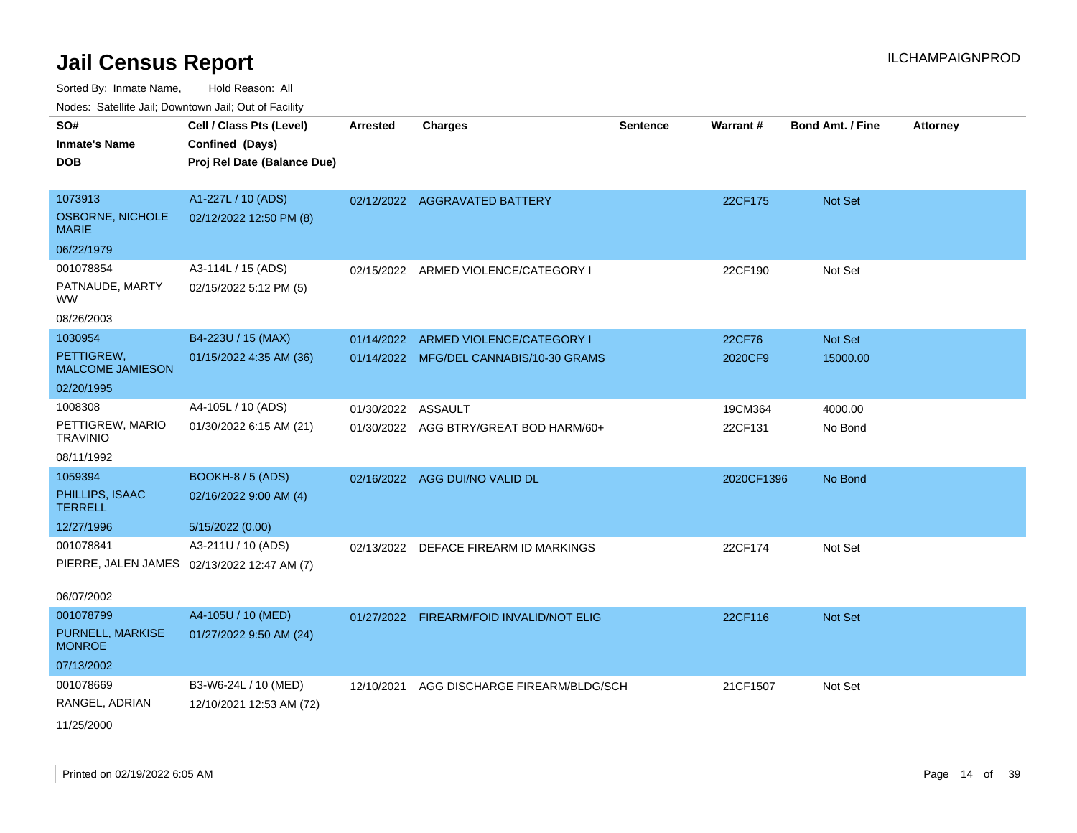Sorted By: Inmate Name, Hold Reason: All

Nodes: Satellite Jail; Downtown Jail; Out of Facility

| SO#                                     | Cell / Class Pts (Level)                    | <b>Arrested</b>    | <b>Charges</b>                           | <b>Sentence</b> | Warrant#   | <b>Bond Amt. / Fine</b> | <b>Attorney</b> |
|-----------------------------------------|---------------------------------------------|--------------------|------------------------------------------|-----------------|------------|-------------------------|-----------------|
| <b>Inmate's Name</b>                    | Confined (Days)                             |                    |                                          |                 |            |                         |                 |
| <b>DOB</b>                              | Proj Rel Date (Balance Due)                 |                    |                                          |                 |            |                         |                 |
|                                         |                                             |                    |                                          |                 |            |                         |                 |
| 1073913                                 | A1-227L / 10 (ADS)                          |                    | 02/12/2022 AGGRAVATED BATTERY            |                 | 22CF175    | Not Set                 |                 |
| <b>OSBORNE, NICHOLE</b><br><b>MARIE</b> | 02/12/2022 12:50 PM (8)                     |                    |                                          |                 |            |                         |                 |
| 06/22/1979                              |                                             |                    |                                          |                 |            |                         |                 |
| 001078854                               | A3-114L / 15 (ADS)                          |                    | 02/15/2022 ARMED VIOLENCE/CATEGORY I     |                 | 22CF190    | Not Set                 |                 |
| PATNAUDE, MARTY<br><b>WW</b>            | 02/15/2022 5:12 PM (5)                      |                    |                                          |                 |            |                         |                 |
| 08/26/2003                              |                                             |                    |                                          |                 |            |                         |                 |
| 1030954                                 | B4-223U / 15 (MAX)                          | 01/14/2022         | ARMED VIOLENCE/CATEGORY I                |                 | 22CF76     | Not Set                 |                 |
| PETTIGREW.<br><b>MALCOME JAMIESON</b>   | 01/15/2022 4:35 AM (36)                     |                    | 01/14/2022 MFG/DEL CANNABIS/10-30 GRAMS  |                 | 2020CF9    | 15000.00                |                 |
| 02/20/1995                              |                                             |                    |                                          |                 |            |                         |                 |
| 1008308                                 | A4-105L / 10 (ADS)                          | 01/30/2022 ASSAULT |                                          |                 | 19CM364    | 4000.00                 |                 |
| PETTIGREW, MARIO<br><b>TRAVINIO</b>     | 01/30/2022 6:15 AM (21)                     |                    | 01/30/2022 AGG BTRY/GREAT BOD HARM/60+   |                 | 22CF131    | No Bond                 |                 |
| 08/11/1992                              |                                             |                    |                                          |                 |            |                         |                 |
| 1059394                                 | BOOKH-8 / 5 (ADS)                           | 02/16/2022         | AGG DUI/NO VALID DL                      |                 | 2020CF1396 | No Bond                 |                 |
| PHILLIPS, ISAAC<br><b>TERRELL</b>       | 02/16/2022 9:00 AM (4)                      |                    |                                          |                 |            |                         |                 |
| 12/27/1996                              | 5/15/2022 (0.00)                            |                    |                                          |                 |            |                         |                 |
| 001078841                               | A3-211U / 10 (ADS)                          |                    | 02/13/2022 DEFACE FIREARM ID MARKINGS    |                 | 22CF174    | Not Set                 |                 |
|                                         | PIERRE, JALEN JAMES 02/13/2022 12:47 AM (7) |                    |                                          |                 |            |                         |                 |
| 06/07/2002                              |                                             |                    |                                          |                 |            |                         |                 |
| 001078799                               | A4-105U / 10 (MED)                          |                    | 01/27/2022 FIREARM/FOID INVALID/NOT ELIG |                 | 22CF116    | <b>Not Set</b>          |                 |
| PURNELL, MARKISE<br><b>MONROE</b>       | 01/27/2022 9:50 AM (24)                     |                    |                                          |                 |            |                         |                 |
| 07/13/2002                              |                                             |                    |                                          |                 |            |                         |                 |
| 001078669                               | B3-W6-24L / 10 (MED)                        | 12/10/2021         | AGG DISCHARGE FIREARM/BLDG/SCH           |                 | 21CF1507   | Not Set                 |                 |
| RANGEL, ADRIAN                          | 12/10/2021 12:53 AM (72)                    |                    |                                          |                 |            |                         |                 |
| 11/25/2000                              |                                             |                    |                                          |                 |            |                         |                 |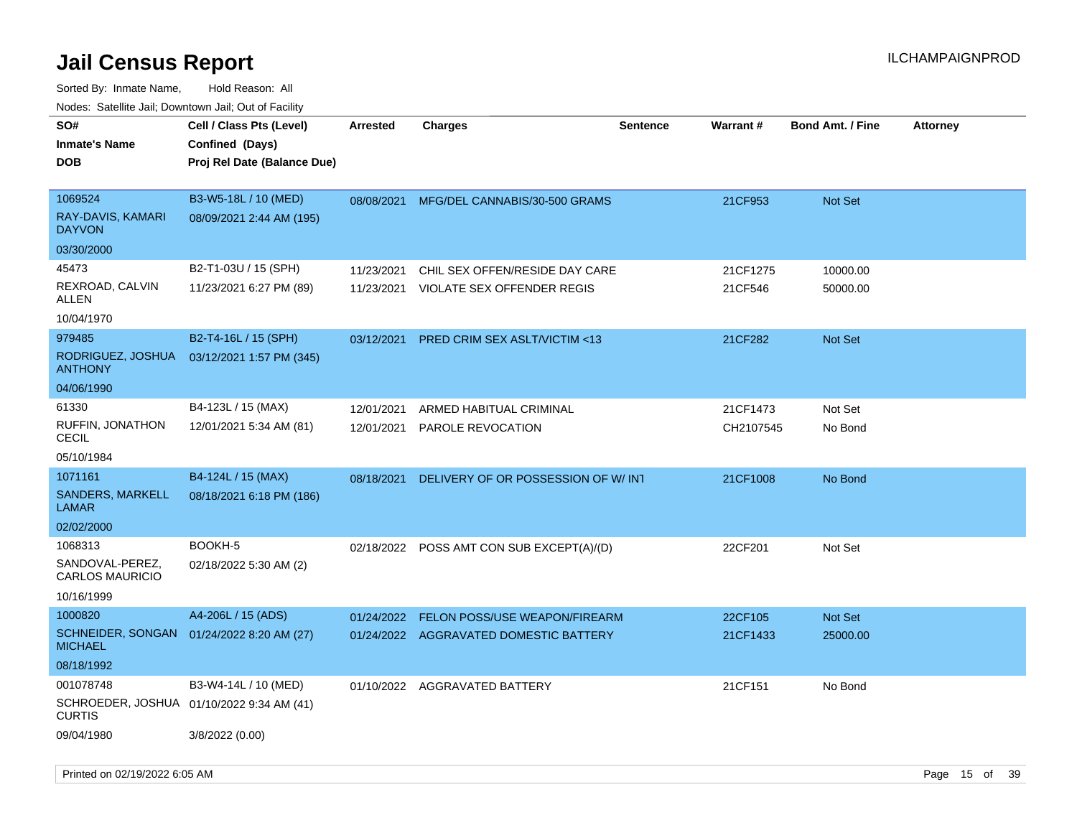| 10000. Catolino can, Domntonn can, Oat or I domt |                                                                            |                 |                                         |                 |                 |                         |                 |
|--------------------------------------------------|----------------------------------------------------------------------------|-----------------|-----------------------------------------|-----------------|-----------------|-------------------------|-----------------|
| SO#<br>Inmate's Name<br>DOB                      | Cell / Class Pts (Level)<br>Confined (Days)<br>Proj Rel Date (Balance Due) | <b>Arrested</b> | <b>Charges</b>                          | <b>Sentence</b> | <b>Warrant#</b> | <b>Bond Amt. / Fine</b> | <b>Attorney</b> |
| 1069524<br>RAY-DAVIS, KAMARI<br>DAYVON           | B3-W5-18L / 10 (MED)<br>08/09/2021 2:44 AM (195)                           | 08/08/2021      | MFG/DEL CANNABIS/30-500 GRAMS           |                 | 21CF953         | Not Set                 |                 |
| 03/30/2000                                       |                                                                            |                 |                                         |                 |                 |                         |                 |
| 45473                                            | B2-T1-03U / 15 (SPH)                                                       | 11/23/2021      | CHIL SEX OFFEN/RESIDE DAY CARE          |                 | 21CF1275        | 10000.00                |                 |
| REXROAD, CALVIN<br>ALLEN                         | 11/23/2021 6:27 PM (89)                                                    | 11/23/2021      | VIOLATE SEX OFFENDER REGIS              |                 | 21CF546         | 50000.00                |                 |
| 10/04/1970                                       |                                                                            |                 |                                         |                 |                 |                         |                 |
| 979485                                           | B2-T4-16L / 15 (SPH)                                                       | 03/12/2021      | <b>PRED CRIM SEX ASLT/VICTIM &lt;13</b> |                 | 21CF282         | Not Set                 |                 |
| RODRIGUEZ, JOSHUA<br>ANTHONY                     | 03/12/2021 1:57 PM (345)                                                   |                 |                                         |                 |                 |                         |                 |
| 04/06/1990                                       |                                                                            |                 |                                         |                 |                 |                         |                 |
| 61330                                            | B4-123L / 15 (MAX)                                                         | 12/01/2021      | ARMED HABITUAL CRIMINAL                 |                 | 21CF1473        | Not Set                 |                 |
| RUFFIN, JONATHON<br>CECIL                        | 12/01/2021 5:34 AM (81)                                                    | 12/01/2021      | PAROLE REVOCATION                       |                 | CH2107545       | No Bond                 |                 |
| 05/10/1984                                       |                                                                            |                 |                                         |                 |                 |                         |                 |
| 1071161                                          | B4-124L / 15 (MAX)                                                         | 08/18/2021      | DELIVERY OF OR POSSESSION OF W/INT      |                 | 21CF1008        | No Bond                 |                 |
| SANDERS, MARKELL<br>LAMAR                        | 08/18/2021 6:18 PM (186)                                                   |                 |                                         |                 |                 |                         |                 |
| 02/02/2000                                       |                                                                            |                 |                                         |                 |                 |                         |                 |
| 1068313                                          | BOOKH-5                                                                    | 02/18/2022      | POSS AMT CON SUB EXCEPT(A)/(D)          |                 | 22CF201         | Not Set                 |                 |
| SANDOVAL-PEREZ,<br><b>CARLOS MAURICIO</b>        | 02/18/2022 5:30 AM (2)                                                     |                 |                                         |                 |                 |                         |                 |
| 10/16/1999                                       |                                                                            |                 |                                         |                 |                 |                         |                 |
| 1000820                                          | A4-206L / 15 (ADS)                                                         | 01/24/2022      | FELON POSS/USE WEAPON/FIREARM           |                 | 22CF105         | Not Set                 |                 |
| SCHNEIDER, SONGAN<br>MICHAEL                     | 01/24/2022 8:20 AM (27)                                                    |                 | 01/24/2022 AGGRAVATED DOMESTIC BATTERY  |                 | 21CF1433        | 25000.00                |                 |
| 08/18/1992                                       |                                                                            |                 |                                         |                 |                 |                         |                 |
| 001078748                                        | B3-W4-14L / 10 (MED)                                                       |                 | 01/10/2022 AGGRAVATED BATTERY           |                 | 21CF151         | No Bond                 |                 |
| CURTIS                                           | SCHROEDER, JOSHUA 01/10/2022 9:34 AM (41)                                  |                 |                                         |                 |                 |                         |                 |
| 09/04/1980                                       | 3/8/2022 (0.00)                                                            |                 |                                         |                 |                 |                         |                 |
|                                                  |                                                                            |                 |                                         |                 |                 |                         |                 |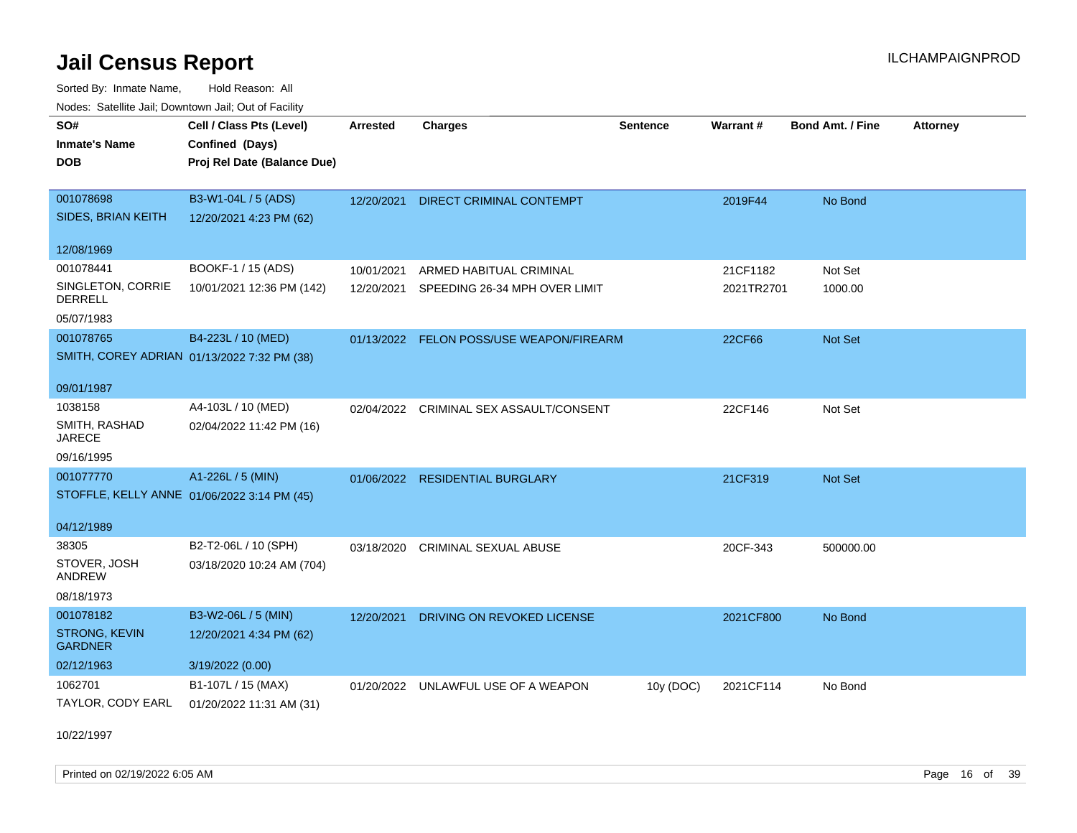Sorted By: Inmate Name, Hold Reason: All Nodes: Satellite Jail; Downtown Jail; Out of Facility

| <u>Houce.</u> Catoling bail, Downtown bail, Out of Fability |                             |                 |                                         |                 |                 |                         |                 |
|-------------------------------------------------------------|-----------------------------|-----------------|-----------------------------------------|-----------------|-----------------|-------------------------|-----------------|
| SO#                                                         | Cell / Class Pts (Level)    | <b>Arrested</b> | <b>Charges</b>                          | <b>Sentence</b> | <b>Warrant#</b> | <b>Bond Amt. / Fine</b> | <b>Attorney</b> |
| <b>Inmate's Name</b>                                        | Confined (Days)             |                 |                                         |                 |                 |                         |                 |
| <b>DOB</b>                                                  | Proj Rel Date (Balance Due) |                 |                                         |                 |                 |                         |                 |
|                                                             |                             |                 |                                         |                 |                 |                         |                 |
| 001078698                                                   | B3-W1-04L / 5 (ADS)         | 12/20/2021      | <b>DIRECT CRIMINAL CONTEMPT</b>         |                 | 2019F44         | No Bond                 |                 |
| SIDES, BRIAN KEITH                                          | 12/20/2021 4:23 PM (62)     |                 |                                         |                 |                 |                         |                 |
| 12/08/1969                                                  |                             |                 |                                         |                 |                 |                         |                 |
| 001078441                                                   | BOOKF-1 / 15 (ADS)          | 10/01/2021      | ARMED HABITUAL CRIMINAL                 |                 | 21CF1182        | Not Set                 |                 |
| SINGLETON, CORRIE<br><b>DERRELL</b>                         | 10/01/2021 12:36 PM (142)   | 12/20/2021      | SPEEDING 26-34 MPH OVER LIMIT           |                 | 2021TR2701      | 1000.00                 |                 |
| 05/07/1983                                                  |                             |                 |                                         |                 |                 |                         |                 |
| 001078765                                                   | B4-223L / 10 (MED)          | 01/13/2022      | FELON POSS/USE WEAPON/FIREARM           |                 | 22CF66          | Not Set                 |                 |
| SMITH, COREY ADRIAN 01/13/2022 7:32 PM (38)                 |                             |                 |                                         |                 |                 |                         |                 |
|                                                             |                             |                 |                                         |                 |                 |                         |                 |
| 09/01/1987                                                  |                             |                 |                                         |                 |                 |                         |                 |
| 1038158                                                     | A4-103L / 10 (MED)          |                 | 02/04/2022 CRIMINAL SEX ASSAULT/CONSENT |                 | 22CF146         | Not Set                 |                 |
| SMITH, RASHAD<br>JARECE                                     | 02/04/2022 11:42 PM (16)    |                 |                                         |                 |                 |                         |                 |
| 09/16/1995                                                  |                             |                 |                                         |                 |                 |                         |                 |
| 001077770                                                   | A1-226L / 5 (MIN)           | 01/06/2022      | <b>RESIDENTIAL BURGLARY</b>             |                 | 21CF319         | Not Set                 |                 |
| STOFFLE, KELLY ANNE 01/06/2022 3:14 PM (45)                 |                             |                 |                                         |                 |                 |                         |                 |
|                                                             |                             |                 |                                         |                 |                 |                         |                 |
| 04/12/1989                                                  |                             |                 |                                         |                 |                 |                         |                 |
| 38305                                                       | B2-T2-06L / 10 (SPH)        | 03/18/2020      | <b>CRIMINAL SEXUAL ABUSE</b>            |                 | 20CF-343        | 500000.00               |                 |
| STOVER, JOSH<br>ANDREW                                      | 03/18/2020 10:24 AM (704)   |                 |                                         |                 |                 |                         |                 |
| 08/18/1973                                                  |                             |                 |                                         |                 |                 |                         |                 |
| 001078182                                                   | B3-W2-06L / 5 (MIN)         | 12/20/2021      | DRIVING ON REVOKED LICENSE              |                 | 2021CF800       | No Bond                 |                 |
| <b>STRONG, KEVIN</b><br><b>GARDNER</b>                      | 12/20/2021 4:34 PM (62)     |                 |                                         |                 |                 |                         |                 |
| 02/12/1963                                                  | 3/19/2022 (0.00)            |                 |                                         |                 |                 |                         |                 |
| 1062701                                                     | B1-107L / 15 (MAX)          |                 | 01/20/2022 UNLAWFUL USE OF A WEAPON     | 10y (DOC)       | 2021CF114       | No Bond                 |                 |
| TAYLOR, CODY EARL                                           | 01/20/2022 11:31 AM (31)    |                 |                                         |                 |                 |                         |                 |

10/22/1997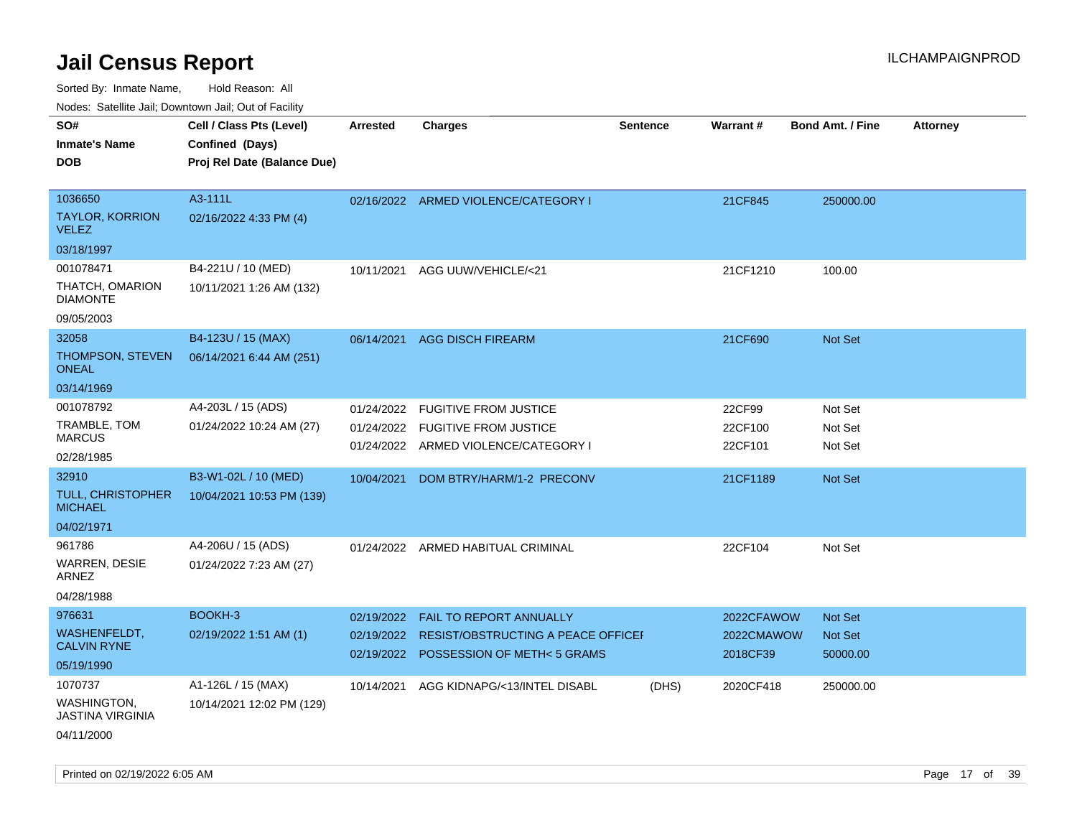Sorted By: Inmate Name, Hold Reason: All

Nodes: Satellite Jail; Downtown Jail; Out of Facility

| roacs. Catellite Jall, Downtown Jall, Out of Facility |                             |                 |                                        |                 |            |                         |                 |
|-------------------------------------------------------|-----------------------------|-----------------|----------------------------------------|-----------------|------------|-------------------------|-----------------|
| SO#                                                   | Cell / Class Pts (Level)    | <b>Arrested</b> | <b>Charges</b>                         | <b>Sentence</b> | Warrant#   | <b>Bond Amt. / Fine</b> | <b>Attorney</b> |
| <b>Inmate's Name</b>                                  | Confined (Days)             |                 |                                        |                 |            |                         |                 |
| <b>DOB</b>                                            | Proj Rel Date (Balance Due) |                 |                                        |                 |            |                         |                 |
|                                                       |                             |                 |                                        |                 |            |                         |                 |
| 1036650                                               | A3-111L                     |                 | 02/16/2022 ARMED VIOLENCE/CATEGORY I   |                 | 21CF845    | 250000.00               |                 |
| TAYLOR, KORRION<br><b>VELEZ</b>                       | 02/16/2022 4:33 PM (4)      |                 |                                        |                 |            |                         |                 |
| 03/18/1997                                            |                             |                 |                                        |                 |            |                         |                 |
| 001078471                                             | B4-221U / 10 (MED)          | 10/11/2021      | AGG UUW/VEHICLE/<21                    |                 | 21CF1210   | 100.00                  |                 |
| THATCH, OMARION<br><b>DIAMONTE</b>                    | 10/11/2021 1:26 AM (132)    |                 |                                        |                 |            |                         |                 |
| 09/05/2003                                            |                             |                 |                                        |                 |            |                         |                 |
| 32058                                                 | B4-123U / 15 (MAX)          |                 | 06/14/2021 AGG DISCH FIREARM           |                 | 21CF690    | Not Set                 |                 |
| <b>THOMPSON, STEVEN</b><br><b>ONEAL</b>               | 06/14/2021 6:44 AM (251)    |                 |                                        |                 |            |                         |                 |
| 03/14/1969                                            |                             |                 |                                        |                 |            |                         |                 |
| 001078792                                             | A4-203L / 15 (ADS)          | 01/24/2022      | <b>FUGITIVE FROM JUSTICE</b>           |                 | 22CF99     | Not Set                 |                 |
| TRAMBLE, TOM                                          | 01/24/2022 10:24 AM (27)    |                 | 01/24/2022 FUGITIVE FROM JUSTICE       |                 | 22CF100    | Not Set                 |                 |
| <b>MARCUS</b>                                         |                             |                 | 01/24/2022 ARMED VIOLENCE/CATEGORY I   |                 | 22CF101    | Not Set                 |                 |
| 02/28/1985                                            |                             |                 |                                        |                 |            |                         |                 |
| 32910                                                 | B3-W1-02L / 10 (MED)        | 10/04/2021      | DOM BTRY/HARM/1-2 PRECONV              |                 | 21CF1189   | Not Set                 |                 |
| <b>TULL, CHRISTOPHER</b><br><b>MICHAEL</b>            | 10/04/2021 10:53 PM (139)   |                 |                                        |                 |            |                         |                 |
| 04/02/1971                                            |                             |                 |                                        |                 |            |                         |                 |
| 961786                                                | A4-206U / 15 (ADS)          |                 | 01/24/2022 ARMED HABITUAL CRIMINAL     |                 | 22CF104    | Not Set                 |                 |
| WARREN, DESIE<br>ARNEZ                                | 01/24/2022 7:23 AM (27)     |                 |                                        |                 |            |                         |                 |
| 04/28/1988                                            |                             |                 |                                        |                 |            |                         |                 |
| 976631                                                | BOOKH-3                     | 02/19/2022      | FAIL TO REPORT ANNUALLY                |                 | 2022CFAWOW | Not Set                 |                 |
| WASHENFELDT,<br><b>CALVIN RYNE</b>                    | 02/19/2022 1:51 AM (1)      | 02/19/2022      | RESIST/OBSTRUCTING A PEACE OFFICEI     |                 | 2022CMAWOW | Not Set                 |                 |
| 05/19/1990                                            |                             |                 | 02/19/2022 POSSESSION OF METH< 5 GRAMS |                 | 2018CF39   | 50000.00                |                 |
| 1070737                                               | A1-126L / 15 (MAX)          | 10/14/2021      | AGG KIDNAPG/<13/INTEL DISABL           | (DHS)           | 2020CF418  | 250000.00               |                 |
| <b>WASHINGTON,</b><br><b>JASTINA VIRGINIA</b>         | 10/14/2021 12:02 PM (129)   |                 |                                        |                 |            |                         |                 |
| 04/11/2000                                            |                             |                 |                                        |                 |            |                         |                 |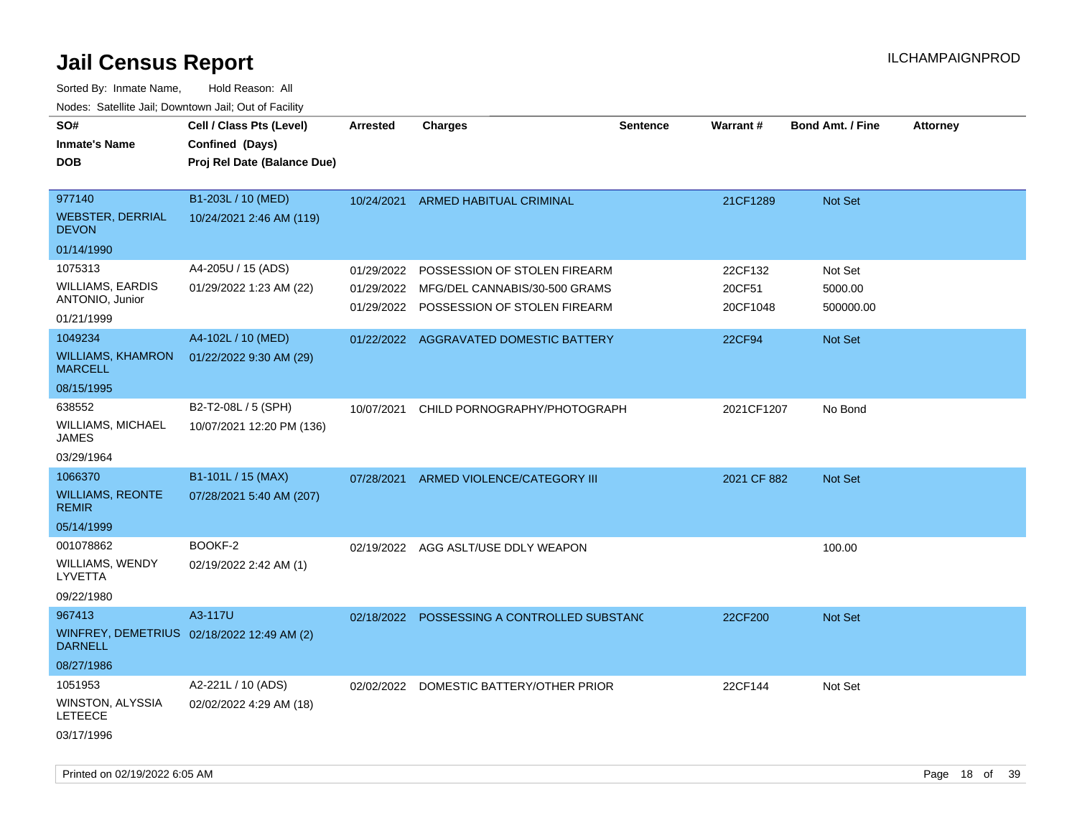| soupois catomic can, Dominomii can, Cat or Faomt<br>SO#<br><b>Inmate's Name</b><br><b>DOB</b> | Cell / Class Pts (Level)<br>Confined (Days)<br>Proj Rel Date (Balance Due) | <b>Arrested</b> | <b>Charges</b>                                                                                                      | <b>Sentence</b> | <b>Warrant#</b>               | <b>Bond Amt. / Fine</b>         | <b>Attorney</b> |
|-----------------------------------------------------------------------------------------------|----------------------------------------------------------------------------|-----------------|---------------------------------------------------------------------------------------------------------------------|-----------------|-------------------------------|---------------------------------|-----------------|
| 977140<br><b>WEBSTER, DERRIAL</b><br><b>DEVON</b><br>01/14/1990                               | B1-203L / 10 (MED)<br>10/24/2021 2:46 AM (119)                             |                 | 10/24/2021 ARMED HABITUAL CRIMINAL                                                                                  |                 | 21CF1289                      | Not Set                         |                 |
| 1075313                                                                                       |                                                                            |                 |                                                                                                                     |                 |                               |                                 |                 |
| <b>WILLIAMS, EARDIS</b><br>ANTONIO, Junior                                                    | A4-205U / 15 (ADS)<br>01/29/2022 1:23 AM (22)                              | 01/29/2022      | POSSESSION OF STOLEN FIREARM<br>01/29/2022 MFG/DEL CANNABIS/30-500 GRAMS<br>01/29/2022 POSSESSION OF STOLEN FIREARM |                 | 22CF132<br>20CF51<br>20CF1048 | Not Set<br>5000.00<br>500000.00 |                 |
| 01/21/1999<br>1049234                                                                         | A4-102L / 10 (MED)                                                         |                 |                                                                                                                     |                 |                               |                                 |                 |
| <b>WILLIAMS, KHAMRON</b><br><b>MARCELL</b>                                                    | 01/22/2022 9:30 AM (29)                                                    |                 | 01/22/2022 AGGRAVATED DOMESTIC BATTERY                                                                              |                 | 22CF94                        | Not Set                         |                 |
| 08/15/1995                                                                                    |                                                                            |                 |                                                                                                                     |                 |                               |                                 |                 |
| 638552<br>WILLIAMS, MICHAEL<br>JAMES                                                          | B2-T2-08L / 5 (SPH)<br>10/07/2021 12:20 PM (136)                           | 10/07/2021      | CHILD PORNOGRAPHY/PHOTOGRAPH                                                                                        |                 | 2021CF1207                    | No Bond                         |                 |
| 03/29/1964                                                                                    |                                                                            |                 |                                                                                                                     |                 |                               |                                 |                 |
| 1066370                                                                                       | B1-101L / 15 (MAX)                                                         |                 | 07/28/2021 ARMED VIOLENCE/CATEGORY III                                                                              |                 | 2021 CF 882                   | Not Set                         |                 |
| <b>WILLIAMS, REONTE</b><br><b>REMIR</b>                                                       | 07/28/2021 5:40 AM (207)                                                   |                 |                                                                                                                     |                 |                               |                                 |                 |
| 05/14/1999                                                                                    |                                                                            |                 |                                                                                                                     |                 |                               |                                 |                 |
| 001078862<br>WILLIAMS, WENDY<br>LYVETTA<br>09/22/1980                                         | BOOKF-2<br>02/19/2022 2:42 AM (1)                                          |                 | 02/19/2022 AGG ASLT/USE DDLY WEAPON                                                                                 |                 |                               | 100.00                          |                 |
| 967413                                                                                        | A3-117U                                                                    |                 | 02/18/2022 POSSESSING A CONTROLLED SUBSTANC                                                                         |                 | 22CF200                       | Not Set                         |                 |
| <b>DARNELL</b>                                                                                | WINFREY, DEMETRIUS 02/18/2022 12:49 AM (2)                                 |                 |                                                                                                                     |                 |                               |                                 |                 |
| 08/27/1986                                                                                    |                                                                            |                 |                                                                                                                     |                 |                               |                                 |                 |
| 1051953                                                                                       | A2-221L / 10 (ADS)                                                         |                 | 02/02/2022 DOMESTIC BATTERY/OTHER PRIOR                                                                             |                 | 22CF144                       | Not Set                         |                 |
| WINSTON, ALYSSIA<br>LETEECE                                                                   | 02/02/2022 4:29 AM (18)                                                    |                 |                                                                                                                     |                 |                               |                                 |                 |
| 03/17/1996                                                                                    |                                                                            |                 |                                                                                                                     |                 |                               |                                 |                 |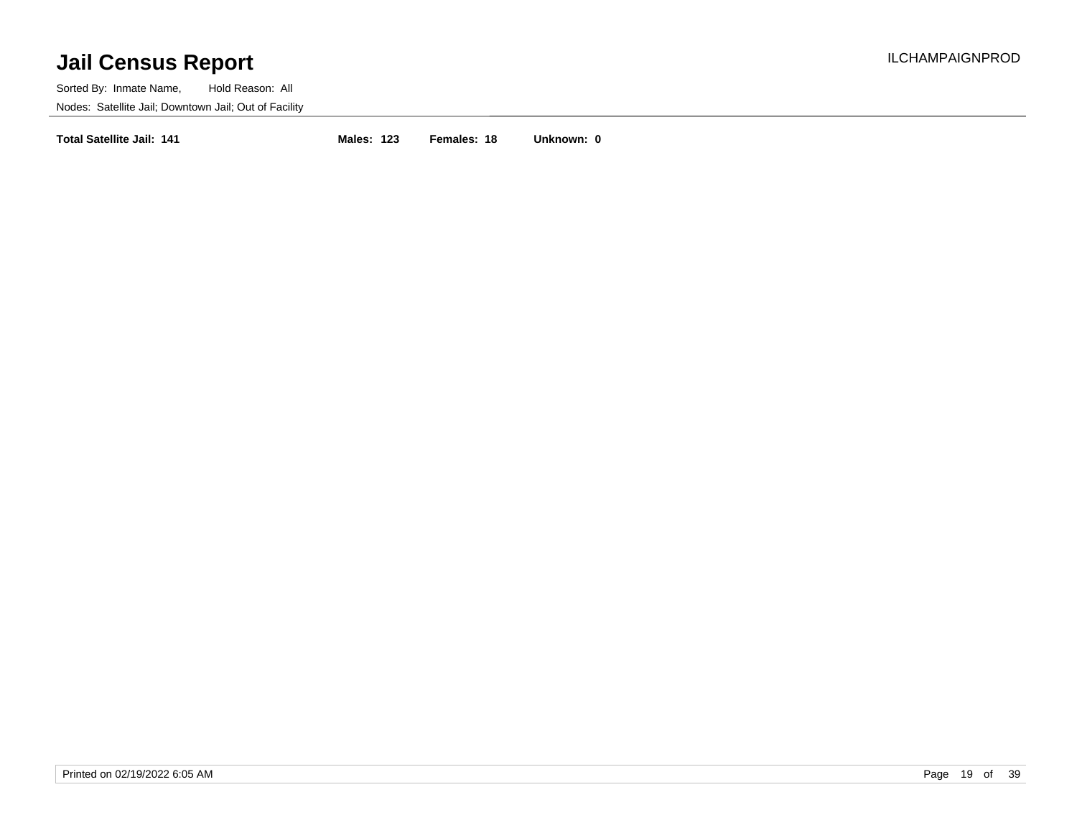Sorted By: Inmate Name, Hold Reason: All Nodes: Satellite Jail; Downtown Jail; Out of Facility

**Total Satellite Jail: 141 Males: 123 Females: 18 Unknown: 0**

Printed on 02/19/2022 6:05 AM **Page 19 of 39**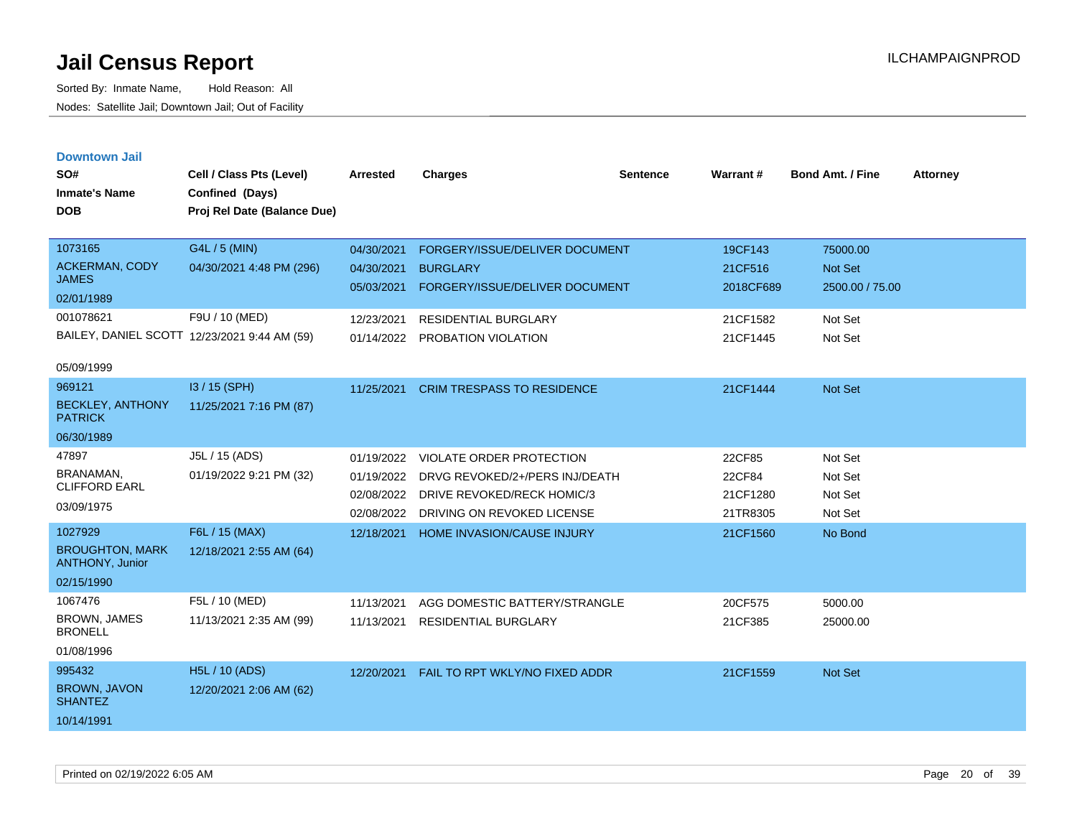|  |  | <b>Downtown Jail</b> |
|--|--|----------------------|
|  |  |                      |
|  |  |                      |

| SO#<br><b>Inmate's Name</b><br><b>DOB</b>                                       | Cell / Class Pts (Level)<br>Confined (Days)<br>Proj Rel Date (Balance Due)                                  | <b>Arrested</b>                                                    | <b>Charges</b>                                                                                                                            | <b>Sentence</b> | Warrant#                                                | <b>Bond Amt. / Fine</b>                                             | <b>Attorney</b> |
|---------------------------------------------------------------------------------|-------------------------------------------------------------------------------------------------------------|--------------------------------------------------------------------|-------------------------------------------------------------------------------------------------------------------------------------------|-----------------|---------------------------------------------------------|---------------------------------------------------------------------|-----------------|
| 1073165<br><b>ACKERMAN, CODY</b><br><b>JAMES</b><br>02/01/1989<br>001078621     | G4L / 5 (MIN)<br>04/30/2021 4:48 PM (296)<br>F9U / 10 (MED)<br>BAILEY, DANIEL SCOTT 12/23/2021 9:44 AM (59) | 04/30/2021<br>04/30/2021<br>05/03/2021<br>12/23/2021<br>01/14/2022 | FORGERY/ISSUE/DELIVER DOCUMENT<br><b>BURGLARY</b><br>FORGERY/ISSUE/DELIVER DOCUMENT<br><b>RESIDENTIAL BURGLARY</b><br>PROBATION VIOLATION |                 | 19CF143<br>21CF516<br>2018CF689<br>21CF1582<br>21CF1445 | 75000.00<br><b>Not Set</b><br>2500.00 / 75.00<br>Not Set<br>Not Set |                 |
| 05/09/1999<br>969121<br><b>BECKLEY, ANTHONY</b><br><b>PATRICK</b><br>06/30/1989 | I3 / 15 (SPH)<br>11/25/2021 7:16 PM (87)                                                                    | 11/25/2021                                                         | <b>CRIM TRESPASS TO RESIDENCE</b>                                                                                                         |                 | 21CF1444                                                | <b>Not Set</b>                                                      |                 |
| 47897<br>BRANAMAN.<br><b>CLIFFORD EARL</b><br>03/09/1975                        | J5L / 15 (ADS)<br>01/19/2022 9:21 PM (32)                                                                   | 01/19/2022<br>01/19/2022<br>02/08/2022<br>02/08/2022               | VIOLATE ORDER PROTECTION<br>DRVG REVOKED/2+/PERS INJ/DEATH<br>DRIVE REVOKED/RECK HOMIC/3<br>DRIVING ON REVOKED LICENSE                    |                 | 22CF85<br>22CF84<br>21CF1280<br>21TR8305                | Not Set<br>Not Set<br>Not Set<br>Not Set                            |                 |
| 1027929<br><b>BROUGHTON, MARK</b><br>ANTHONY, Junior<br>02/15/1990              | F6L / 15 (MAX)<br>12/18/2021 2:55 AM (64)                                                                   | 12/18/2021                                                         | <b>HOME INVASION/CAUSE INJURY</b>                                                                                                         |                 | 21CF1560                                                | No Bond                                                             |                 |
| 1067476<br><b>BROWN, JAMES</b><br><b>BRONELL</b><br>01/08/1996                  | F5L / 10 (MED)<br>11/13/2021 2:35 AM (99)                                                                   | 11/13/2021<br>11/13/2021                                           | AGG DOMESTIC BATTERY/STRANGLE<br>RESIDENTIAL BURGLARY                                                                                     |                 | 20CF575<br>21CF385                                      | 5000.00<br>25000.00                                                 |                 |
| 995432<br>BROWN, JAVON<br><b>SHANTEZ</b><br>10/14/1991                          | <b>H5L / 10 (ADS)</b><br>12/20/2021 2:06 AM (62)                                                            | 12/20/2021                                                         | FAIL TO RPT WKLY/NO FIXED ADDR                                                                                                            |                 | 21CF1559                                                | Not Set                                                             |                 |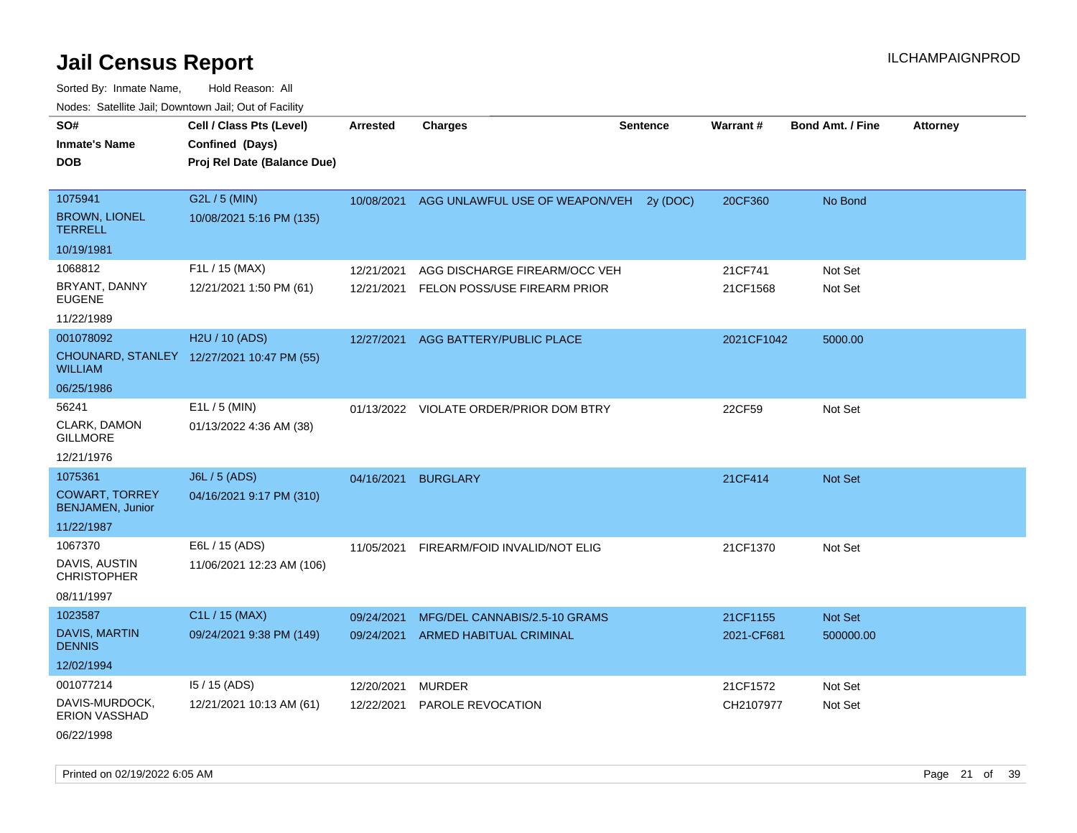Sorted By: Inmate Name, Hold Reason: All Nodes: Satellite Jail; Downtown Jail; Out of Facility

| 10000. Catolino can, Domntonn can, Oat or I domt |                                                                            |                 |                                         |                 |                 |                         |                 |
|--------------------------------------------------|----------------------------------------------------------------------------|-----------------|-----------------------------------------|-----------------|-----------------|-------------------------|-----------------|
| SO#<br>Inmate's Name<br>DOB                      | Cell / Class Pts (Level)<br>Confined (Days)<br>Proj Rel Date (Balance Due) | <b>Arrested</b> | <b>Charges</b>                          | <b>Sentence</b> | <b>Warrant#</b> | <b>Bond Amt. / Fine</b> | <b>Attorney</b> |
| 1075941                                          | G2L / 5 (MIN)                                                              | 10/08/2021      | AGG UNLAWFUL USE OF WEAPON/VEH 2y (DOC) |                 | 20CF360         | No Bond                 |                 |
| <b>BROWN, LIONEL</b><br>TERRELL                  | 10/08/2021 5:16 PM (135)                                                   |                 |                                         |                 |                 |                         |                 |
| 10/19/1981                                       |                                                                            |                 |                                         |                 |                 |                         |                 |
| 1068812                                          | F1L / 15 (MAX)                                                             | 12/21/2021      | AGG DISCHARGE FIREARM/OCC VEH           |                 | 21CF741         | Not Set                 |                 |
| BRYANT, DANNY<br>EUGENE                          | 12/21/2021 1:50 PM (61)                                                    | 12/21/2021      | FELON POSS/USE FIREARM PRIOR            |                 | 21CF1568        | Not Set                 |                 |
| 11/22/1989                                       |                                                                            |                 |                                         |                 |                 |                         |                 |
| 001078092                                        | H2U / 10 (ADS)                                                             | 12/27/2021      | AGG BATTERY/PUBLIC PLACE                |                 | 2021CF1042      | 5000.00                 |                 |
| WILLIAM                                          | CHOUNARD, STANLEY 12/27/2021 10:47 PM (55)                                 |                 |                                         |                 |                 |                         |                 |
| 06/25/1986                                       |                                                                            |                 |                                         |                 |                 |                         |                 |
| 56241                                            | $E1L / 5$ (MIN)                                                            |                 | 01/13/2022 VIOLATE ORDER/PRIOR DOM BTRY |                 | 22CF59          | Not Set                 |                 |
| CLARK, DAMON<br>GILLMORE                         | 01/13/2022 4:36 AM (38)                                                    |                 |                                         |                 |                 |                         |                 |
| 12/21/1976                                       |                                                                            |                 |                                         |                 |                 |                         |                 |
| 1075361                                          | <b>J6L / 5 (ADS)</b>                                                       | 04/16/2021      | <b>BURGLARY</b>                         |                 | 21CF414         | <b>Not Set</b>          |                 |
| <b>COWART, TORREY</b><br><b>BENJAMEN, Junior</b> | 04/16/2021 9:17 PM (310)                                                   |                 |                                         |                 |                 |                         |                 |
| 11/22/1987                                       |                                                                            |                 |                                         |                 |                 |                         |                 |
| 1067370                                          | E6L / 15 (ADS)                                                             | 11/05/2021      | FIREARM/FOID INVALID/NOT ELIG           |                 | 21CF1370        | Not Set                 |                 |
| DAVIS, AUSTIN<br><b>CHRISTOPHER</b>              | 11/06/2021 12:23 AM (106)                                                  |                 |                                         |                 |                 |                         |                 |
| 08/11/1997                                       |                                                                            |                 |                                         |                 |                 |                         |                 |
| 1023587                                          | C1L / 15 (MAX)                                                             | 09/24/2021      | MFG/DEL CANNABIS/2.5-10 GRAMS           |                 | 21CF1155        | <b>Not Set</b>          |                 |
| <b>DAVIS, MARTIN</b><br><b>DENNIS</b>            | 09/24/2021 9:38 PM (149)                                                   | 09/24/2021      | ARMED HABITUAL CRIMINAL                 |                 | 2021-CF681      | 500000.00               |                 |
| 12/02/1994                                       |                                                                            |                 |                                         |                 |                 |                         |                 |
| 001077214                                        | $15/15$ (ADS)                                                              | 12/20/2021      | <b>MURDER</b>                           |                 | 21CF1572        | Not Set                 |                 |
| DAVIS-MURDOCK,<br>ERION VASSHAD                  | 12/21/2021 10:13 AM (61)                                                   | 12/22/2021      | PAROLE REVOCATION                       |                 | CH2107977       | Not Set                 |                 |
|                                                  |                                                                            |                 |                                         |                 |                 |                         |                 |

06/22/1998

Printed on 02/19/2022 6:05 AM **Page 21** of 39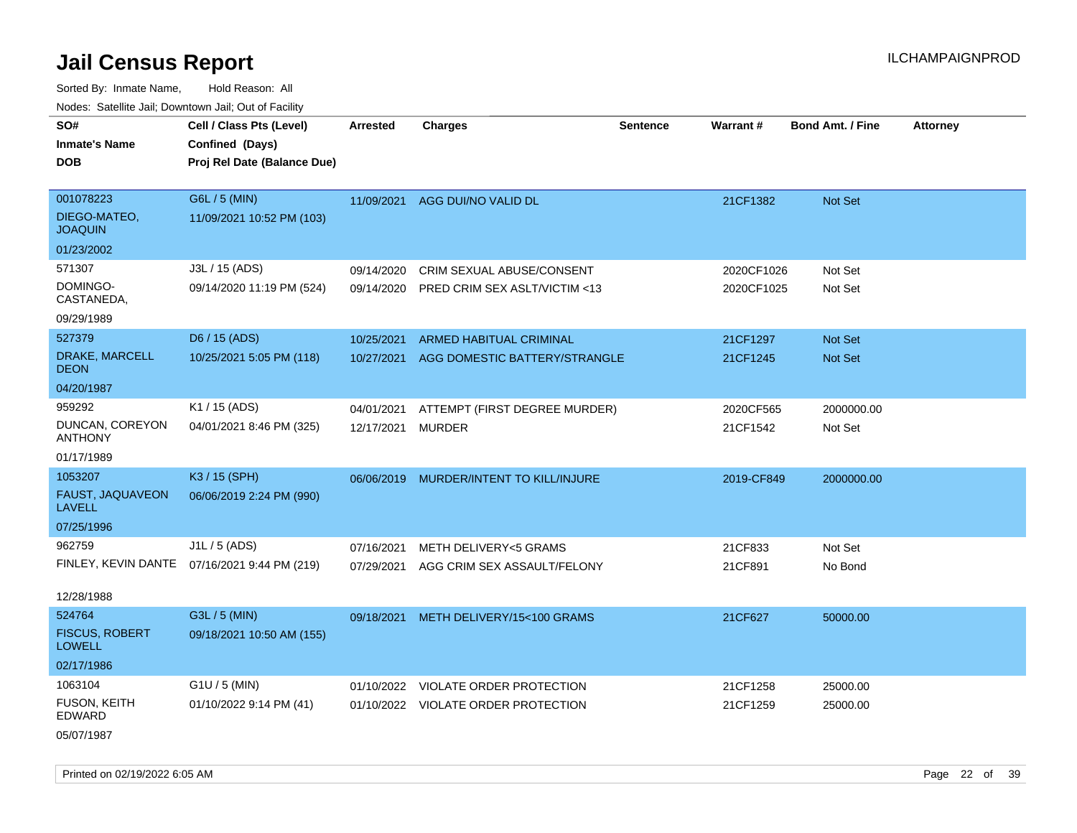Sorted By: Inmate Name, Hold Reason: All Nodes: Satellite Jail; Downtown Jail; Out of Facility

| SO#                                    | Cell / Class Pts (Level)    | Arrested   | <b>Charges</b>                      | <b>Sentence</b> | Warrant#   | <b>Bond Amt. / Fine</b> | <b>Attorney</b> |
|----------------------------------------|-----------------------------|------------|-------------------------------------|-----------------|------------|-------------------------|-----------------|
| <b>Inmate's Name</b>                   | Confined (Days)             |            |                                     |                 |            |                         |                 |
| <b>DOB</b>                             | Proj Rel Date (Balance Due) |            |                                     |                 |            |                         |                 |
|                                        |                             |            |                                     |                 |            |                         |                 |
| 001078223                              | G6L / 5 (MIN)               |            | 11/09/2021 AGG DUI/NO VALID DL      |                 | 21CF1382   | Not Set                 |                 |
| DIEGO-MATEO,<br><b>JOAQUIN</b>         | 11/09/2021 10:52 PM (103)   |            |                                     |                 |            |                         |                 |
| 01/23/2002                             |                             |            |                                     |                 |            |                         |                 |
| 571307                                 | J3L / 15 (ADS)              | 09/14/2020 | <b>CRIM SEXUAL ABUSE/CONSENT</b>    |                 | 2020CF1026 | Not Set                 |                 |
| DOMINGO-<br>CASTANEDA,                 | 09/14/2020 11:19 PM (524)   | 09/14/2020 | PRED CRIM SEX ASLT/VICTIM <13       |                 | 2020CF1025 | Not Set                 |                 |
| 09/29/1989                             |                             |            |                                     |                 |            |                         |                 |
| 527379                                 | D6 / 15 (ADS)               | 10/25/2021 | <b>ARMED HABITUAL CRIMINAL</b>      |                 | 21CF1297   | <b>Not Set</b>          |                 |
| DRAKE, MARCELL<br><b>DEON</b>          | 10/25/2021 5:05 PM (118)    | 10/27/2021 | AGG DOMESTIC BATTERY/STRANGLE       |                 | 21CF1245   | Not Set                 |                 |
| 04/20/1987                             |                             |            |                                     |                 |            |                         |                 |
| 959292                                 | K1 / 15 (ADS)               | 04/01/2021 | ATTEMPT (FIRST DEGREE MURDER)       |                 | 2020CF565  | 2000000.00              |                 |
| DUNCAN, COREYON<br><b>ANTHONY</b>      | 04/01/2021 8:46 PM (325)    | 12/17/2021 | <b>MURDER</b>                       |                 | 21CF1542   | Not Set                 |                 |
| 01/17/1989                             |                             |            |                                     |                 |            |                         |                 |
| 1053207                                | K3 / 15 (SPH)               | 06/06/2019 | MURDER/INTENT TO KILL/INJURE        |                 | 2019-CF849 | 2000000.00              |                 |
| FAUST, JAQUAVEON<br><b>LAVELL</b>      | 06/06/2019 2:24 PM (990)    |            |                                     |                 |            |                         |                 |
| 07/25/1996                             |                             |            |                                     |                 |            |                         |                 |
| 962759                                 | J1L / 5 (ADS)               | 07/16/2021 | <b>METH DELIVERY&lt;5 GRAMS</b>     |                 | 21CF833    | Not Set                 |                 |
| FINLEY, KEVIN DANTE                    | 07/16/2021 9:44 PM (219)    | 07/29/2021 | AGG CRIM SEX ASSAULT/FELONY         |                 | 21CF891    | No Bond                 |                 |
| 12/28/1988                             |                             |            |                                     |                 |            |                         |                 |
| 524764                                 | G3L / 5 (MIN)               | 09/18/2021 | METH DELIVERY/15<100 GRAMS          |                 | 21CF627    | 50000.00                |                 |
| <b>FISCUS, ROBERT</b><br><b>LOWELL</b> | 09/18/2021 10:50 AM (155)   |            |                                     |                 |            |                         |                 |
| 02/17/1986                             |                             |            |                                     |                 |            |                         |                 |
| 1063104                                | $G1U / 5$ (MIN)             |            | 01/10/2022 VIOLATE ORDER PROTECTION |                 | 21CF1258   | 25000.00                |                 |
| FUSON, KEITH<br>EDWARD                 | 01/10/2022 9:14 PM (41)     |            | 01/10/2022 VIOLATE ORDER PROTECTION |                 | 21CF1259   | 25000.00                |                 |
| 05/07/1987                             |                             |            |                                     |                 |            |                         |                 |

Printed on 02/19/2022 6:05 AM Page 22 of 39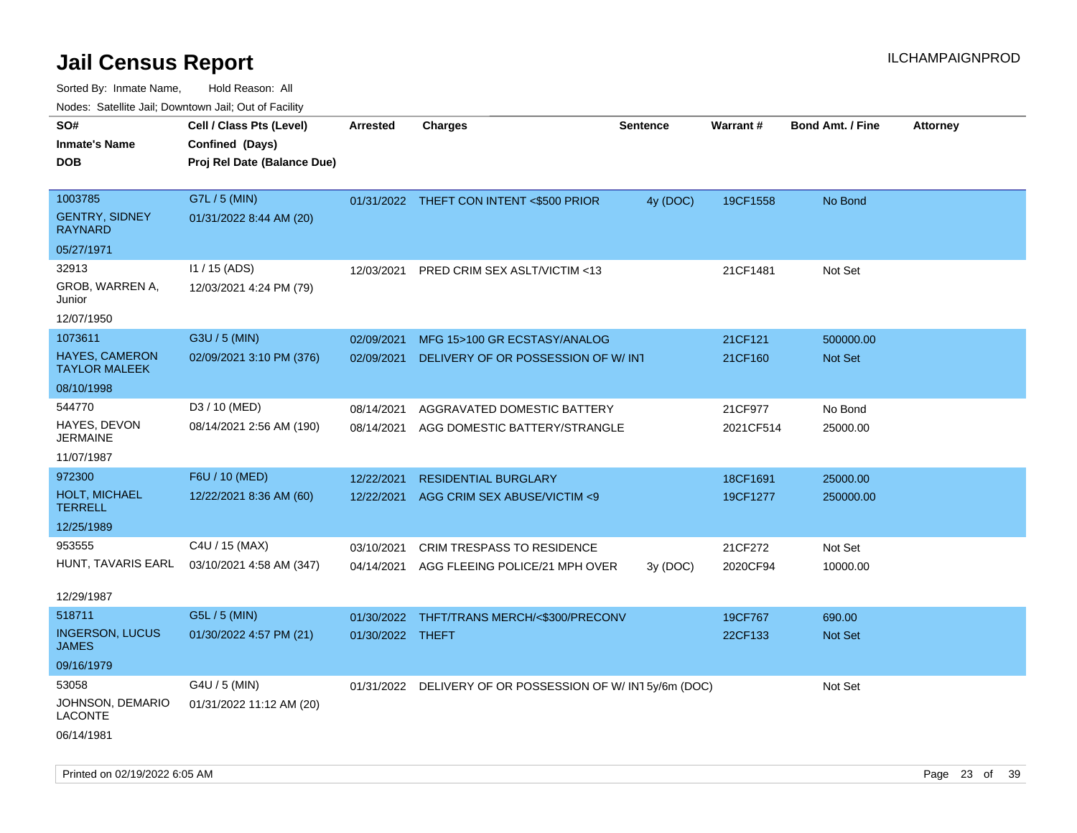| Nudes. Salenne Jan, Downlown Jan, Out of Facility |                             |                  |                                                          |                 |                 |                         |                 |
|---------------------------------------------------|-----------------------------|------------------|----------------------------------------------------------|-----------------|-----------------|-------------------------|-----------------|
| SO#                                               | Cell / Class Pts (Level)    | Arrested         | <b>Charges</b>                                           | <b>Sentence</b> | <b>Warrant#</b> | <b>Bond Amt. / Fine</b> | <b>Attorney</b> |
| <b>Inmate's Name</b>                              | Confined (Days)             |                  |                                                          |                 |                 |                         |                 |
| DOB                                               | Proj Rel Date (Balance Due) |                  |                                                          |                 |                 |                         |                 |
|                                                   |                             |                  |                                                          |                 |                 |                         |                 |
| 1003785                                           | G7L / 5 (MIN)               |                  | 01/31/2022 THEFT CON INTENT <\$500 PRIOR                 | 4y (DOC)        | 19CF1558        | No Bond                 |                 |
| <b>GENTRY, SIDNEY</b><br>RAYNARD                  | 01/31/2022 8:44 AM (20)     |                  |                                                          |                 |                 |                         |                 |
| 05/27/1971                                        |                             |                  |                                                          |                 |                 |                         |                 |
| 32913                                             | $11 / 15$ (ADS)             | 12/03/2021       | PRED CRIM SEX ASLT/VICTIM <13                            |                 | 21CF1481        | Not Set                 |                 |
| GROB, WARREN A,<br>Junior                         | 12/03/2021 4:24 PM (79)     |                  |                                                          |                 |                 |                         |                 |
| 12/07/1950                                        |                             |                  |                                                          |                 |                 |                         |                 |
| 1073611                                           | G3U / 5 (MIN)               | 02/09/2021       | MFG 15>100 GR ECSTASY/ANALOG                             |                 | 21CF121         | 500000.00               |                 |
| HAYES, CAMERON<br><b>TAYLOR MALEEK</b>            | 02/09/2021 3:10 PM (376)    | 02/09/2021       | DELIVERY OF OR POSSESSION OF W/INT                       |                 | 21CF160         | <b>Not Set</b>          |                 |
| 08/10/1998                                        |                             |                  |                                                          |                 |                 |                         |                 |
| 544770                                            | D3 / 10 (MED)               | 08/14/2021       | AGGRAVATED DOMESTIC BATTERY                              |                 | 21CF977         | No Bond                 |                 |
| HAYES, DEVON<br>JERMAINE                          | 08/14/2021 2:56 AM (190)    | 08/14/2021       | AGG DOMESTIC BATTERY/STRANGLE                            |                 | 2021CF514       | 25000.00                |                 |
| 11/07/1987                                        |                             |                  |                                                          |                 |                 |                         |                 |
| 972300                                            | F6U / 10 (MED)              | 12/22/2021       | <b>RESIDENTIAL BURGLARY</b>                              |                 | 18CF1691        | 25000.00                |                 |
| <b>HOLT, MICHAEL</b><br>TERRELL                   | 12/22/2021 8:36 AM (60)     | 12/22/2021       | AGG CRIM SEX ABUSE/VICTIM <9                             |                 | 19CF1277        | 250000.00               |                 |
| 12/25/1989                                        |                             |                  |                                                          |                 |                 |                         |                 |
| 953555                                            | C4U / 15 (MAX)              | 03/10/2021       | <b>CRIM TRESPASS TO RESIDENCE</b>                        |                 | 21CF272         | Not Set                 |                 |
| HUNT, TAVARIS EARL                                | 03/10/2021 4:58 AM (347)    | 04/14/2021       | AGG FLEEING POLICE/21 MPH OVER                           | 3y(DOC)         | 2020CF94        | 10000.00                |                 |
| 12/29/1987                                        |                             |                  |                                                          |                 |                 |                         |                 |
| 518711                                            | G5L / 5 (MIN)               | 01/30/2022       | THFT/TRANS MERCH/<\$300/PRECONV                          |                 | 19CF767         | 690.00                  |                 |
| <b>INGERSON, LUCUS</b><br>JAMES                   | 01/30/2022 4:57 PM (21)     | 01/30/2022 THEFT |                                                          |                 | 22CF133         | <b>Not Set</b>          |                 |
| 09/16/1979                                        |                             |                  |                                                          |                 |                 |                         |                 |
| 53058                                             | G4U / 5 (MIN)               |                  | 01/31/2022 DELIVERY OF OR POSSESSION OF W/IN15y/6m (DOC) |                 |                 | Not Set                 |                 |
| JOHNSON, DEMARIO<br>LACONTE                       | 01/31/2022 11:12 AM (20)    |                  |                                                          |                 |                 |                         |                 |
| 06/14/1981                                        |                             |                  |                                                          |                 |                 |                         |                 |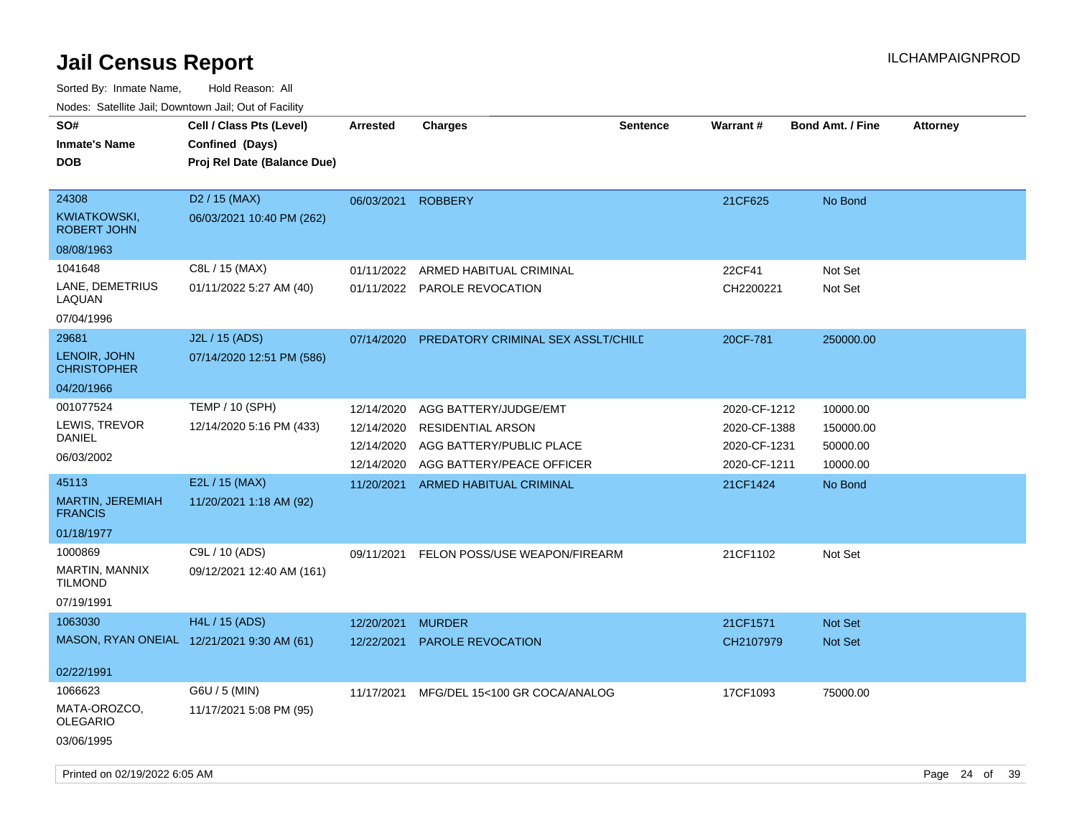| SO#<br><b>Inmate's Name</b><br><b>DOB</b>          | Cell / Class Pts (Level)<br>Confined (Days)<br>Proj Rel Date (Balance Due) | <b>Arrested</b>          | <b>Charges</b>                                       | <b>Sentence</b> | <b>Warrant#</b>              | <b>Bond Amt. / Fine</b> | <b>Attorney</b> |    |
|----------------------------------------------------|----------------------------------------------------------------------------|--------------------------|------------------------------------------------------|-----------------|------------------------------|-------------------------|-----------------|----|
| 24308<br><b>KWIATKOWSKI,</b><br><b>ROBERT JOHN</b> | D <sub>2</sub> / 15 (MAX)<br>06/03/2021 10:40 PM (262)                     | 06/03/2021               | <b>ROBBERY</b>                                       |                 | 21CF625                      | No Bond                 |                 |    |
| 08/08/1963                                         |                                                                            |                          |                                                      |                 |                              |                         |                 |    |
| 1041648                                            | C8L / 15 (MAX)                                                             | 01/11/2022               | ARMED HABITUAL CRIMINAL                              |                 | 22CF41                       | Not Set                 |                 |    |
| LANE, DEMETRIUS<br>LAQUAN                          | 01/11/2022 5:27 AM (40)                                                    |                          | 01/11/2022 PAROLE REVOCATION                         |                 | CH2200221                    | Not Set                 |                 |    |
| 07/04/1996                                         |                                                                            |                          |                                                      |                 |                              |                         |                 |    |
| 29681                                              | J2L / 15 (ADS)                                                             | 07/14/2020               | PREDATORY CRIMINAL SEX ASSLT/CHILE                   |                 | 20CF-781                     | 250000.00               |                 |    |
| LENOIR, JOHN<br><b>CHRISTOPHER</b>                 | 07/14/2020 12:51 PM (586)                                                  |                          |                                                      |                 |                              |                         |                 |    |
| 04/20/1966                                         |                                                                            |                          |                                                      |                 |                              |                         |                 |    |
| 001077524                                          | <b>TEMP / 10 (SPH)</b>                                                     | 12/14/2020               | AGG BATTERY/JUDGE/EMT                                |                 | 2020-CF-1212                 | 10000.00                |                 |    |
| LEWIS, TREVOR<br>DANIEL                            | 12/14/2020 5:16 PM (433)                                                   | 12/14/2020<br>12/14/2020 | <b>RESIDENTIAL ARSON</b><br>AGG BATTERY/PUBLIC PLACE |                 | 2020-CF-1388<br>2020-CF-1231 | 150000.00               |                 |    |
| 06/03/2002                                         |                                                                            | 12/14/2020               | AGG BATTERY/PEACE OFFICER                            |                 | 2020-CF-1211                 | 50000.00<br>10000.00    |                 |    |
| 45113                                              | E2L / 15 (MAX)                                                             | 11/20/2021               | ARMED HABITUAL CRIMINAL                              |                 | 21CF1424                     | No Bond                 |                 |    |
| MARTIN, JEREMIAH<br><b>FRANCIS</b>                 | 11/20/2021 1:18 AM (92)                                                    |                          |                                                      |                 |                              |                         |                 |    |
| 01/18/1977                                         |                                                                            |                          |                                                      |                 |                              |                         |                 |    |
| 1000869                                            | C9L / 10 (ADS)                                                             | 09/11/2021               | FELON POSS/USE WEAPON/FIREARM                        |                 | 21CF1102                     | Not Set                 |                 |    |
| MARTIN, MANNIX<br><b>TILMOND</b>                   | 09/12/2021 12:40 AM (161)                                                  |                          |                                                      |                 |                              |                         |                 |    |
| 07/19/1991                                         |                                                                            |                          |                                                      |                 |                              |                         |                 |    |
| 1063030                                            | H4L / 15 (ADS)                                                             | 12/20/2021               | <b>MURDER</b>                                        |                 | 21CF1571                     | <b>Not Set</b>          |                 |    |
|                                                    | MASON, RYAN ONEIAL 12/21/2021 9:30 AM (61)                                 | 12/22/2021               | <b>PAROLE REVOCATION</b>                             |                 | CH2107979                    | <b>Not Set</b>          |                 |    |
| 02/22/1991                                         |                                                                            |                          |                                                      |                 |                              |                         |                 |    |
| 1066623                                            | G6U / 5 (MIN)                                                              | 11/17/2021               | MFG/DEL 15<100 GR COCA/ANALOG                        |                 | 17CF1093                     | 75000.00                |                 |    |
| MATA-OROZCO,<br><b>OLEGARIO</b>                    | 11/17/2021 5:08 PM (95)                                                    |                          |                                                      |                 |                              |                         |                 |    |
| 03/06/1995                                         |                                                                            |                          |                                                      |                 |                              |                         |                 |    |
| Printed on 02/19/2022 6:05 AM                      |                                                                            |                          |                                                      |                 |                              |                         | Page 24 of      | 39 |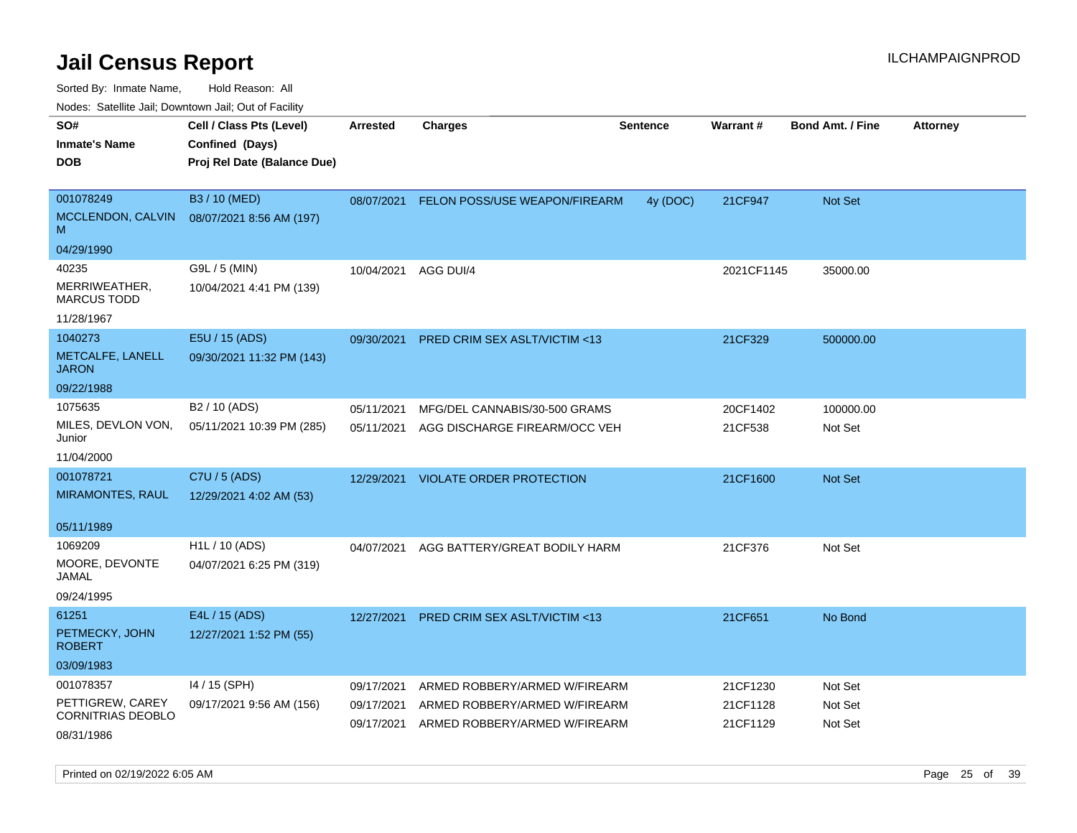Sorted By: Inmate Name, Hold Reason: All

Nodes: Satellite Jail; Downtown Jail; Out of Facility

| roaco. Oatomto dan, Downtown dan, Oat or Fability |                             |            |                                         |                 |                 |                         |                 |
|---------------------------------------------------|-----------------------------|------------|-----------------------------------------|-----------------|-----------------|-------------------------|-----------------|
| SO#                                               | Cell / Class Pts (Level)    | Arrested   | <b>Charges</b>                          | <b>Sentence</b> | <b>Warrant#</b> | <b>Bond Amt. / Fine</b> | <b>Attorney</b> |
| <b>Inmate's Name</b>                              | Confined (Days)             |            |                                         |                 |                 |                         |                 |
| <b>DOB</b>                                        | Proj Rel Date (Balance Due) |            |                                         |                 |                 |                         |                 |
|                                                   |                             |            |                                         |                 |                 |                         |                 |
| 001078249                                         | B3 / 10 (MED)               | 08/07/2021 | FELON POSS/USE WEAPON/FIREARM           | 4y (DOC)        | 21CF947         | Not Set                 |                 |
| MCCLENDON, CALVIN<br>M                            | 08/07/2021 8:56 AM (197)    |            |                                         |                 |                 |                         |                 |
| 04/29/1990                                        |                             |            |                                         |                 |                 |                         |                 |
| 40235                                             | G9L / 5 (MIN)               | 10/04/2021 | AGG DUI/4                               |                 | 2021CF1145      | 35000.00                |                 |
| MERRIWEATHER,<br><b>MARCUS TODD</b>               | 10/04/2021 4:41 PM (139)    |            |                                         |                 |                 |                         |                 |
| 11/28/1967                                        |                             |            |                                         |                 |                 |                         |                 |
| 1040273                                           | E5U / 15 (ADS)              | 09/30/2021 | PRED CRIM SEX ASLT/VICTIM <13           |                 | 21CF329         | 500000.00               |                 |
| METCALFE, LANELL<br><b>JARON</b>                  | 09/30/2021 11:32 PM (143)   |            |                                         |                 |                 |                         |                 |
| 09/22/1988                                        |                             |            |                                         |                 |                 |                         |                 |
| 1075635                                           | B2 / 10 (ADS)               | 05/11/2021 | MFG/DEL CANNABIS/30-500 GRAMS           |                 | 20CF1402        | 100000.00               |                 |
| MILES, DEVLON VON,<br>Junior                      | 05/11/2021 10:39 PM (285)   | 05/11/2021 | AGG DISCHARGE FIREARM/OCC VEH           |                 | 21CF538         | Not Set                 |                 |
| 11/04/2000                                        |                             |            |                                         |                 |                 |                         |                 |
| 001078721                                         | C7U / 5 (ADS)               | 12/29/2021 | VIOLATE ORDER PROTECTION                |                 | 21CF1600        | <b>Not Set</b>          |                 |
| <b>MIRAMONTES, RAUL</b>                           | 12/29/2021 4:02 AM (53)     |            |                                         |                 |                 |                         |                 |
|                                                   |                             |            |                                         |                 |                 |                         |                 |
| 05/11/1989                                        |                             |            |                                         |                 |                 |                         |                 |
| 1069209                                           | H1L / 10 (ADS)              | 04/07/2021 | AGG BATTERY/GREAT BODILY HARM           |                 | 21CF376         | Not Set                 |                 |
| MOORE, DEVONTE<br>JAMAL                           | 04/07/2021 6:25 PM (319)    |            |                                         |                 |                 |                         |                 |
| 09/24/1995                                        |                             |            |                                         |                 |                 |                         |                 |
| 61251                                             | E4L / 15 (ADS)              | 12/27/2021 | <b>PRED CRIM SEX ASLT/VICTIM &lt;13</b> |                 | 21CF651         | No Bond                 |                 |
| PETMECKY, JOHN<br><b>ROBERT</b>                   | 12/27/2021 1:52 PM (55)     |            |                                         |                 |                 |                         |                 |
| 03/09/1983                                        |                             |            |                                         |                 |                 |                         |                 |
| 001078357                                         | 14 / 15 (SPH)               | 09/17/2021 | ARMED ROBBERY/ARMED W/FIREARM           |                 | 21CF1230        | Not Set                 |                 |
| PETTIGREW, CAREY                                  | 09/17/2021 9:56 AM (156)    | 09/17/2021 | ARMED ROBBERY/ARMED W/FIREARM           |                 | 21CF1128        | Not Set                 |                 |
| CORNITRIAS DEOBLO                                 |                             | 09/17/2021 | ARMED ROBBERY/ARMED W/FIREARM           |                 | 21CF1129        | Not Set                 |                 |
| 08/31/1986                                        |                             |            |                                         |                 |                 |                         |                 |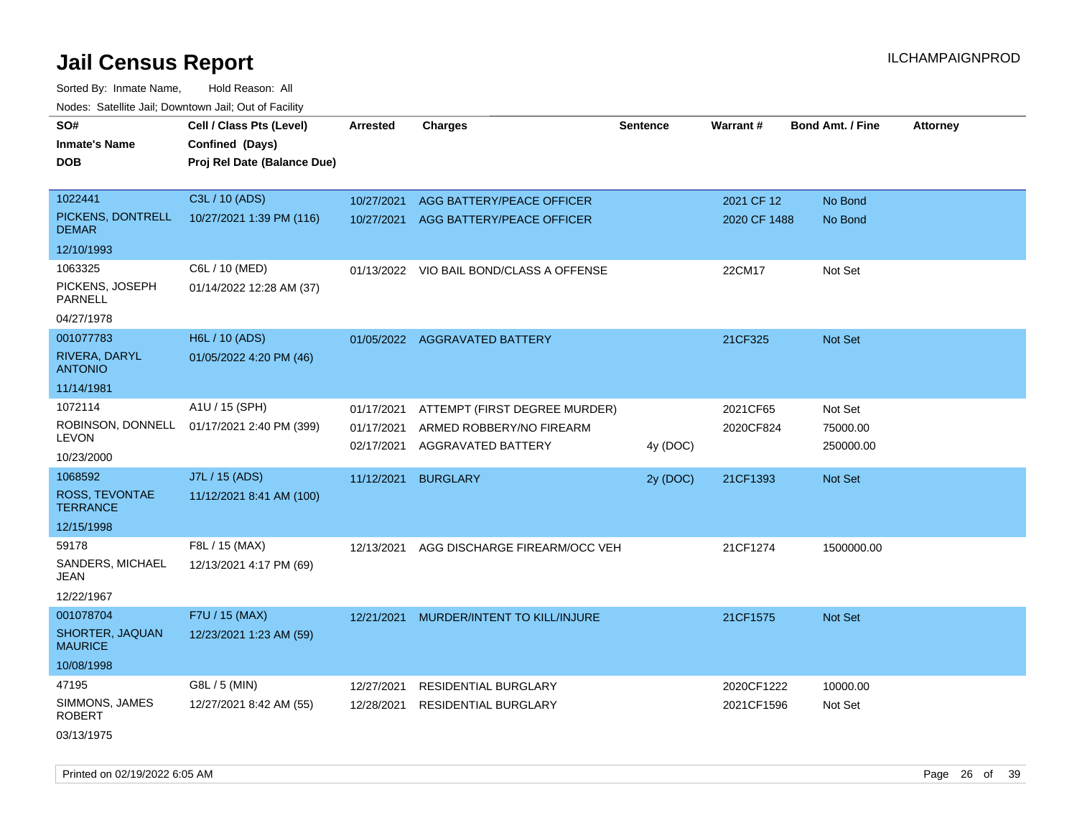| roaco. Oatomto dan, Downtown dan, Oat or Fability |                                                                            |                          |                                                |                 |                 |                         |                 |
|---------------------------------------------------|----------------------------------------------------------------------------|--------------------------|------------------------------------------------|-----------------|-----------------|-------------------------|-----------------|
| SO#<br><b>Inmate's Name</b><br><b>DOB</b>         | Cell / Class Pts (Level)<br>Confined (Days)<br>Proj Rel Date (Balance Due) | <b>Arrested</b>          | <b>Charges</b>                                 | <b>Sentence</b> | <b>Warrant#</b> | <b>Bond Amt. / Fine</b> | <b>Attorney</b> |
| 1022441                                           | C3L / 10 (ADS)                                                             | 10/27/2021               | AGG BATTERY/PEACE OFFICER                      |                 | 2021 CF 12      | No Bond                 |                 |
| PICKENS, DONTRELL<br><b>DEMAR</b>                 | 10/27/2021 1:39 PM (116)                                                   | 10/27/2021               | AGG BATTERY/PEACE OFFICER                      |                 | 2020 CF 1488    | No Bond                 |                 |
| 12/10/1993                                        |                                                                            |                          |                                                |                 |                 |                         |                 |
| 1063325                                           | C6L / 10 (MED)                                                             |                          | 01/13/2022 VIO BAIL BOND/CLASS A OFFENSE       |                 | 22CM17          | Not Set                 |                 |
| PICKENS, JOSEPH<br><b>PARNELL</b>                 | 01/14/2022 12:28 AM (37)                                                   |                          |                                                |                 |                 |                         |                 |
| 04/27/1978                                        |                                                                            |                          |                                                |                 |                 |                         |                 |
| 001077783                                         | H6L / 10 (ADS)                                                             |                          | 01/05/2022 AGGRAVATED BATTERY                  |                 | 21CF325         | <b>Not Set</b>          |                 |
| RIVERA, DARYL<br><b>ANTONIO</b>                   | 01/05/2022 4:20 PM (46)                                                    |                          |                                                |                 |                 |                         |                 |
| 11/14/1981                                        |                                                                            |                          |                                                |                 |                 |                         |                 |
| 1072114                                           | A1U / 15 (SPH)                                                             | 01/17/2021               | ATTEMPT (FIRST DEGREE MURDER)                  |                 | 2021CF65        | Not Set                 |                 |
| ROBINSON, DONNELL<br><b>LEVON</b>                 | 01/17/2021 2:40 PM (399)                                                   | 01/17/2021<br>02/17/2021 | ARMED ROBBERY/NO FIREARM<br>AGGRAVATED BATTERY | 4y (DOC)        | 2020CF824       | 75000.00<br>250000.00   |                 |
| 10/23/2000                                        |                                                                            |                          |                                                |                 |                 |                         |                 |
| 1068592                                           | J7L / 15 (ADS)                                                             | 11/12/2021               | <b>BURGLARY</b>                                | 2y (DOC)        | 21CF1393        | <b>Not Set</b>          |                 |
| ROSS, TEVONTAE<br><b>TERRANCE</b>                 | 11/12/2021 8:41 AM (100)                                                   |                          |                                                |                 |                 |                         |                 |
| 12/15/1998                                        |                                                                            |                          |                                                |                 |                 |                         |                 |
| 59178                                             | F8L / 15 (MAX)                                                             | 12/13/2021               | AGG DISCHARGE FIREARM/OCC VEH                  |                 | 21CF1274        | 1500000.00              |                 |
| SANDERS, MICHAEL<br>JEAN                          | 12/13/2021 4:17 PM (69)                                                    |                          |                                                |                 |                 |                         |                 |
| 12/22/1967                                        |                                                                            |                          |                                                |                 |                 |                         |                 |
| 001078704                                         | F7U / 15 (MAX)                                                             | 12/21/2021               | MURDER/INTENT TO KILL/INJURE                   |                 | 21CF1575        | <b>Not Set</b>          |                 |
| SHORTER, JAQUAN<br><b>MAURICE</b>                 | 12/23/2021 1:23 AM (59)                                                    |                          |                                                |                 |                 |                         |                 |
| 10/08/1998                                        |                                                                            |                          |                                                |                 |                 |                         |                 |
| 47195                                             | G8L / 5 (MIN)                                                              | 12/27/2021               | <b>RESIDENTIAL BURGLARY</b>                    |                 | 2020CF1222      | 10000.00                |                 |
| SIMMONS, JAMES<br><b>ROBERT</b>                   | 12/27/2021 8:42 AM (55)                                                    | 12/28/2021               | <b>RESIDENTIAL BURGLARY</b>                    |                 | 2021CF1596      | Not Set                 |                 |
| 03/13/1975                                        |                                                                            |                          |                                                |                 |                 |                         |                 |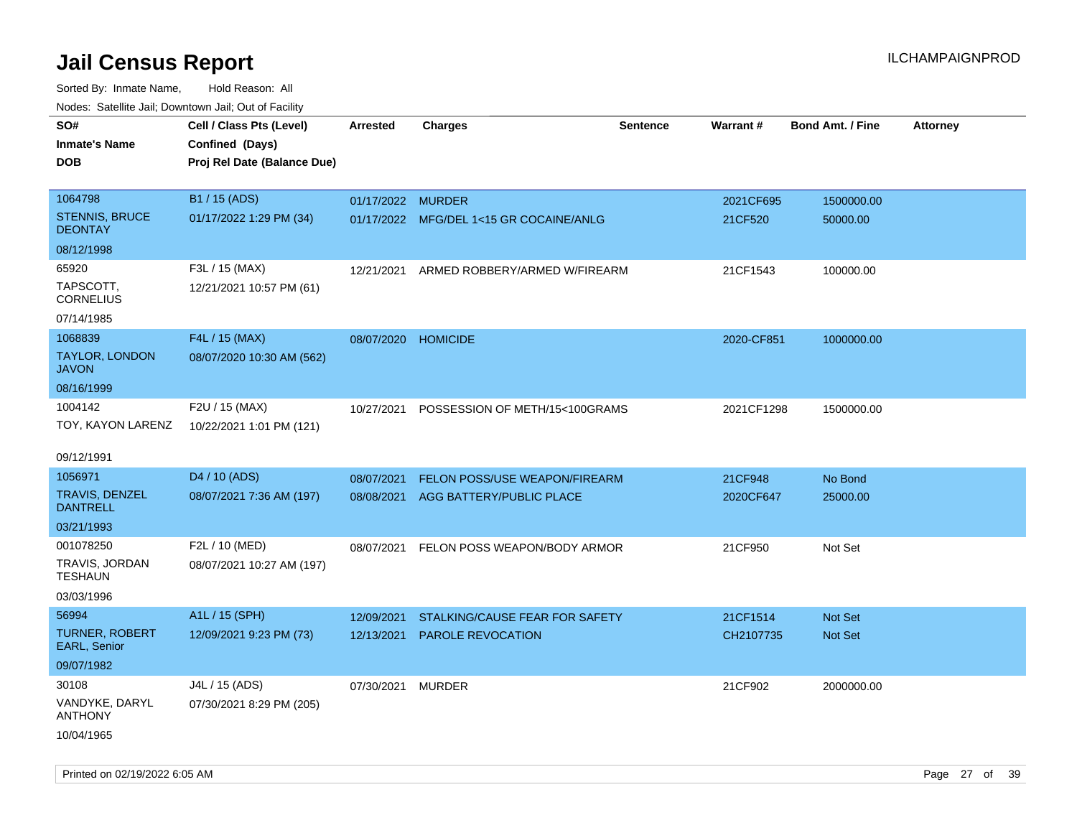| ivouss. Satellite Jall, Downtown Jall, Out of Facility |                             |                     |                                         |                 |            |                         |                 |
|--------------------------------------------------------|-----------------------------|---------------------|-----------------------------------------|-----------------|------------|-------------------------|-----------------|
| SO#                                                    | Cell / Class Pts (Level)    | Arrested            | <b>Charges</b>                          | <b>Sentence</b> | Warrant#   | <b>Bond Amt. / Fine</b> | <b>Attorney</b> |
| <b>Inmate's Name</b>                                   | Confined (Days)             |                     |                                         |                 |            |                         |                 |
| <b>DOB</b>                                             | Proj Rel Date (Balance Due) |                     |                                         |                 |            |                         |                 |
|                                                        |                             |                     |                                         |                 |            |                         |                 |
| 1064798                                                | B1 / 15 (ADS)               | 01/17/2022 MURDER   |                                         |                 | 2021CF695  | 1500000.00              |                 |
| <b>STENNIS, BRUCE</b><br><b>DEONTAY</b>                | 01/17/2022 1:29 PM (34)     |                     | 01/17/2022 MFG/DEL 1<15 GR COCAINE/ANLG |                 | 21CF520    | 50000.00                |                 |
| 08/12/1998                                             |                             |                     |                                         |                 |            |                         |                 |
| 65920                                                  | F3L / 15 (MAX)              | 12/21/2021          | ARMED ROBBERY/ARMED W/FIREARM           |                 | 21CF1543   | 100000.00               |                 |
| TAPSCOTT,<br><b>CORNELIUS</b>                          | 12/21/2021 10:57 PM (61)    |                     |                                         |                 |            |                         |                 |
| 07/14/1985                                             |                             |                     |                                         |                 |            |                         |                 |
| 1068839                                                | F4L / 15 (MAX)              | 08/07/2020 HOMICIDE |                                         |                 | 2020-CF851 | 1000000.00              |                 |
| TAYLOR, LONDON<br><b>JAVON</b>                         | 08/07/2020 10:30 AM (562)   |                     |                                         |                 |            |                         |                 |
| 08/16/1999                                             |                             |                     |                                         |                 |            |                         |                 |
| 1004142                                                | F2U / 15 (MAX)              | 10/27/2021          | POSSESSION OF METH/15<100GRAMS          |                 | 2021CF1298 | 1500000.00              |                 |
| TOY, KAYON LARENZ                                      | 10/22/2021 1:01 PM (121)    |                     |                                         |                 |            |                         |                 |
|                                                        |                             |                     |                                         |                 |            |                         |                 |
| 09/12/1991                                             |                             |                     |                                         |                 |            |                         |                 |
| 1056971                                                | D4 / 10 (ADS)               | 08/07/2021          | <b>FELON POSS/USE WEAPON/FIREARM</b>    |                 | 21CF948    | No Bond                 |                 |
| <b>TRAVIS, DENZEL</b><br><b>DANTRELL</b>               | 08/07/2021 7:36 AM (197)    | 08/08/2021          | AGG BATTERY/PUBLIC PLACE                |                 | 2020CF647  | 25000.00                |                 |
| 03/21/1993                                             |                             |                     |                                         |                 |            |                         |                 |
| 001078250                                              | F2L / 10 (MED)              | 08/07/2021          | FELON POSS WEAPON/BODY ARMOR            |                 | 21CF950    | Not Set                 |                 |
| <b>TRAVIS, JORDAN</b><br><b>TESHAUN</b>                | 08/07/2021 10:27 AM (197)   |                     |                                         |                 |            |                         |                 |
| 03/03/1996                                             |                             |                     |                                         |                 |            |                         |                 |
| 56994                                                  | A1L / 15 (SPH)              | 12/09/2021          | STALKING/CAUSE FEAR FOR SAFETY          |                 | 21CF1514   | Not Set                 |                 |
| <b>TURNER, ROBERT</b><br>EARL, Senior                  | 12/09/2021 9:23 PM (73)     | 12/13/2021          | <b>PAROLE REVOCATION</b>                |                 | CH2107735  | <b>Not Set</b>          |                 |
| 09/07/1982                                             |                             |                     |                                         |                 |            |                         |                 |
| 30108                                                  | J4L / 15 (ADS)              | 07/30/2021          | MURDER                                  |                 | 21CF902    | 2000000.00              |                 |
| VANDYKE, DARYL<br><b>ANTHONY</b>                       | 07/30/2021 8:29 PM (205)    |                     |                                         |                 |            |                         |                 |
| 10/04/1965                                             |                             |                     |                                         |                 |            |                         |                 |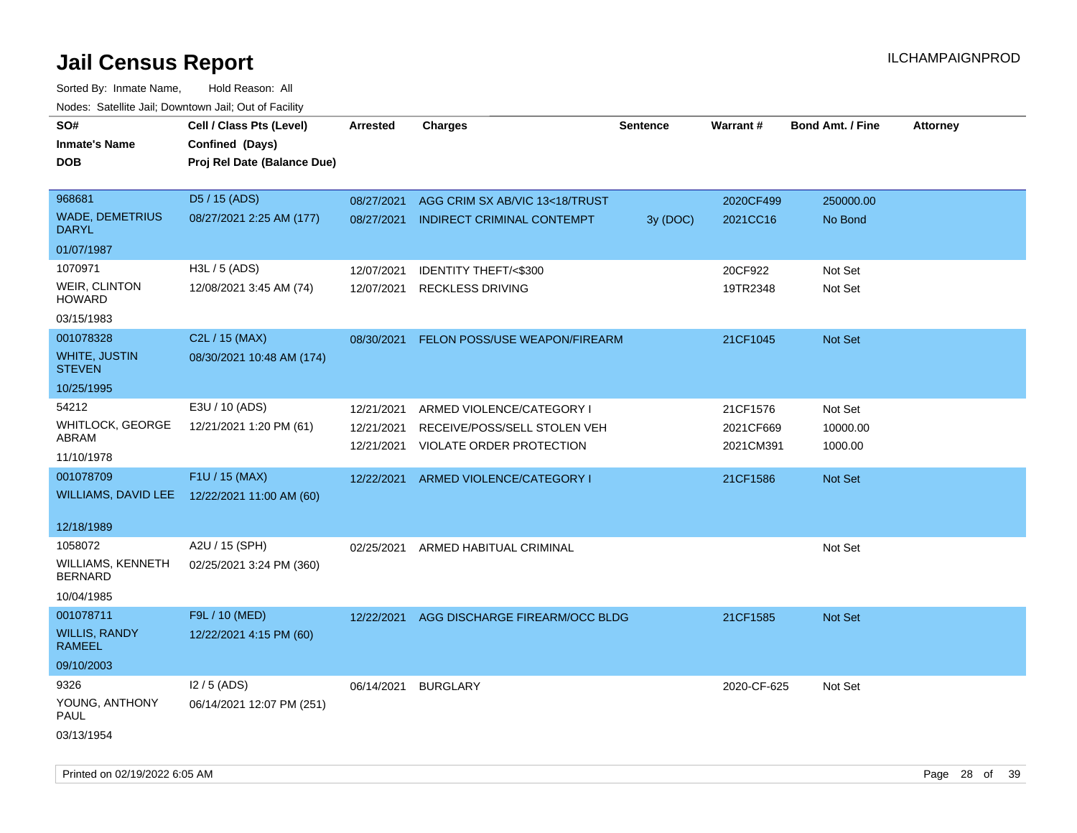| SO#<br><b>Inmate's Name</b><br><b>DOB</b> | Cell / Class Pts (Level)<br>Confined (Days)<br>Proj Rel Date (Balance Due) | Arrested   | <b>Charges</b>                     | <b>Sentence</b> | Warrant#    | <b>Bond Amt. / Fine</b> | Attorney |
|-------------------------------------------|----------------------------------------------------------------------------|------------|------------------------------------|-----------------|-------------|-------------------------|----------|
| 968681                                    | D5 / 15 (ADS)                                                              | 08/27/2021 | AGG CRIM SX AB/VIC 13<18/TRUST     |                 | 2020CF499   | 250000.00               |          |
| <b>WADE, DEMETRIUS</b><br><b>DARYL</b>    | 08/27/2021 2:25 AM (177)                                                   | 08/27/2021 | <b>INDIRECT CRIMINAL CONTEMPT</b>  | 3y (DOC)        | 2021CC16    | No Bond                 |          |
| 01/07/1987                                |                                                                            |            |                                    |                 |             |                         |          |
| 1070971                                   | H3L / 5 (ADS)                                                              | 12/07/2021 | IDENTITY THEFT/<\$300              |                 | 20CF922     | Not Set                 |          |
| WEIR, CLINTON<br><b>HOWARD</b>            | 12/08/2021 3:45 AM (74)                                                    | 12/07/2021 | <b>RECKLESS DRIVING</b>            |                 | 19TR2348    | Not Set                 |          |
| 03/15/1983                                |                                                                            |            |                                    |                 |             |                         |          |
| 001078328                                 | C2L / 15 (MAX)                                                             | 08/30/2021 | FELON POSS/USE WEAPON/FIREARM      |                 | 21CF1045    | Not Set                 |          |
| <b>WHITE, JUSTIN</b><br><b>STEVEN</b>     | 08/30/2021 10:48 AM (174)                                                  |            |                                    |                 |             |                         |          |
| 10/25/1995                                |                                                                            |            |                                    |                 |             |                         |          |
| 54212                                     | E3U / 10 (ADS)                                                             | 12/21/2021 | ARMED VIOLENCE/CATEGORY I          |                 | 21CF1576    | Not Set                 |          |
| <b>WHITLOCK, GEORGE</b><br>ABRAM          | 12/21/2021 1:20 PM (61)                                                    | 12/21/2021 | RECEIVE/POSS/SELL STOLEN VEH       |                 | 2021CF669   | 10000.00                |          |
| 11/10/1978                                |                                                                            | 12/21/2021 | VIOLATE ORDER PROTECTION           |                 | 2021CM391   | 1000.00                 |          |
| 001078709                                 | F1U / 15 (MAX)                                                             | 12/22/2021 | ARMED VIOLENCE/CATEGORY I          |                 | 21CF1586    | <b>Not Set</b>          |          |
|                                           | WILLIAMS, DAVID LEE 12/22/2021 11:00 AM (60)                               |            |                                    |                 |             |                         |          |
| 12/18/1989                                |                                                                            |            |                                    |                 |             |                         |          |
| 1058072                                   | A2U / 15 (SPH)                                                             |            | 02/25/2021 ARMED HABITUAL CRIMINAL |                 |             | Not Set                 |          |
| <b>WILLIAMS, KENNETH</b><br>BERNARD       | 02/25/2021 3:24 PM (360)                                                   |            |                                    |                 |             |                         |          |
| 10/04/1985                                |                                                                            |            |                                    |                 |             |                         |          |
| 001078711                                 | F9L / 10 (MED)                                                             | 12/22/2021 | AGG DISCHARGE FIREARM/OCC BLDG     |                 | 21CF1585    | <b>Not Set</b>          |          |
| <b>WILLIS, RANDY</b><br>RAMEEL            | 12/22/2021 4:15 PM (60)                                                    |            |                                    |                 |             |                         |          |
| 09/10/2003                                |                                                                            |            |                                    |                 |             |                         |          |
| 9326                                      | $12/5$ (ADS)                                                               | 06/14/2021 | <b>BURGLARY</b>                    |                 | 2020-CF-625 | Not Set                 |          |
| YOUNG, ANTHONY<br>PAUL                    | 06/14/2021 12:07 PM (251)                                                  |            |                                    |                 |             |                         |          |
| 03/13/1954                                |                                                                            |            |                                    |                 |             |                         |          |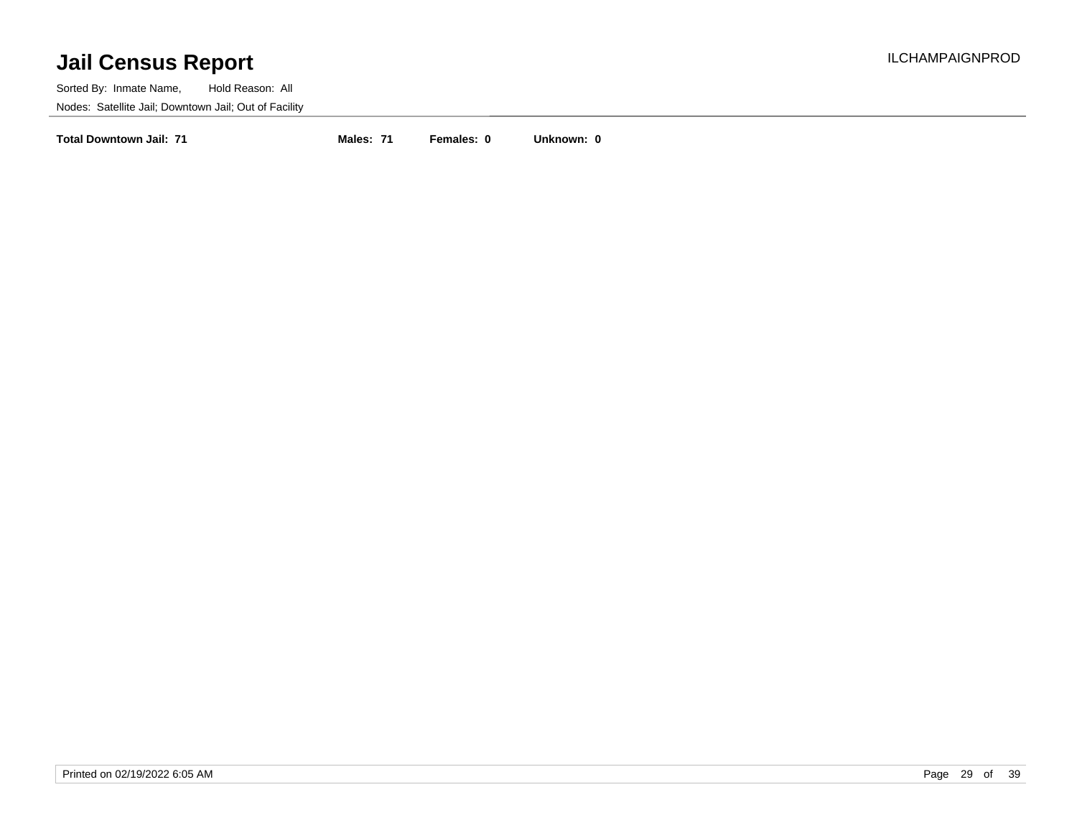Sorted By: Inmate Name, Hold Reason: All Nodes: Satellite Jail; Downtown Jail; Out of Facility

**Total Downtown Jail: 71 Males: 71 Females: 0 Unknown: 0**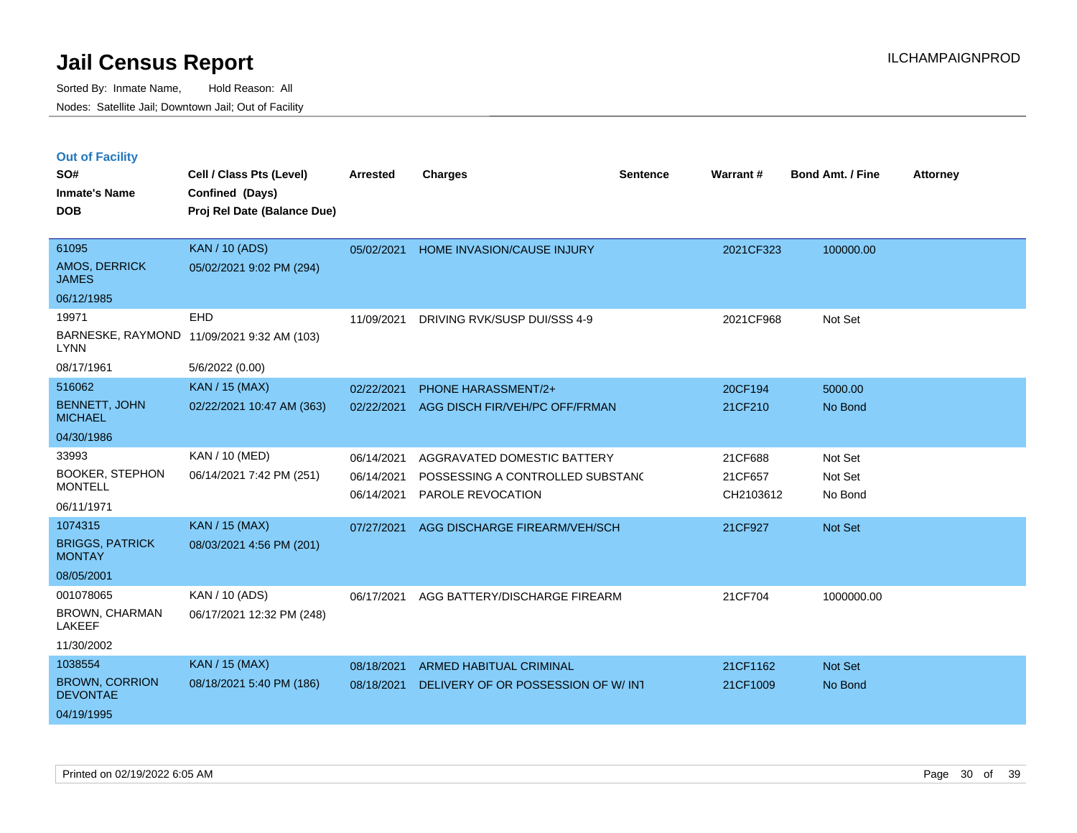| <b>Out of Facility</b> |  |
|------------------------|--|
|------------------------|--|

| SO#                                      | Cell / Class Pts (Level)    | <b>Arrested</b> | <b>Charges</b>                     | <b>Sentence</b> | Warrant#  | <b>Bond Amt. / Fine</b> | <b>Attorney</b> |
|------------------------------------------|-----------------------------|-----------------|------------------------------------|-----------------|-----------|-------------------------|-----------------|
| <b>Inmate's Name</b>                     | Confined (Days)             |                 |                                    |                 |           |                         |                 |
| <b>DOB</b>                               | Proj Rel Date (Balance Due) |                 |                                    |                 |           |                         |                 |
|                                          |                             |                 |                                    |                 |           |                         |                 |
| 61095                                    | <b>KAN / 10 (ADS)</b>       | 05/02/2021      | HOME INVASION/CAUSE INJURY         |                 | 2021CF323 | 100000.00               |                 |
| <b>AMOS, DERRICK</b><br><b>JAMES</b>     | 05/02/2021 9:02 PM (294)    |                 |                                    |                 |           |                         |                 |
| 06/12/1985                               |                             |                 |                                    |                 |           |                         |                 |
| 19971                                    | EHD                         | 11/09/2021      | DRIVING RVK/SUSP DUI/SSS 4-9       |                 | 2021CF968 | Not Set                 |                 |
| BARNESKE, RAYMOND<br><b>LYNN</b>         | 11/09/2021 9:32 AM (103)    |                 |                                    |                 |           |                         |                 |
| 08/17/1961                               | 5/6/2022 (0.00)             |                 |                                    |                 |           |                         |                 |
| 516062                                   | <b>KAN / 15 (MAX)</b>       | 02/22/2021      | PHONE HARASSMENT/2+                |                 | 20CF194   | 5000.00                 |                 |
| <b>BENNETT, JOHN</b><br><b>MICHAEL</b>   | 02/22/2021 10:47 AM (363)   | 02/22/2021      | AGG DISCH FIR/VEH/PC OFF/FRMAN     |                 | 21CF210   | No Bond                 |                 |
| 04/30/1986                               |                             |                 |                                    |                 |           |                         |                 |
| 33993                                    | KAN / 10 (MED)              | 06/14/2021      | AGGRAVATED DOMESTIC BATTERY        |                 | 21CF688   | Not Set                 |                 |
| <b>BOOKER, STEPHON</b>                   | 06/14/2021 7:42 PM (251)    | 06/14/2021      | POSSESSING A CONTROLLED SUBSTAND   |                 | 21CF657   | Not Set                 |                 |
| <b>MONTELL</b>                           |                             | 06/14/2021      | PAROLE REVOCATION                  |                 | CH2103612 | No Bond                 |                 |
| 06/11/1971                               |                             |                 |                                    |                 |           |                         |                 |
| 1074315                                  | <b>KAN / 15 (MAX)</b>       | 07/27/2021      | AGG DISCHARGE FIREARM/VEH/SCH      |                 | 21CF927   | Not Set                 |                 |
| <b>BRIGGS, PATRICK</b><br><b>MONTAY</b>  | 08/03/2021 4:56 PM (201)    |                 |                                    |                 |           |                         |                 |
| 08/05/2001                               |                             |                 |                                    |                 |           |                         |                 |
| 001078065                                | KAN / 10 (ADS)              | 06/17/2021      | AGG BATTERY/DISCHARGE FIREARM      |                 | 21CF704   | 1000000.00              |                 |
| <b>BROWN, CHARMAN</b><br>LAKEEF          | 06/17/2021 12:32 PM (248)   |                 |                                    |                 |           |                         |                 |
| 11/30/2002                               |                             |                 |                                    |                 |           |                         |                 |
| 1038554                                  | <b>KAN / 15 (MAX)</b>       | 08/18/2021      | <b>ARMED HABITUAL CRIMINAL</b>     |                 | 21CF1162  | Not Set                 |                 |
| <b>BROWN, CORRION</b><br><b>DEVONTAE</b> | 08/18/2021 5:40 PM (186)    | 08/18/2021      | DELIVERY OF OR POSSESSION OF W/INT |                 | 21CF1009  | No Bond                 |                 |
| 04/19/1995                               |                             |                 |                                    |                 |           |                         |                 |
|                                          |                             |                 |                                    |                 |           |                         |                 |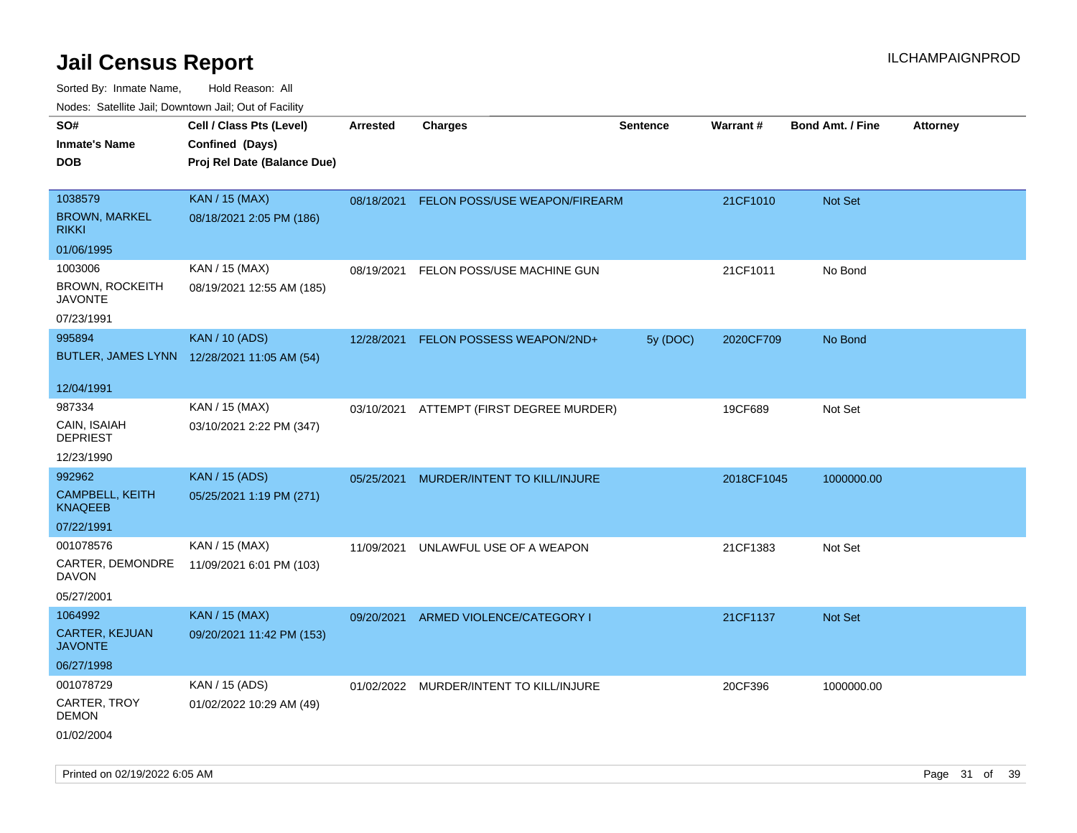| ivouss. Saleline Jali, Downtown Jali, Out of Facility |                                                                            |            |                                          |                 |                 |                         |                 |
|-------------------------------------------------------|----------------------------------------------------------------------------|------------|------------------------------------------|-----------------|-----------------|-------------------------|-----------------|
| SO#<br>Inmate's Name<br>DOB                           | Cell / Class Pts (Level)<br>Confined (Days)<br>Proj Rel Date (Balance Due) | Arrested   | <b>Charges</b>                           | <b>Sentence</b> | <b>Warrant#</b> | <b>Bond Amt. / Fine</b> | <b>Attorney</b> |
|                                                       |                                                                            |            |                                          |                 |                 |                         |                 |
| 1038579                                               | <b>KAN / 15 (MAX)</b>                                                      | 08/18/2021 | FELON POSS/USE WEAPON/FIREARM            |                 | 21CF1010        | Not Set                 |                 |
| <b>BROWN, MARKEL</b><br>RIKKI                         | 08/18/2021 2:05 PM (186)                                                   |            |                                          |                 |                 |                         |                 |
| 01/06/1995                                            |                                                                            |            |                                          |                 |                 |                         |                 |
| 1003006                                               | KAN / 15 (MAX)                                                             | 08/19/2021 | FELON POSS/USE MACHINE GUN               |                 | 21CF1011        | No Bond                 |                 |
| BROWN, ROCKEITH<br>JAVONTE                            | 08/19/2021 12:55 AM (185)                                                  |            |                                          |                 |                 |                         |                 |
| 07/23/1991                                            |                                                                            |            |                                          |                 |                 |                         |                 |
| 995894                                                | <b>KAN / 10 (ADS)</b>                                                      | 12/28/2021 | FELON POSSESS WEAPON/2ND+                | 5y (DOC)        | 2020CF709       | No Bond                 |                 |
|                                                       | BUTLER, JAMES LYNN 12/28/2021 11:05 AM (54)                                |            |                                          |                 |                 |                         |                 |
| 12/04/1991                                            |                                                                            |            |                                          |                 |                 |                         |                 |
| 987334                                                | KAN / 15 (MAX)                                                             |            | 03/10/2021 ATTEMPT (FIRST DEGREE MURDER) |                 | 19CF689         | Not Set                 |                 |
| CAIN, ISAIAH<br>DEPRIEST                              | 03/10/2021 2:22 PM (347)                                                   |            |                                          |                 |                 |                         |                 |
| 12/23/1990                                            |                                                                            |            |                                          |                 |                 |                         |                 |
| 992962                                                | KAN / 15 (ADS)                                                             | 05/25/2021 | MURDER/INTENT TO KILL/INJURE             |                 | 2018CF1045      | 1000000.00              |                 |
| <b>CAMPBELL, KEITH</b><br>KNAQEEB                     | 05/25/2021 1:19 PM (271)                                                   |            |                                          |                 |                 |                         |                 |
| 07/22/1991                                            |                                                                            |            |                                          |                 |                 |                         |                 |
| 001078576                                             | KAN / 15 (MAX)                                                             | 11/09/2021 | UNLAWFUL USE OF A WEAPON                 |                 | 21CF1383        | Not Set                 |                 |
| CARTER, DEMONDRE<br>DAVON                             | 11/09/2021 6:01 PM (103)                                                   |            |                                          |                 |                 |                         |                 |
| 05/27/2001                                            |                                                                            |            |                                          |                 |                 |                         |                 |
| 1064992                                               | <b>KAN / 15 (MAX)</b>                                                      | 09/20/2021 | ARMED VIOLENCE/CATEGORY I                |                 | 21CF1137        | <b>Not Set</b>          |                 |
| CARTER, KEJUAN<br>JAVONTE                             | 09/20/2021 11:42 PM (153)                                                  |            |                                          |                 |                 |                         |                 |
| 06/27/1998                                            |                                                                            |            |                                          |                 |                 |                         |                 |
| 001078729                                             | KAN / 15 (ADS)                                                             | 01/02/2022 | MURDER/INTENT TO KILL/INJURE             |                 | 20CF396         | 1000000.00              |                 |
| CARTER, TROY<br>DEMON                                 | 01/02/2022 10:29 AM (49)                                                   |            |                                          |                 |                 |                         |                 |
| 01/02/2004                                            |                                                                            |            |                                          |                 |                 |                         |                 |
|                                                       |                                                                            |            |                                          |                 |                 |                         |                 |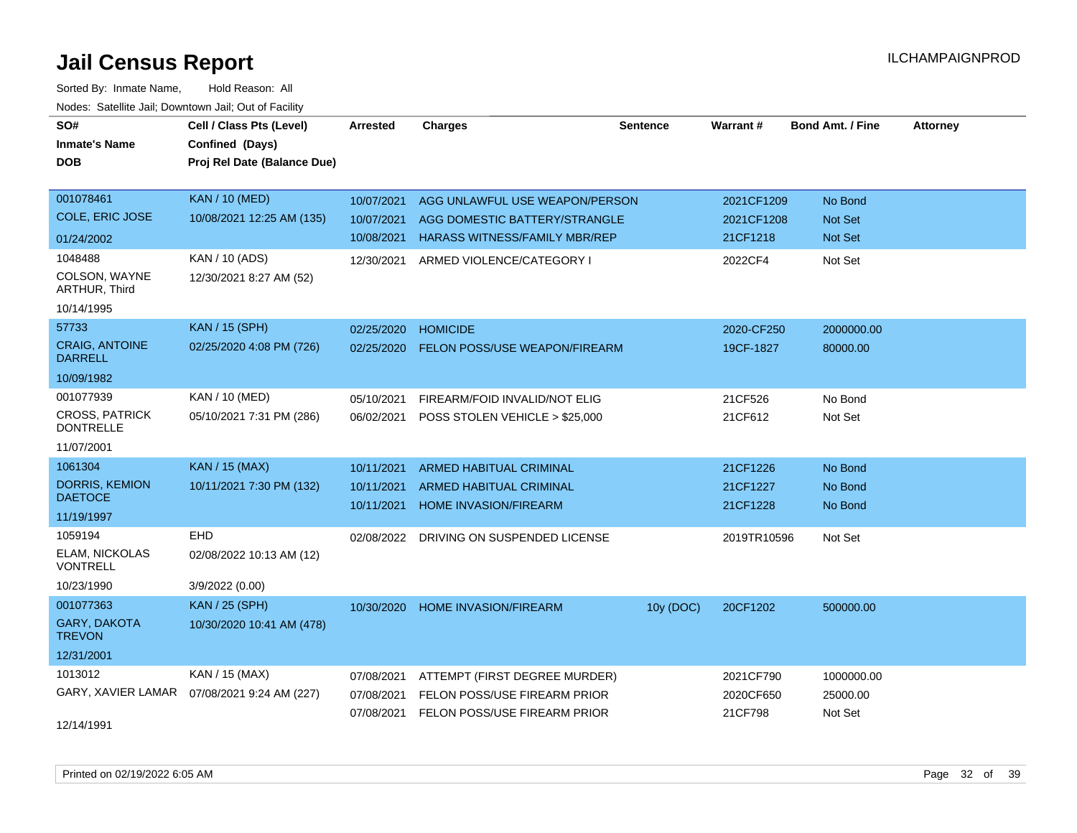| SO#                                       | Cell / Class Pts (Level)    | <b>Arrested</b> | <b>Charges</b>                          | <b>Sentence</b> | Warrant#    | <b>Bond Amt. / Fine</b> | <b>Attorney</b> |
|-------------------------------------------|-----------------------------|-----------------|-----------------------------------------|-----------------|-------------|-------------------------|-----------------|
| <b>Inmate's Name</b>                      | Confined (Days)             |                 |                                         |                 |             |                         |                 |
| <b>DOB</b>                                | Proj Rel Date (Balance Due) |                 |                                         |                 |             |                         |                 |
|                                           |                             |                 |                                         |                 |             |                         |                 |
| 001078461                                 | <b>KAN / 10 (MED)</b>       | 10/07/2021      | AGG UNLAWFUL USE WEAPON/PERSON          |                 | 2021CF1209  | No Bond                 |                 |
| <b>COLE, ERIC JOSE</b>                    | 10/08/2021 12:25 AM (135)   | 10/07/2021      | AGG DOMESTIC BATTERY/STRANGLE           |                 | 2021CF1208  | <b>Not Set</b>          |                 |
| 01/24/2002                                |                             | 10/08/2021      | <b>HARASS WITNESS/FAMILY MBR/REP</b>    |                 | 21CF1218    | Not Set                 |                 |
| 1048488                                   | KAN / 10 (ADS)              | 12/30/2021      | ARMED VIOLENCE/CATEGORY I               |                 | 2022CF4     | Not Set                 |                 |
| COLSON, WAYNE<br>ARTHUR, Third            | 12/30/2021 8:27 AM (52)     |                 |                                         |                 |             |                         |                 |
| 10/14/1995                                |                             |                 |                                         |                 |             |                         |                 |
| 57733                                     | <b>KAN / 15 (SPH)</b>       | 02/25/2020      | <b>HOMICIDE</b>                         |                 | 2020-CF250  | 2000000.00              |                 |
| <b>CRAIG, ANTOINE</b><br><b>DARRELL</b>   | 02/25/2020 4:08 PM (726)    | 02/25/2020      | <b>FELON POSS/USE WEAPON/FIREARM</b>    |                 | 19CF-1827   | 80000.00                |                 |
| 10/09/1982                                |                             |                 |                                         |                 |             |                         |                 |
| 001077939                                 | KAN / 10 (MED)              | 05/10/2021      | FIREARM/FOID INVALID/NOT ELIG           |                 | 21CF526     | No Bond                 |                 |
| <b>CROSS, PATRICK</b><br><b>DONTRELLE</b> | 05/10/2021 7:31 PM (286)    | 06/02/2021      | POSS STOLEN VEHICLE > \$25,000          |                 | 21CF612     | Not Set                 |                 |
| 11/07/2001                                |                             |                 |                                         |                 |             |                         |                 |
| 1061304                                   | <b>KAN / 15 (MAX)</b>       | 10/11/2021      | <b>ARMED HABITUAL CRIMINAL</b>          |                 | 21CF1226    | No Bond                 |                 |
| <b>DORRIS, KEMION</b>                     | 10/11/2021 7:30 PM (132)    | 10/11/2021      | ARMED HABITUAL CRIMINAL                 |                 | 21CF1227    | No Bond                 |                 |
| <b>DAETOCE</b>                            |                             | 10/11/2021      | <b>HOME INVASION/FIREARM</b>            |                 | 21CF1228    | No Bond                 |                 |
| 11/19/1997                                |                             |                 |                                         |                 |             |                         |                 |
| 1059194                                   | EHD                         |                 | 02/08/2022 DRIVING ON SUSPENDED LICENSE |                 | 2019TR10596 | Not Set                 |                 |
| ELAM, NICKOLAS<br><b>VONTRELL</b>         | 02/08/2022 10:13 AM (12)    |                 |                                         |                 |             |                         |                 |
| 10/23/1990                                | 3/9/2022 (0.00)             |                 |                                         |                 |             |                         |                 |
| 001077363                                 | <b>KAN / 25 (SPH)</b>       | 10/30/2020      | HOME INVASION/FIREARM                   | 10y (DOC)       | 20CF1202    | 500000.00               |                 |
| GARY, DAKOTA<br><b>TREVON</b>             | 10/30/2020 10:41 AM (478)   |                 |                                         |                 |             |                         |                 |
| 12/31/2001                                |                             |                 |                                         |                 |             |                         |                 |
| 1013012                                   | KAN / 15 (MAX)              | 07/08/2021      | ATTEMPT (FIRST DEGREE MURDER)           |                 | 2021CF790   | 1000000.00              |                 |
| GARY, XAVIER LAMAR                        | 07/08/2021 9:24 AM (227)    | 07/08/2021      | FELON POSS/USE FIREARM PRIOR            |                 | 2020CF650   | 25000.00                |                 |
| 12/14/1991                                |                             |                 | 07/08/2021 FELON POSS/USE FIREARM PRIOR |                 | 21CF798     | Not Set                 |                 |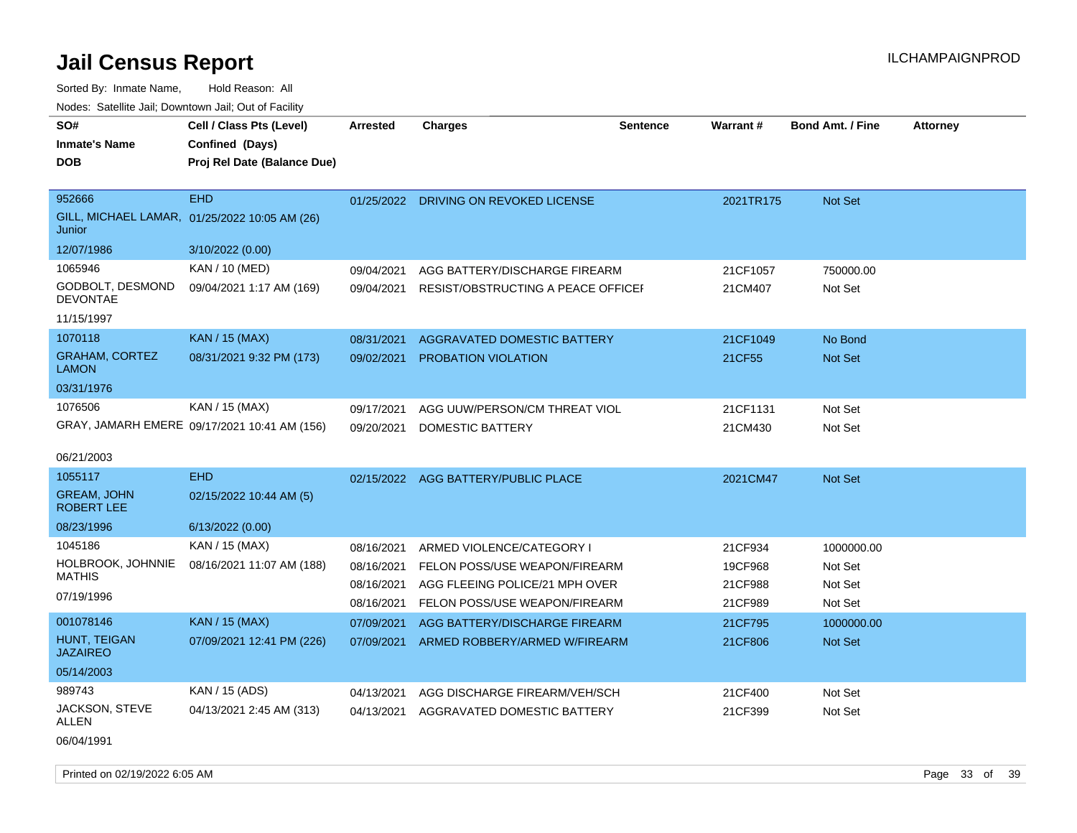| SO#<br>Cell / Class Pts (Level)<br><b>Charges</b><br><b>Arrested</b><br><b>Inmate's Name</b><br>Confined (Days)<br><b>DOB</b><br>Proj Rel Date (Balance Due)       | <b>Sentence</b><br><b>Warrant#</b><br><b>Bond Amt. / Fine</b><br><b>Attorney</b>                                                                                                                                         |
|--------------------------------------------------------------------------------------------------------------------------------------------------------------------|--------------------------------------------------------------------------------------------------------------------------------------------------------------------------------------------------------------------------|
| 952666<br><b>EHD</b><br>GILL, MICHAEL LAMAR, 01/25/2022 10:05 AM (26)<br>Junior                                                                                    | 01/25/2022 DRIVING ON REVOKED LICENSE<br>2021TR175<br><b>Not Set</b>                                                                                                                                                     |
| 12/07/1986<br>3/10/2022 (0.00)                                                                                                                                     |                                                                                                                                                                                                                          |
| 1065946<br>KAN / 10 (MED)<br>09/04/2021<br>GODBOLT, DESMOND<br>09/04/2021 1:17 AM (169)<br>09/04/2021<br><b>DEVONTAE</b>                                           | AGG BATTERY/DISCHARGE FIREARM<br>21CF1057<br>750000.00<br>RESIST/OBSTRUCTING A PEACE OFFICEF<br>21CM407<br>Not Set                                                                                                       |
| 11/15/1997                                                                                                                                                         |                                                                                                                                                                                                                          |
| 1070118<br><b>KAN / 15 (MAX)</b><br>08/31/2021<br><b>GRAHAM, CORTEZ</b><br>08/31/2021 9:32 PM (173)<br>09/02/2021<br><b>LAMON</b>                                  | AGGRAVATED DOMESTIC BATTERY<br>21CF1049<br>No Bond<br>21CF55<br><b>Not Set</b><br><b>PROBATION VIOLATION</b>                                                                                                             |
| 03/31/1976                                                                                                                                                         |                                                                                                                                                                                                                          |
| 1076506<br>KAN / 15 (MAX)<br>09/17/2021<br>GRAY, JAMARH EMERE 09/17/2021 10:41 AM (156)<br>09/20/2021<br>06/21/2003                                                | AGG UUW/PERSON/CM THREAT VIOL<br>21CF1131<br>Not Set<br>DOMESTIC BATTERY<br>21CM430<br>Not Set                                                                                                                           |
| <b>EHD</b><br>1055117<br>02/15/2022 AGG BATTERY/PUBLIC PLACE                                                                                                       | 2021CM47<br><b>Not Set</b>                                                                                                                                                                                               |
| <b>GREAM, JOHN</b><br>02/15/2022 10:44 AM (5)<br><b>ROBERT LEE</b>                                                                                                 |                                                                                                                                                                                                                          |
| 08/23/1996<br>6/13/2022 (0.00)                                                                                                                                     |                                                                                                                                                                                                                          |
| 1045186<br>KAN / 15 (MAX)<br>08/16/2021<br>HOLBROOK, JOHNNIE<br>08/16/2021 11:07 AM (188)<br>08/16/2021<br><b>MATHIS</b><br>08/16/2021<br>07/19/1996<br>08/16/2021 | 21CF934<br>1000000.00<br>ARMED VIOLENCE/CATEGORY I<br>FELON POSS/USE WEAPON/FIREARM<br>19CF968<br>Not Set<br>AGG FLEEING POLICE/21 MPH OVER<br>21CF988<br>Not Set<br>FELON POSS/USE WEAPON/FIREARM<br>21CF989<br>Not Set |
| 001078146<br><b>KAN / 15 (MAX)</b><br>07/09/2021                                                                                                                   | AGG BATTERY/DISCHARGE FIREARM<br>21CF795<br>1000000.00                                                                                                                                                                   |
| HUNT, TEIGAN<br>07/09/2021 12:41 PM (226)<br>07/09/2021<br><b>JAZAIREO</b>                                                                                         | ARMED ROBBERY/ARMED W/FIREARM<br>Not Set<br>21CF806                                                                                                                                                                      |
| 05/14/2003                                                                                                                                                         |                                                                                                                                                                                                                          |
| 989743<br>KAN / 15 (ADS)<br>04/13/2021                                                                                                                             | AGG DISCHARGE FIREARM/VEH/SCH<br>21CF400<br>Not Set                                                                                                                                                                      |
| JACKSON, STEVE<br>04/13/2021 2:45 AM (313)<br>04/13/2021<br>ALLEN<br>06/04/1991                                                                                    | AGGRAVATED DOMESTIC BATTERY<br>21CF399<br>Not Set                                                                                                                                                                        |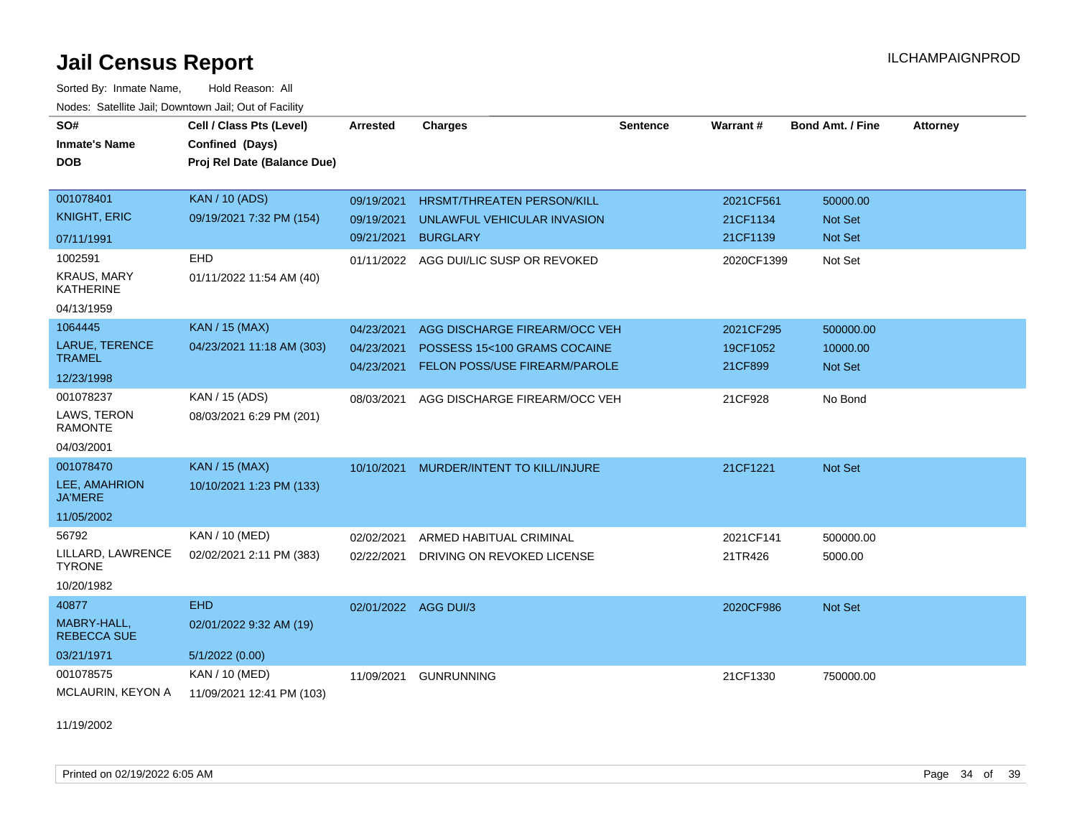Sorted By: Inmate Name, Hold Reason: All Nodes: Satellite Jail; Downtown Jail; Out of Facility

| SO#<br><b>Inmate's Name</b>            | Cell / Class Pts (Level)<br>Confined (Days) | Arrested   | <b>Charges</b>                         | <b>Sentence</b> | Warrant#   | <b>Bond Amt. / Fine</b> | <b>Attorney</b> |
|----------------------------------------|---------------------------------------------|------------|----------------------------------------|-----------------|------------|-------------------------|-----------------|
| <b>DOB</b>                             | Proj Rel Date (Balance Due)                 |            |                                        |                 |            |                         |                 |
|                                        |                                             |            |                                        |                 |            |                         |                 |
| 001078401                              | <b>KAN / 10 (ADS)</b>                       | 09/19/2021 | HRSMT/THREATEN PERSON/KILL             |                 | 2021CF561  | 50000.00                |                 |
| <b>KNIGHT, ERIC</b>                    | 09/19/2021 7:32 PM (154)                    | 09/19/2021 | UNLAWFUL VEHICULAR INVASION            |                 | 21CF1134   | Not Set                 |                 |
| 07/11/1991                             |                                             | 09/21/2021 | <b>BURGLARY</b>                        |                 | 21CF1139   | <b>Not Set</b>          |                 |
| 1002591                                | EHD                                         |            | 01/11/2022 AGG DUI/LIC SUSP OR REVOKED |                 | 2020CF1399 | Not Set                 |                 |
| <b>KRAUS, MARY</b><br><b>KATHERINE</b> | 01/11/2022 11:54 AM (40)                    |            |                                        |                 |            |                         |                 |
| 04/13/1959                             |                                             |            |                                        |                 |            |                         |                 |
| 1064445                                | <b>KAN / 15 (MAX)</b>                       | 04/23/2021 | AGG DISCHARGE FIREARM/OCC VEH          |                 | 2021CF295  | 500000.00               |                 |
| LARUE, TERENCE                         | 04/23/2021 11:18 AM (303)                   | 04/23/2021 | POSSESS 15<100 GRAMS COCAINE           |                 | 19CF1052   | 10000.00                |                 |
| <b>TRAMEL</b>                          |                                             | 04/23/2021 | FELON POSS/USE FIREARM/PAROLE          |                 | 21CF899    | <b>Not Set</b>          |                 |
| 12/23/1998                             |                                             |            |                                        |                 |            |                         |                 |
| 001078237                              | KAN / 15 (ADS)                              | 08/03/2021 | AGG DISCHARGE FIREARM/OCC VEH          |                 | 21CF928    | No Bond                 |                 |
| LAWS, TERON<br><b>RAMONTE</b>          | 08/03/2021 6:29 PM (201)                    |            |                                        |                 |            |                         |                 |
| 04/03/2001                             |                                             |            |                                        |                 |            |                         |                 |
| 001078470                              | KAN / 15 (MAX)                              | 10/10/2021 | MURDER/INTENT TO KILL/INJURE           |                 | 21CF1221   | Not Set                 |                 |
| LEE, AMAHRION<br><b>JA'MERE</b>        | 10/10/2021 1:23 PM (133)                    |            |                                        |                 |            |                         |                 |
| 11/05/2002                             |                                             |            |                                        |                 |            |                         |                 |
| 56792                                  | KAN / 10 (MED)                              | 02/02/2021 | ARMED HABITUAL CRIMINAL                |                 | 2021CF141  | 500000.00               |                 |
| LILLARD, LAWRENCE<br><b>TYRONE</b>     | 02/02/2021 2:11 PM (383)                    | 02/22/2021 | DRIVING ON REVOKED LICENSE             |                 | 21TR426    | 5000.00                 |                 |
| 10/20/1982                             |                                             |            |                                        |                 |            |                         |                 |
| 40877                                  | <b>EHD</b>                                  |            | 02/01/2022 AGG DUI/3                   |                 | 2020CF986  | Not Set                 |                 |
| MABRY-HALL,<br><b>REBECCA SUE</b>      | 02/01/2022 9:32 AM (19)                     |            |                                        |                 |            |                         |                 |
| 03/21/1971                             | 5/1/2022(0.00)                              |            |                                        |                 |            |                         |                 |
| 001078575                              | KAN / 10 (MED)                              | 11/09/2021 | <b>GUNRUNNING</b>                      |                 | 21CF1330   | 750000.00               |                 |
| MCLAURIN, KEYON A                      | 11/09/2021 12:41 PM (103)                   |            |                                        |                 |            |                         |                 |

11/19/2002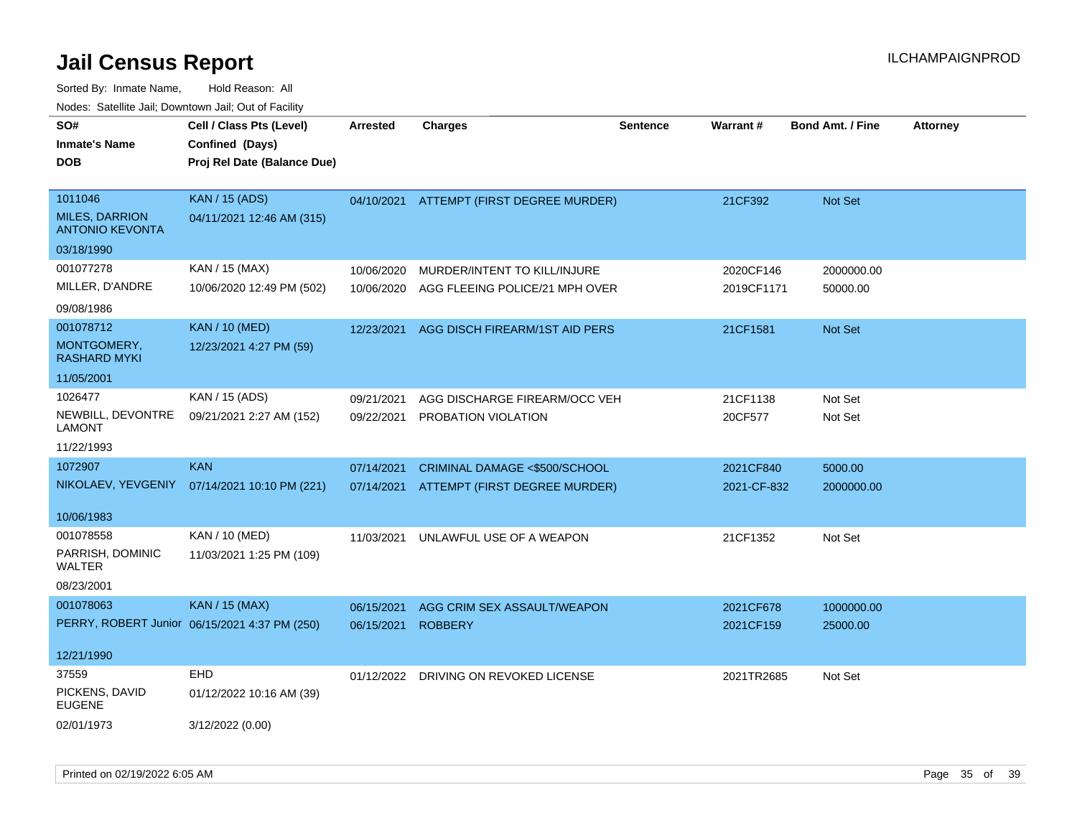| SO#<br><b>Inmate's Name</b><br><b>DOB</b> | Cell / Class Pts (Level)<br>Confined (Days)<br>Proj Rel Date (Balance Due) | <b>Arrested</b> | <b>Charges</b>                 | <b>Sentence</b> | Warrant#    | <b>Bond Amt. / Fine</b> | <b>Attorney</b> |
|-------------------------------------------|----------------------------------------------------------------------------|-----------------|--------------------------------|-----------------|-------------|-------------------------|-----------------|
| 1011046<br><b>MILES, DARRION</b>          | <b>KAN / 15 (ADS)</b><br>04/11/2021 12:46 AM (315)                         | 04/10/2021      | ATTEMPT (FIRST DEGREE MURDER)  |                 | 21CF392     | Not Set                 |                 |
| <b>ANTONIO KEVONTA</b>                    |                                                                            |                 |                                |                 |             |                         |                 |
| 03/18/1990                                |                                                                            |                 |                                |                 |             |                         |                 |
| 001077278                                 | KAN / 15 (MAX)                                                             | 10/06/2020      | MURDER/INTENT TO KILL/INJURE   |                 | 2020CF146   | 2000000.00              |                 |
| MILLER, D'ANDRE                           | 10/06/2020 12:49 PM (502)                                                  | 10/06/2020      | AGG FLEEING POLICE/21 MPH OVER |                 | 2019CF1171  | 50000.00                |                 |
| 09/08/1986                                |                                                                            |                 |                                |                 |             |                         |                 |
| 001078712                                 | <b>KAN / 10 (MED)</b>                                                      | 12/23/2021      | AGG DISCH FIREARM/1ST AID PERS |                 | 21CF1581    | Not Set                 |                 |
| MONTGOMERY,<br><b>RASHARD MYKI</b>        | 12/23/2021 4:27 PM (59)                                                    |                 |                                |                 |             |                         |                 |
| 11/05/2001                                |                                                                            |                 |                                |                 |             |                         |                 |
| 1026477                                   | KAN / 15 (ADS)                                                             | 09/21/2021      | AGG DISCHARGE FIREARM/OCC VEH  |                 | 21CF1138    | Not Set                 |                 |
| NEWBILL, DEVONTRE<br><b>LAMONT</b>        | 09/21/2021 2:27 AM (152)                                                   | 09/22/2021      | PROBATION VIOLATION            |                 | 20CF577     | Not Set                 |                 |
| 11/22/1993                                |                                                                            |                 |                                |                 |             |                         |                 |
| 1072907                                   | <b>KAN</b>                                                                 | 07/14/2021      | CRIMINAL DAMAGE <\$500/SCHOOL  |                 | 2021CF840   | 5000.00                 |                 |
| NIKOLAEV, YEVGENIY                        | 07/14/2021 10:10 PM (221)                                                  | 07/14/2021      | ATTEMPT (FIRST DEGREE MURDER)  |                 | 2021-CF-832 | 2000000.00              |                 |
| 10/06/1983                                |                                                                            |                 |                                |                 |             |                         |                 |
| 001078558                                 | KAN / 10 (MED)                                                             | 11/03/2021      | UNLAWFUL USE OF A WEAPON       |                 | 21CF1352    | Not Set                 |                 |
| PARRISH, DOMINIC<br><b>WALTER</b>         | 11/03/2021 1:25 PM (109)                                                   |                 |                                |                 |             |                         |                 |
| 08/23/2001                                |                                                                            |                 |                                |                 |             |                         |                 |
| 001078063                                 | <b>KAN / 15 (MAX)</b>                                                      | 06/15/2021      | AGG CRIM SEX ASSAULT/WEAPON    |                 | 2021CF678   | 1000000.00              |                 |
|                                           | PERRY, ROBERT Junior 06/15/2021 4:37 PM (250)                              | 06/15/2021      | <b>ROBBERY</b>                 |                 | 2021CF159   | 25000.00                |                 |
| 12/21/1990                                |                                                                            |                 |                                |                 |             |                         |                 |
| 37559                                     | <b>EHD</b>                                                                 | 01/12/2022      | DRIVING ON REVOKED LICENSE     |                 | 2021TR2685  | Not Set                 |                 |
| PICKENS, DAVID<br><b>EUGENE</b>           | 01/12/2022 10:16 AM (39)                                                   |                 |                                |                 |             |                         |                 |
| 02/01/1973                                | 3/12/2022 (0.00)                                                           |                 |                                |                 |             |                         |                 |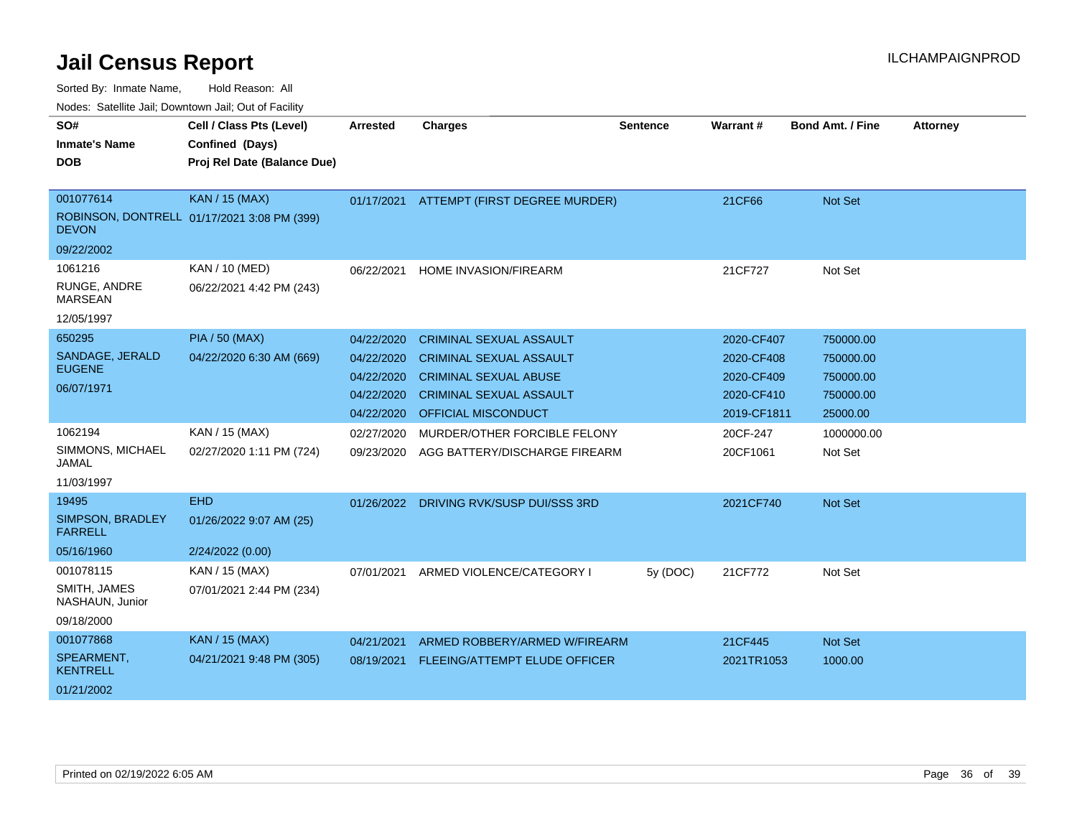| SO#<br><b>Inmate's Name</b><br><b>DOB</b> | Cell / Class Pts (Level)<br>Confined (Days)<br>Proj Rel Date (Balance Due) | <b>Arrested</b> | <b>Charges</b>                 | <b>Sentence</b> | <b>Warrant#</b> | <b>Bond Amt. / Fine</b> | <b>Attorney</b> |
|-------------------------------------------|----------------------------------------------------------------------------|-----------------|--------------------------------|-----------------|-----------------|-------------------------|-----------------|
|                                           |                                                                            |                 |                                |                 |                 |                         |                 |
| 001077614                                 | <b>KAN / 15 (MAX)</b>                                                      | 01/17/2021      | ATTEMPT (FIRST DEGREE MURDER)  |                 | 21CF66          | <b>Not Set</b>          |                 |
| <b>DEVON</b>                              | ROBINSON, DONTRELL 01/17/2021 3:08 PM (399)                                |                 |                                |                 |                 |                         |                 |
| 09/22/2002                                |                                                                            |                 |                                |                 |                 |                         |                 |
| 1061216                                   | <b>KAN / 10 (MED)</b>                                                      | 06/22/2021      | <b>HOME INVASION/FIREARM</b>   |                 | 21CF727         | Not Set                 |                 |
| RUNGE, ANDRE<br><b>MARSEAN</b>            | 06/22/2021 4:42 PM (243)                                                   |                 |                                |                 |                 |                         |                 |
| 12/05/1997                                |                                                                            |                 |                                |                 |                 |                         |                 |
| 650295                                    | <b>PIA / 50 (MAX)</b>                                                      | 04/22/2020      | <b>CRIMINAL SEXUAL ASSAULT</b> |                 | 2020-CF407      | 750000.00               |                 |
| SANDAGE, JERALD                           | 04/22/2020 6:30 AM (669)                                                   | 04/22/2020      | <b>CRIMINAL SEXUAL ASSAULT</b> |                 | 2020-CF408      | 750000.00               |                 |
| <b>EUGENE</b>                             |                                                                            | 04/22/2020      | <b>CRIMINAL SEXUAL ABUSE</b>   |                 | 2020-CF409      | 750000.00               |                 |
| 06/07/1971                                |                                                                            | 04/22/2020      | <b>CRIMINAL SEXUAL ASSAULT</b> |                 | 2020-CF410      | 750000.00               |                 |
|                                           |                                                                            | 04/22/2020      | <b>OFFICIAL MISCONDUCT</b>     |                 | 2019-CF1811     | 25000.00                |                 |
| 1062194                                   | KAN / 15 (MAX)                                                             | 02/27/2020      | MURDER/OTHER FORCIBLE FELONY   |                 | 20CF-247        | 1000000.00              |                 |
| SIMMONS, MICHAEL<br>JAMAL                 | 02/27/2020 1:11 PM (724)                                                   | 09/23/2020      | AGG BATTERY/DISCHARGE FIREARM  |                 | 20CF1061        | Not Set                 |                 |
| 11/03/1997                                |                                                                            |                 |                                |                 |                 |                         |                 |
| 19495                                     | <b>EHD</b>                                                                 | 01/26/2022      | DRIVING RVK/SUSP DUI/SSS 3RD   |                 | 2021CF740       | Not Set                 |                 |
| SIMPSON, BRADLEY<br><b>FARRELL</b>        | 01/26/2022 9:07 AM (25)                                                    |                 |                                |                 |                 |                         |                 |
| 05/16/1960                                | 2/24/2022 (0.00)                                                           |                 |                                |                 |                 |                         |                 |
| 001078115                                 | KAN / 15 (MAX)                                                             | 07/01/2021      | ARMED VIOLENCE/CATEGORY I      | 5y (DOC)        | 21CF772         | Not Set                 |                 |
| SMITH, JAMES<br>NASHAUN, Junior           | 07/01/2021 2:44 PM (234)                                                   |                 |                                |                 |                 |                         |                 |
| 09/18/2000                                |                                                                            |                 |                                |                 |                 |                         |                 |
| 001077868                                 | KAN / 15 (MAX)                                                             | 04/21/2021      | ARMED ROBBERY/ARMED W/FIREARM  |                 | 21CF445         | <b>Not Set</b>          |                 |
| SPEARMENT,<br><b>KENTRELL</b>             | 04/21/2021 9:48 PM (305)                                                   | 08/19/2021      | FLEEING/ATTEMPT ELUDE OFFICER  |                 | 2021TR1053      | 1000.00                 |                 |
| 01/21/2002                                |                                                                            |                 |                                |                 |                 |                         |                 |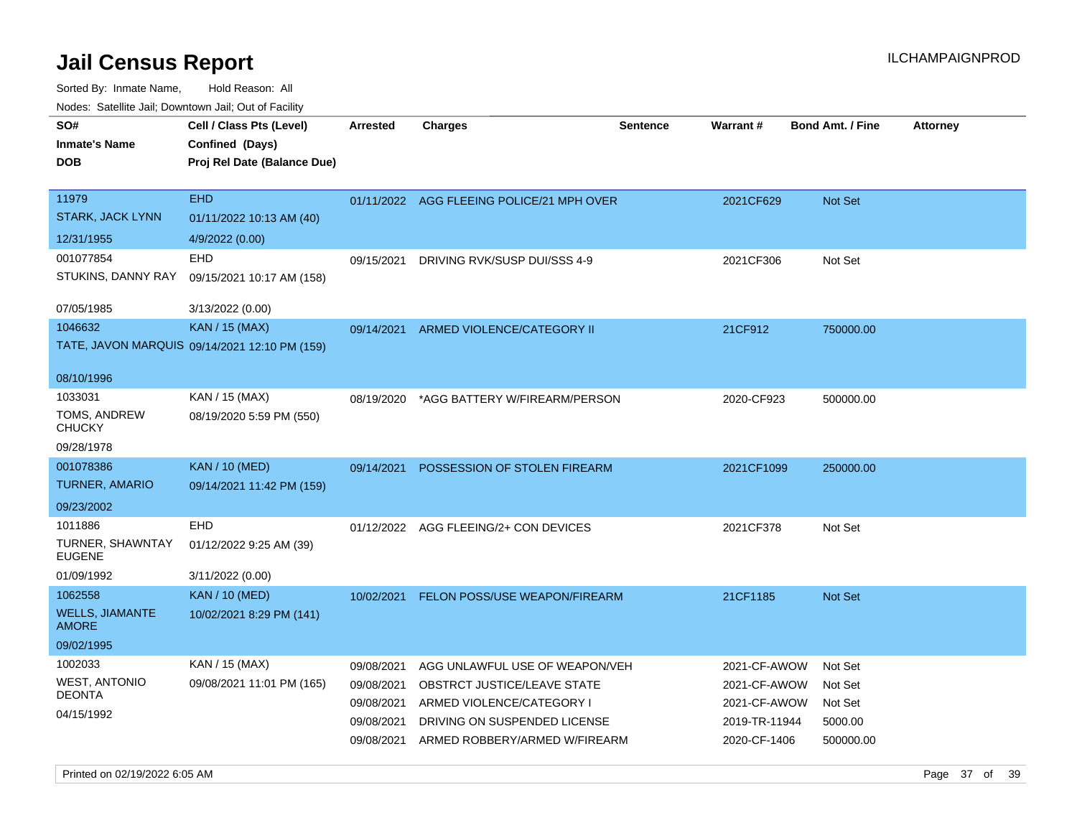Sorted By: Inmate Name, Hold Reason: All

| Nodes: Satellite Jail; Downtown Jail; Out of Facility |                                                                            |                 |                                           |                 |                 |                         |                 |
|-------------------------------------------------------|----------------------------------------------------------------------------|-----------------|-------------------------------------------|-----------------|-----------------|-------------------------|-----------------|
| SO#<br><b>Inmate's Name</b><br><b>DOB</b>             | Cell / Class Pts (Level)<br>Confined (Days)<br>Proj Rel Date (Balance Due) | <b>Arrested</b> | <b>Charges</b>                            | <b>Sentence</b> | <b>Warrant#</b> | <b>Bond Amt. / Fine</b> | <b>Attorney</b> |
| 11979                                                 | <b>EHD</b>                                                                 |                 | 01/11/2022 AGG FLEEING POLICE/21 MPH OVER |                 | 2021CF629       | Not Set                 |                 |
| <b>STARK, JACK LYNN</b>                               | 01/11/2022 10:13 AM (40)                                                   |                 |                                           |                 |                 |                         |                 |
| 12/31/1955                                            | 4/9/2022 (0.00)                                                            |                 |                                           |                 |                 |                         |                 |
| 001077854                                             | EHD                                                                        | 09/15/2021      | DRIVING RVK/SUSP DUI/SSS 4-9              |                 | 2021CF306       | Not Set                 |                 |
| STUKINS, DANNY RAY                                    | 09/15/2021 10:17 AM (158)                                                  |                 |                                           |                 |                 |                         |                 |
| 07/05/1985                                            | 3/13/2022 (0.00)                                                           |                 |                                           |                 |                 |                         |                 |
| 1046632                                               | KAN / 15 (MAX)                                                             | 09/14/2021      | ARMED VIOLENCE/CATEGORY II                |                 | 21CF912         | 750000.00               |                 |
|                                                       | TATE, JAVON MARQUIS 09/14/2021 12:10 PM (159)                              |                 |                                           |                 |                 |                         |                 |
| 08/10/1996                                            |                                                                            |                 |                                           |                 |                 |                         |                 |
| 1033031                                               | KAN / 15 (MAX)                                                             | 08/19/2020      | *AGG BATTERY W/FIREARM/PERSON             |                 | 2020-CF923      | 500000.00               |                 |
| TOMS, ANDREW<br><b>CHUCKY</b>                         | 08/19/2020 5:59 PM (550)                                                   |                 |                                           |                 |                 |                         |                 |
| 09/28/1978                                            |                                                                            |                 |                                           |                 |                 |                         |                 |
| 001078386                                             | <b>KAN</b> / 10 (MED)                                                      | 09/14/2021      | POSSESSION OF STOLEN FIREARM              |                 | 2021CF1099      | 250000.00               |                 |
| <b>TURNER, AMARIO</b>                                 | 09/14/2021 11:42 PM (159)                                                  |                 |                                           |                 |                 |                         |                 |
| 09/23/2002                                            |                                                                            |                 |                                           |                 |                 |                         |                 |
| 1011886                                               | <b>EHD</b>                                                                 |                 | 01/12/2022 AGG FLEEING/2+ CON DEVICES     |                 | 2021CF378       | Not Set                 |                 |
| TURNER, SHAWNTAY<br><b>EUGENE</b>                     | 01/12/2022 9:25 AM (39)                                                    |                 |                                           |                 |                 |                         |                 |
| 01/09/1992                                            | 3/11/2022 (0.00)                                                           |                 |                                           |                 |                 |                         |                 |
| 1062558                                               | <b>KAN / 10 (MED)</b>                                                      | 10/02/2021      | FELON POSS/USE WEAPON/FIREARM             |                 | 21CF1185        | Not Set                 |                 |
| <b>WELLS, JIAMANTE</b><br><b>AMORE</b>                | 10/02/2021 8:29 PM (141)                                                   |                 |                                           |                 |                 |                         |                 |
| 09/02/1995                                            |                                                                            |                 |                                           |                 |                 |                         |                 |
| 1002033                                               | KAN / 15 (MAX)                                                             | 09/08/2021      | AGG UNLAWFUL USE OF WEAPON/VEH            |                 | 2021-CF-AWOW    | Not Set                 |                 |
| <b>WEST, ANTONIO</b><br><b>DEONTA</b>                 | 09/08/2021 11:01 PM (165)                                                  | 09/08/2021      | OBSTRCT JUSTICE/LEAVE STATE               |                 | 2021-CF-AWOW    | Not Set                 |                 |
| 04/15/1992                                            |                                                                            | 09/08/2021      | ARMED VIOLENCE/CATEGORY I                 |                 | 2021-CF-AWOW    | Not Set                 |                 |
|                                                       |                                                                            | 09/08/2021      | DRIVING ON SUSPENDED LICENSE              |                 | 2019-TR-11944   | 5000.00                 |                 |
|                                                       |                                                                            | 09/08/2021      | ARMED ROBBERY/ARMED W/FIREARM             |                 | 2020-CF-1406    | 500000.00               |                 |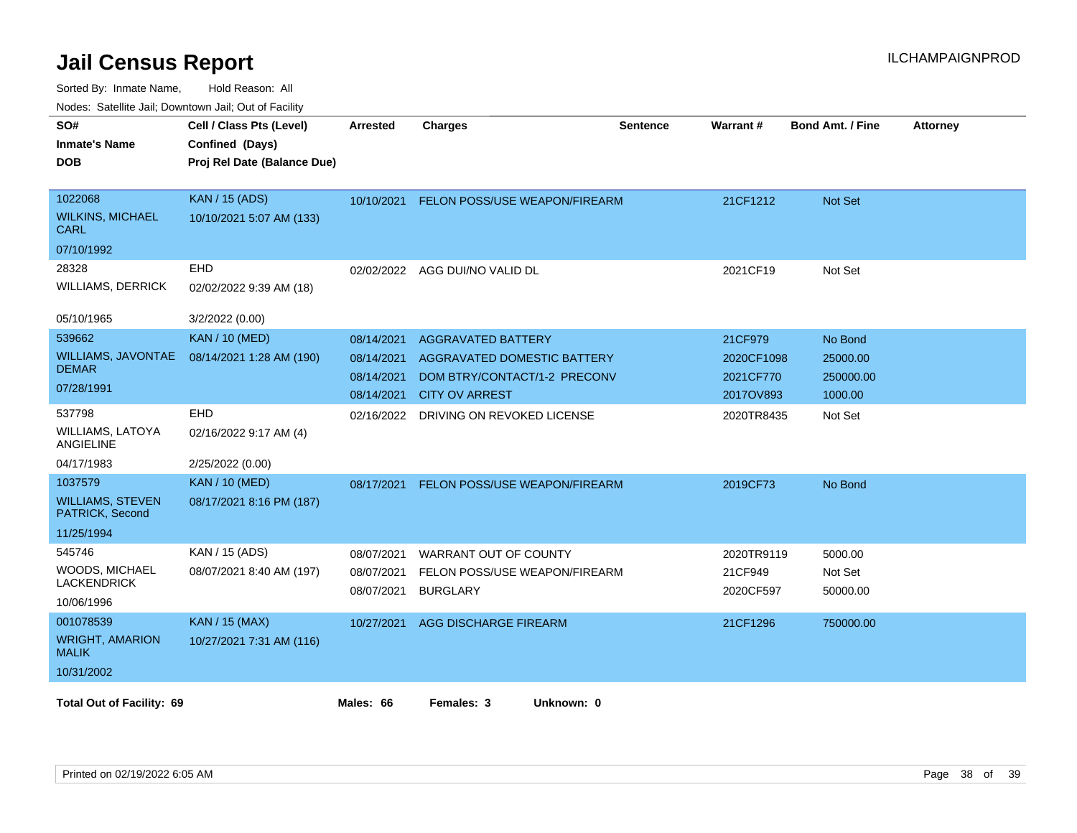| SO#<br><b>Inmate's Name</b><br><b>DOB</b>                           | Cell / Class Pts (Level)<br>Confined (Days)<br>Proj Rel Date (Balance Due) | <b>Arrested</b>                                      | <b>Charges</b>                                                                                                           | <b>Sentence</b> | Warrant#                                        | <b>Bond Amt. / Fine</b>                     | <b>Attorney</b> |
|---------------------------------------------------------------------|----------------------------------------------------------------------------|------------------------------------------------------|--------------------------------------------------------------------------------------------------------------------------|-----------------|-------------------------------------------------|---------------------------------------------|-----------------|
| 1022068<br><b>WILKINS, MICHAEL</b><br>CARL<br>07/10/1992            | <b>KAN / 15 (ADS)</b><br>10/10/2021 5:07 AM (133)                          | 10/10/2021                                           | FELON POSS/USE WEAPON/FIREARM                                                                                            |                 | 21CF1212                                        | Not Set                                     |                 |
| 28328<br><b>WILLIAMS, DERRICK</b><br>05/10/1965                     | EHD<br>02/02/2022 9:39 AM (18)<br>3/2/2022 (0.00)                          |                                                      | 02/02/2022 AGG DUI/NO VALID DL                                                                                           |                 | 2021CF19                                        | Not Set                                     |                 |
| 539662<br>WILLIAMS, JAVONTAE<br><b>DEMAR</b><br>07/28/1991          | <b>KAN / 10 (MED)</b><br>08/14/2021 1:28 AM (190)                          | 08/14/2021<br>08/14/2021<br>08/14/2021<br>08/14/2021 | <b>AGGRAVATED BATTERY</b><br><b>AGGRAVATED DOMESTIC BATTERY</b><br>DOM BTRY/CONTACT/1-2 PRECONV<br><b>CITY OV ARREST</b> |                 | 21CF979<br>2020CF1098<br>2021CF770<br>2017OV893 | No Bond<br>25000.00<br>250000.00<br>1000.00 |                 |
| 537798<br><b>WILLIAMS, LATOYA</b><br>ANGIELINE<br>04/17/1983        | EHD<br>02/16/2022 9:17 AM (4)<br>2/25/2022 (0.00)                          | 02/16/2022                                           | DRIVING ON REVOKED LICENSE                                                                                               |                 | 2020TR8435                                      | Not Set                                     |                 |
| 1037579<br><b>WILLIAMS, STEVEN</b><br>PATRICK, Second<br>11/25/1994 | <b>KAN / 10 (MED)</b><br>08/17/2021 8:16 PM (187)                          | 08/17/2021                                           | FELON POSS/USE WEAPON/FIREARM                                                                                            |                 | 2019CF73                                        | No Bond                                     |                 |
| 545746<br>WOODS, MICHAEL<br><b>LACKENDRICK</b><br>10/06/1996        | KAN / 15 (ADS)<br>08/07/2021 8:40 AM (197)                                 | 08/07/2021<br>08/07/2021<br>08/07/2021               | WARRANT OUT OF COUNTY<br>FELON POSS/USE WEAPON/FIREARM<br><b>BURGLARY</b>                                                |                 | 2020TR9119<br>21CF949<br>2020CF597              | 5000.00<br>Not Set<br>50000.00              |                 |
| 001078539<br><b>WRIGHT, AMARION</b><br><b>MALIK</b><br>10/31/2002   | <b>KAN / 15 (MAX)</b><br>10/27/2021 7:31 AM (116)                          | 10/27/2021                                           | <b>AGG DISCHARGE FIREARM</b>                                                                                             |                 | 21CF1296                                        | 750000.00                                   |                 |
| <b>Total Out of Facility: 69</b>                                    |                                                                            | Males: 66                                            | Females: 3<br>Unknown: 0                                                                                                 |                 |                                                 |                                             |                 |